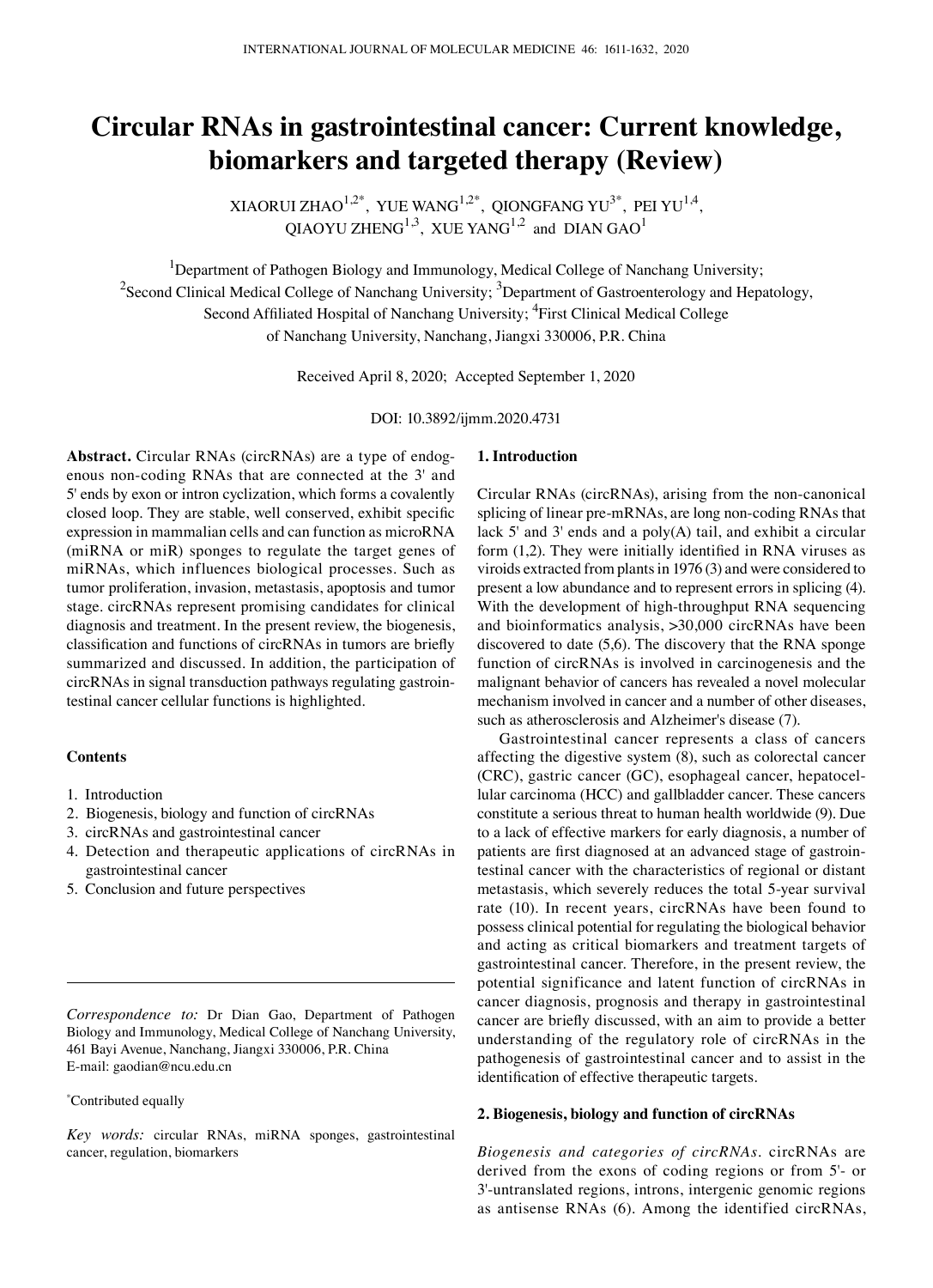# **Circular RNAs in gastrointestinal cancer: Current knowledge, biomarkers and targeted therapy (Review)**

XIAORUI ZHAO $^{1,2^*}$ , YUE WANG $^{1,2^*}$ , QIONGFANG YU<sup>3\*</sup>, PEI YU<sup>1,4</sup>,  $OIAOYU ZHENG<sup>1,3</sup>$ , XUE YANG<sup>1,2</sup> and DIAN GAO<sup>1</sup>

<sup>1</sup>Department of Pathogen Biology and Immunology, Medical College of Nanchang University;  $^2$ Second Clinical Medical College of Nanchang University;  $^3$ Department of Gastroenterology and Hepatology, Second Affiliated Hospital of Nanchang University; <sup>4</sup>First Clinical Medical College of Nanchang University, Nanchang, Jiangxi 330006, P.R. China

Received April 8, 2020; Accepted September 1, 2020

DOI: 10.3892/ijmm.2020.4731

**Abstract.** Circular RNAs (circRNAs) are a type of endogenous non-coding RNAs that are connected at the 3' and 5' ends by exon or intron cyclization, which forms a covalently closed loop. They are stable, well conserved, exhibit specific expression in mammalian cells and can function as microRNA (miRNA or miR) sponges to regulate the target genes of miRNAs, which influences biological processes. Such as tumor proliferation, invasion, metastasis, apoptosis and tumor stage. circRNAs represent promising candidates for clinical diagnosis and treatment. In the present review, the biogenesis, classification and functions of circRNAs in tumors are briefly summarized and discussed. In addition, the participation of circRNAs in signal transduction pathways regulating gastrointestinal cancer cellular functions is highlighted.

#### **Contents**

- 1. Introduction
- 2. Biogenesis, biology and function of circRNAs
- 3. circRNAs and gastrointestinal cancer
- 4. Detection and therapeutic applications of circRNAs in gastrointestinal cancer
- 5. Conclusion and future perspectives

*Correspondence to:* Dr Dian Gao, Department of Pathogen Biology and Immunology, Medical College of Nanchang University, 461 Bayi Avenue, Nanchang, Jiangxi 330006, P.R. China E-mail: gaodian@ncu.edu.cn

#### \* Contributed equally

*Key words:* circular RNAs, miRNA sponges, gastrointestinal cancer, regulation, biomarkers

## **1. Introduction**

Circular RNAs (circRNAs), arising from the non-canonical splicing of linear pre-mRNAs, are long non-coding RNAs that lack 5' and 3' ends and a poly(A) tail, and exhibit a circular form (1,2). They were initially identified in RNA viruses as viroids extracted from plants in 1976 (3) and were considered to present a low abundance and to represent errors in splicing (4). With the development of high-throughput RNA sequencing and bioinformatics analysis, >30,000 circRNAs have been discovered to date (5,6). The discovery that the RNA sponge function of circRNAs is involved in carcinogenesis and the malignant behavior of cancers has revealed a novel molecular mechanism involved in cancer and a number of other diseases, such as atherosclerosis and Alzheimer's disease (7).

Gastrointestinal cancer represents a class of cancers affecting the digestive system (8), such as colorectal cancer (CRC), gastric cancer (GC), esophageal cancer, hepatocellular carcinoma (HCC) and gallbladder cancer. These cancers constitute a serious threat to human health worldwide (9). Due to a lack of effective markers for early diagnosis, a number of patients are first diagnosed at an advanced stage of gastrointestinal cancer with the characteristics of regional or distant metastasis, which severely reduces the total 5-year survival rate (10). In recent years, circRNAs have been found to possess clinical potential for regulating the biological behavior and acting as critical biomarkers and treatment targets of gastrointestinal cancer. Therefore, in the present review, the potential significance and latent function of circRNAs in cancer diagnosis, prognosis and therapy in gastrointestinal cancer are briefly discussed, with an aim to provide a better understanding of the regulatory role of circRNAs in the pathogenesis of gastrointestinal cancer and to assist in the identification of effective therapeutic targets.

### **2. Biogenesis, biology and function of circRNAs**

*Biogenesis and categories of circRNAs.* circRNAs are derived from the exons of coding regions or from 5'- or 3'-untranslated regions, introns, intergenic genomic regions as antisense RNAs (6). Among the identified circRNAs,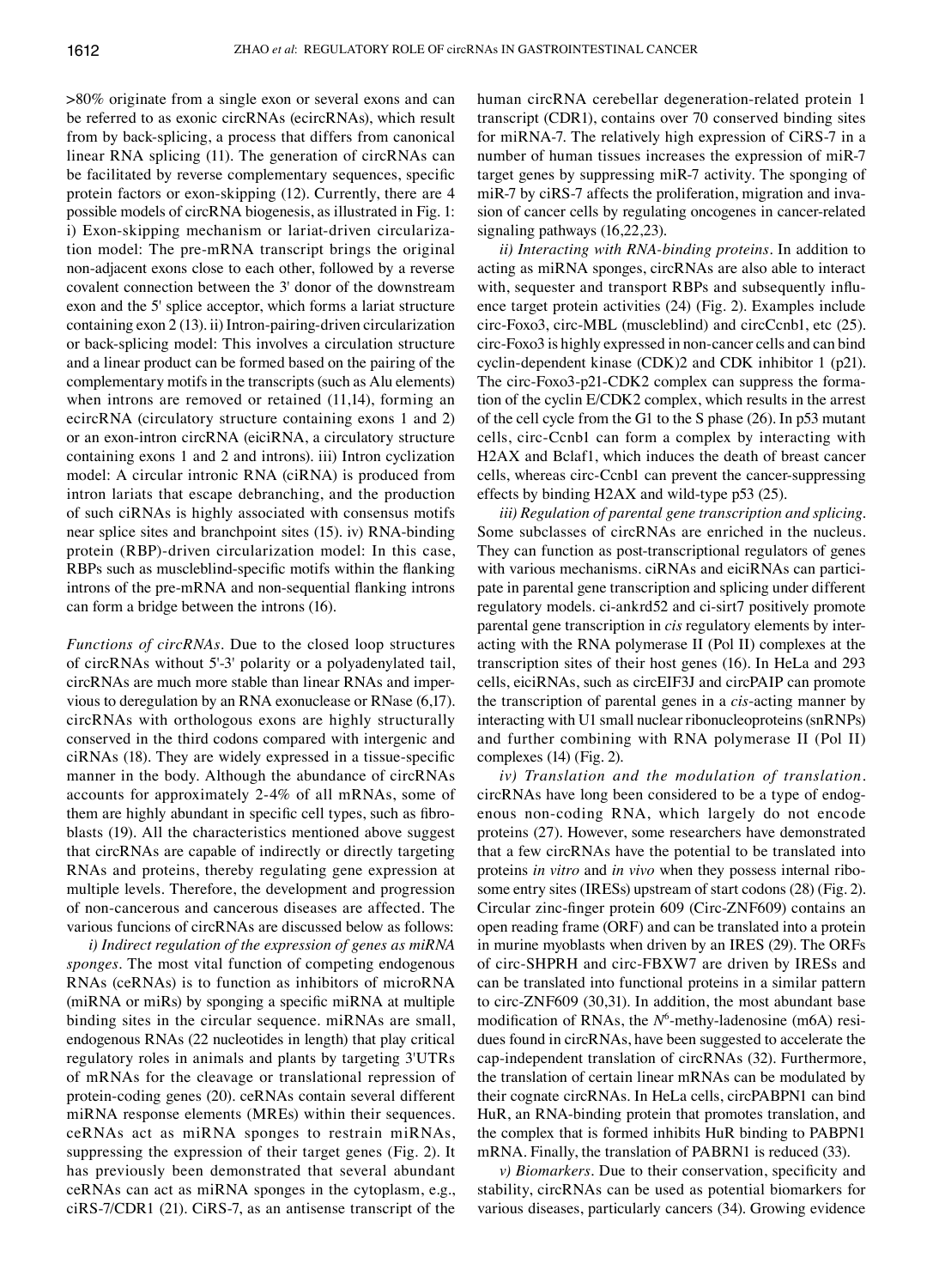>80% originate from a single exon or several exons and can be referred to as exonic circRNAs (ecircRNAs), which result from by back-splicing, a process that differs from canonical linear RNA splicing (11). The generation of circRNAs can be facilitated by reverse complementary sequences, specific protein factors or exon-skipping (12). Currently, there are 4 possible models of circRNA biogenesis, as illustrated in Fig. 1: i) Exon-skipping mechanism or lariat-driven circularization model: The pre-mRNA transcript brings the original non-adjacent exons close to each other, followed by a reverse covalent connection between the 3' donor of the downstream exon and the 5' splice acceptor, which forms a lariat structure containing exon 2 (13). ii) Intron-pairing-driven circularization or back-splicing model: This involves a circulation structure and a linear product can be formed based on the pairing of the complementary motifs in the transcripts (such as Alu elements) when introns are removed or retained (11,14), forming an ecircRNA (circulatory structure containing exons 1 and 2) or an exon-intron circRNA (eiciRNA, a circulatory structure containing exons 1 and 2 and introns). iii) Intron cyclization model: A circular intronic RNA (ciRNA) is produced from intron lariats that escape debranching, and the production of such ciRNAs is highly associated with consensus motifs near splice sites and branchpoint sites (15). iv) RNA-binding protein (RBP)-driven circularization model: In this case, RBPs such as muscleblind‑specific motifs within the flanking introns of the pre-mRNA and non-sequential flanking introns can form a bridge between the introns (16).

*Functions of circRNAs.* Due to the closed loop structures of circRNAs without 5'-3' polarity or a polyadenylated tail, circRNAs are much more stable than linear RNAs and impervious to deregulation by an RNA exonuclease or RNase (6,17). circRNAs with orthologous exons are highly structurally conserved in the third codons compared with intergenic and ciRNAs (18). They are widely expressed in a tissue‑specific manner in the body. Although the abundance of circRNAs accounts for approximately 2-4% of all mRNAs, some of them are highly abundant in specific cell types, such as fibroblasts (19). All the characteristics mentioned above suggest that circRNAs are capable of indirectly or directly targeting RNAs and proteins, thereby regulating gene expression at multiple levels. Therefore, the development and progression of non-cancerous and cancerous diseases are affected. The various funcions of circRNAs are discussed below as follows:

*i) Indirect regulation of the expression of genes as miRNA sponges.* The most vital function of competing endogenous RNAs (ceRNAs) is to function as inhibitors of microRNA (miRNA or miRs) by sponging a specific miRNA at multiple binding sites in the circular sequence. miRNAs are small, endogenous RNAs (22 nucleotides in length) that play critical regulatory roles in animals and plants by targeting 3'UTRs of mRNAs for the cleavage or translational repression of protein-coding genes (20). ceRNAs contain several different miRNA response elements (MREs) within their sequences. ceRNAs act as miRNA sponges to restrain miRNAs, suppressing the expression of their target genes (Fig. 2). It has previously been demonstrated that several abundant ceRNAs can act as miRNA sponges in the cytoplasm, e.g., ciRS-7/CDR1 (21). CiRS-7, as an antisense transcript of the human circRNA cerebellar degeneration-related protein 1 transcript (CDR1), contains over 70 conserved binding sites for miRNA-7. The relatively high expression of CiRS-7 in a number of human tissues increases the expression of miR-7 target genes by suppressing miR-7 activity. The sponging of miR-7 by ciRS-7 affects the proliferation, migration and invasion of cancer cells by regulating oncogenes in cancer-related signaling pathways (16,22,23).

*ii) Interacting with RNA‑binding proteins.* In addition to acting as miRNA sponges, circRNAs are also able to interact with, sequester and transport RBPs and subsequently influence target protein activities (24) (Fig. 2). Examples include circ-Foxo3, circ-MBL (muscleblind) and circCcnb1, etc (25). circ-Foxo3 is highly expressed in non-cancer cells and can bind cyclin-dependent kinase (CDK)2 and CDK inhibitor 1 (p21). The circ-Foxo3-p21-CDK2 complex can suppress the formation of the cyclin E/CDK2 complex, which results in the arrest of the cell cycle from the G1 to the S phase (26). In p53 mutant cells, circ‑Ccnb1 can form a complex by interacting with H2AX and Bclaf1, which induces the death of breast cancer cells, whereas circ‑Ccnb1 can prevent the cancer-suppressing effects by binding H2AX and wild-type p53 (25).

*iii) Regulation of parental gene transcription and splicing.*  Some subclasses of circRNAs are enriched in the nucleus. They can function as post-transcriptional regulators of genes with various mechanisms. ciRNAs and eiciRNAs can participate in parental gene transcription and splicing under different regulatory models. ci-ankrd52 and ci-sirt7 positively promote parental gene transcription in *cis* regulatory elements by interacting with the RNA polymerase II (Pol II) complexes at the transcription sites of their host genes (16). In HeLa and 293 cells, eiciRNAs, such as circEIF3J and circPAIP can promote the transcription of parental genes in a *cis*-acting manner by interacting with U1 small nuclear ribonucleoproteins (snRNPs) and further combining with RNA polymerase II (Pol II) complexes (14) (Fig. 2).

*iv) Translation and the modulation of translation.*  circRNAs have long been considered to be a type of endogenous non-coding RNA, which largely do not encode proteins (27). However, some researchers have demonstrated that a few circRNAs have the potential to be translated into proteins *in vitro* and *in vivo* when they possess internal ribosome entry sites (IRESs) upstream of start codons (28) (Fig. 2). Circular zinc‑finger protein 609 (Circ‑ZNF609) contains an open reading frame (ORF) and can be translated into a protein in murine myoblasts when driven by an IRES (29). The ORFs of circ-SHPRH and circ-FBXW7 are driven by IRESs and can be translated into functional proteins in a similar pattern to circ-ZNF609 (30,31). In addition, the most abundant base modification of RNAs, the N<sup>6</sup>-methy-ladenosine (m6A) residues found in circRNAs, have been suggested to accelerate the cap-independent translation of circRNAs (32). Furthermore, the translation of certain linear mRNAs can be modulated by their cognate circRNAs. In HeLa cells, circPABPN1 can bind HuR, an RNA-binding protein that promotes translation, and the complex that is formed inhibits HuR binding to PABPN1 mRNA. Finally, the translation of PABRN1 is reduced (33).

*v) Biomarkers.* Due to their conservation, specificity and stability, circRNAs can be used as potential biomarkers for various diseases, particularly cancers (34). Growing evidence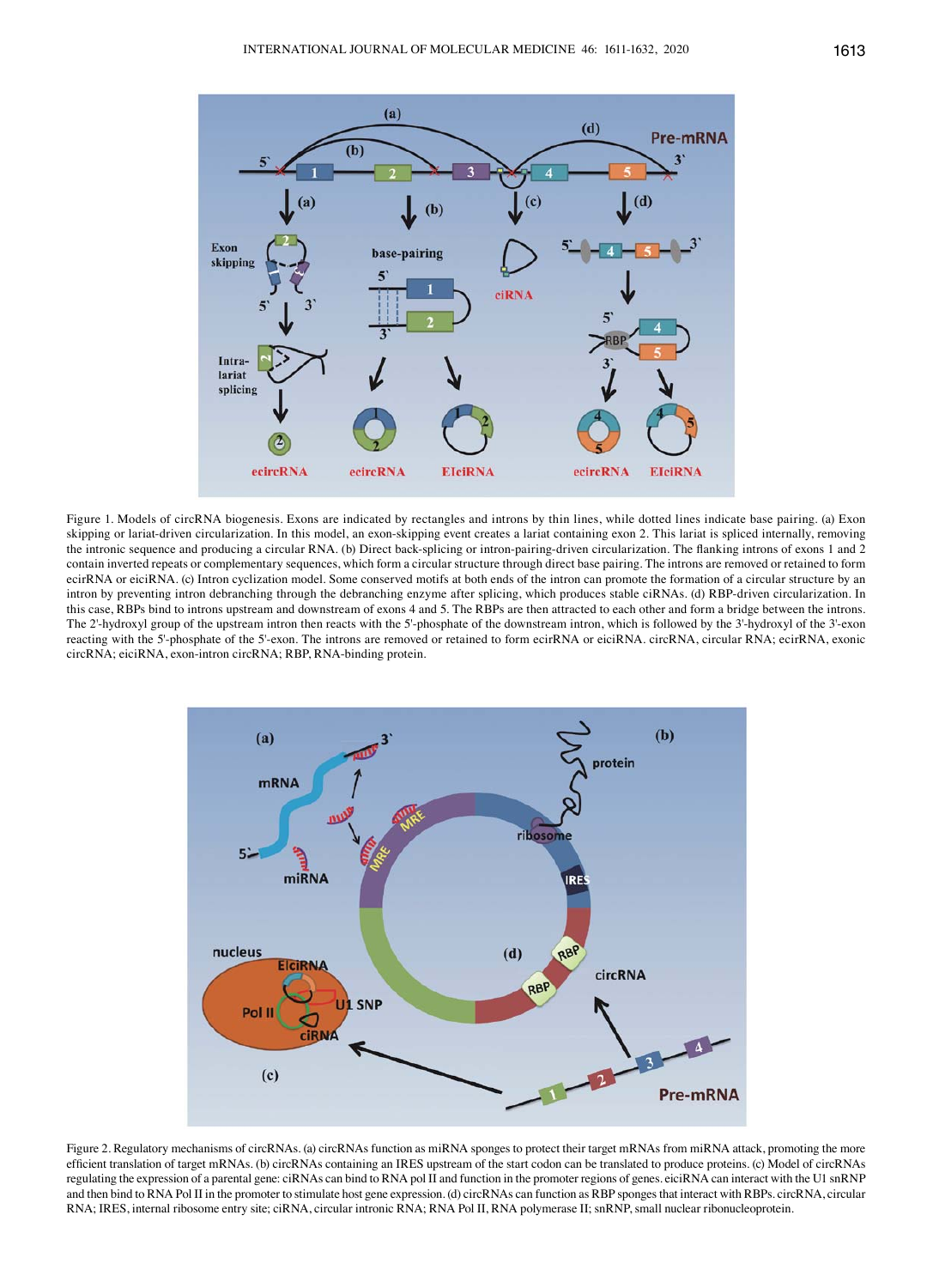

Figure 1. Models of circRNA biogenesis. Exons are indicated by rectangles and introns by thin lines, while dotted lines indicate base pairing. (a) Exon skipping or lariat-driven circularization. In this model, an exon-skipping event creates a lariat containing exon 2. This lariat is spliced internally, removing the intronic sequence and producing a circular RNA. (b) Direct back-splicing or intron-pairing-driven circularization. The flanking introns of exons 1 and 2 contain inverted repeats or complementary sequences, which form a circular structure through direct base pairing. The introns are removed or retained to form ecirRNA or eiciRNA. (c) Intron cyclization model. Some conserved motifs at both ends of the intron can promote the formation of a circular structure by an intron by preventing intron debranching through the debranching enzyme after splicing, which produces stable ciRNAs. (d) RBP-driven circularization. In this case, RBPs bind to introns upstream and downstream of exons 4 and 5. The RBPs are then attracted to each other and form a bridge between the introns. The 2'-hydroxyl group of the upstream intron then reacts with the 5'-phosphate of the downstream intron, which is followed by the 3'-hydroxyl of the 3'-exon reacting with the 5'-phosphate of the 5'-exon. The introns are removed or retained to form ecirRNA or eiciRNA. circRNA, circular RNA; ecirRNA, exonic circRNA; eiciRNA, exon-intron circRNA; RBP, RNA-binding protein.



Figure 2. Regulatory mechanisms of circRNAs. (a) circRNAs function as miRNA sponges to protect their target mRNAs from miRNA attack, promoting the more efficient translation of target mRNAs. (b) circRNAs containing an IRES upstream of the start codon can be translated to produce proteins. (c) Model of circRNAs regulating the expression of a parental gene: ciRNAs can bind to RNA pol II and function in the promoter regions of genes. eiciRNA can interact with the U1 snRNP and then bind to RNA Pol II in the promoter to stimulate host gene expression. (d) circRNAs can function as RBP sponges that interact with RBPs. circRNA, circular RNA; IRES, internal ribosome entry site; ciRNA, circular intronic RNA; RNA Pol II, RNA polymerase II; snRNP, small nuclear ribonucleoprotein.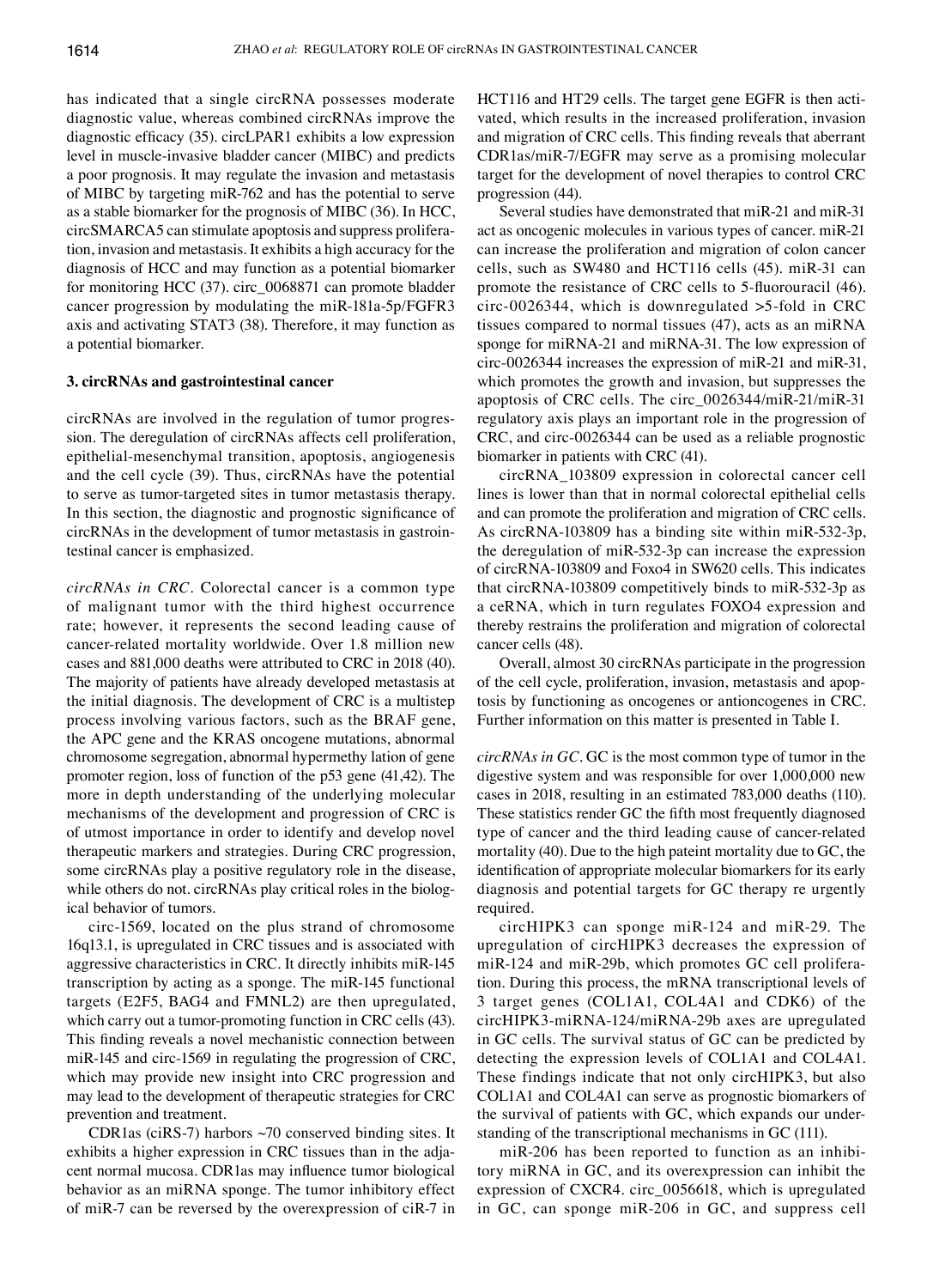has indicated that a single circRNA possesses moderate diagnostic value, whereas combined circRNAs improve the diagnostic efficacy (35). circLPAR1 exhibits a low expression level in muscle-invasive bladder cancer (MIBC) and predicts a poor prognosis. It may regulate the invasion and metastasis of MIBC by targeting miR-762 and has the potential to serve as a stable biomarker for the prognosis of MIBC (36). In HCC, circSMARCA5 can stimulate apoptosis and suppress proliferation, invasion and metastasis. It exhibits a high accuracy for the diagnosis of HCC and may function as a potential biomarker for monitoring HCC (37). circ\_0068871 can promote bladder cancer progression by modulating the miR-181a-5p/FGFR3 axis and activating STAT3 (38). Therefore, it may function as a potential biomarker.

## **3. circRNAs and gastrointestinal cancer**

circRNAs are involved in the regulation of tumor progression. The deregulation of circRNAs affects cell proliferation, epithelial-mesenchymal transition, apoptosis, angiogenesis and the cell cycle (39). Thus, circRNAs have the potential to serve as tumor-targeted sites in tumor metastasis therapy. In this section, the diagnostic and prognostic significance of circRNAs in the development of tumor metastasis in gastrointestinal cancer is emphasized.

*circRNAs in CRC.* Colorectal cancer is a common type of malignant tumor with the third highest occurrence rate; however, it represents the second leading cause of cancer-related mortality worldwide. Over 1.8 million new cases and 881,000 deaths were attributed to CRC in 2018 (40). The majority of patients have already developed metastasis at the initial diagnosis. The development of CRC is a multistep process involving various factors, such as the BRAF gene, the APC gene and the KRAS oncogene mutations, abnormal chromosome segregation, abnormal hypermethy lation of gene promoter region, loss of function of the p53 gene (41,42). The more in depth understanding of the underlying molecular mechanisms of the development and progression of CRC is of utmost importance in order to identify and develop novel therapeutic markers and strategies. During CRC progression, some circRNAs play a positive regulatory role in the disease, while others do not. circRNAs play critical roles in the biological behavior of tumors.

circ-1569, located on the plus strand of chromosome 16q13.1, is upregulated in CRC tissues and is associated with aggressive characteristics in CRC. It directly inhibits miR-145 transcription by acting as a sponge. The miR-145 functional targets (E2F5, BAG4 and FMNL2) are then upregulated, which carry out a tumor-promoting function in CRC cells (43). This finding reveals a novel mechanistic connection between miR-145 and circ-1569 in regulating the progression of CRC, which may provide new insight into CRC progression and may lead to the development of therapeutic strategies for CRC prevention and treatment.

CDR1as (ciRS-7) harbors  $\sim$ 70 conserved binding sites. It exhibits a higher expression in CRC tissues than in the adjacent normal mucosa. CDR1as may influence tumor biological behavior as an miRNA sponge. The tumor inhibitory effect of miR-7 can be reversed by the overexpression of ciR-7 in HCT116 and HT29 cells. The target gene EGFR is then activated, which results in the increased proliferation, invasion and migration of CRC cells. This finding reveals that aberrant CDR1as/miR-7/EGFR may serve as a promising molecular target for the development of novel therapies to control CRC progression (44).

Several studies have demonstrated that miR-21 and miR-31 act as oncogenic molecules in various types of cancer. miR-21 can increase the proliferation and migration of colon cancer cells, such as SW480 and HCT116 cells (45). miR-31 can promote the resistance of CRC cells to 5‑fluorouracil (46). circ-0026344, which is downregulated >5-fold in CRC tissues compared to normal tissues (47), acts as an miRNA sponge for miRNA-21 and miRNA-31. The low expression of circ-0026344 increases the expression of miR-21 and miR-31, which promotes the growth and invasion, but suppresses the apoptosis of CRC cells. The circ\_0026344/miR-21/miR-31 regulatory axis plays an important role in the progression of CRC, and circ-0026344 can be used as a reliable prognostic biomarker in patients with CRC (41).

circRNA\_103809 expression in colorectal cancer cell lines is lower than that in normal colorectal epithelial cells and can promote the proliferation and migration of CRC cells. As circRNA-103809 has a binding site within miR-532-3p, the deregulation of miR-532-3p can increase the expression of circRNA-103809 and Foxo4 in SW620 cells. This indicates that circRNA-103809 competitively binds to miR-532-3p as a ceRNA, which in turn regulates FOXO4 expression and thereby restrains the proliferation and migration of colorectal cancer cells (48).

Overall, almost 30 circRNAs participate in the progression of the cell cycle, proliferation, invasion, metastasis and apoptosis by functioning as oncogenes or antioncogenes in CRC. Further information on this matter is presented in Table I.

*circRNAs in GC.* GC is the most common type of tumor in the digestive system and was responsible for over 1,000,000 new cases in 2018, resulting in an estimated 783,000 deaths (110). These statistics render GC the fifth most frequently diagnosed type of cancer and the third leading cause of cancer-related mortality (40). Due to the high pateint mortality due to GC, the identification of appropriate molecular biomarkers for its early diagnosis and potential targets for GC therapy re urgently required.

circHIPK3 can sponge miR-124 and miR-29. The upregulation of circHIPK3 decreases the expression of miR-124 and miR-29b, which promotes GC cell proliferation. During this process, the mRNA transcriptional levels of 3 target genes (COL1A1, COL4A1 and CDK6) of the circHIPK3-miRNA-124/miRNA-29b axes are upregulated in GC cells. The survival status of GC can be predicted by detecting the expression levels of COL1A1 and COL4A1. These findings indicate that not only circHIPK3, but also COL1A1 and COL4A1 can serve as prognostic biomarkers of the survival of patients with GC, which expands our understanding of the transcriptional mechanisms in GC (111).

miR-206 has been reported to function as an inhibitory miRNA in GC, and its overexpression can inhibit the expression of CXCR4. circ\_0056618, which is upregulated in GC, can sponge miR-206 in GC, and suppress cell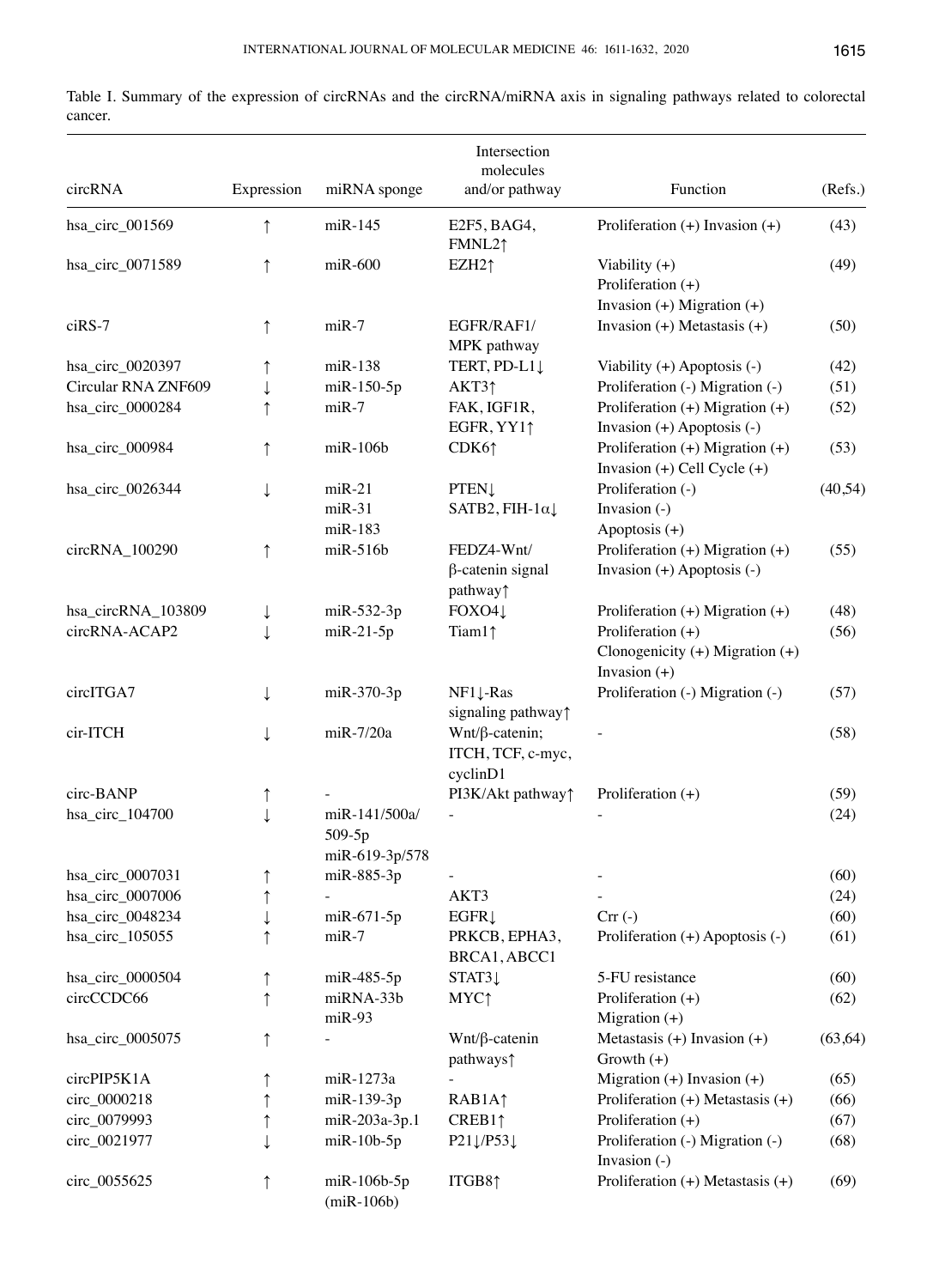| circRNA             | Expression | miRNA sponge                              | Intersection<br>molecules<br>and/or pathway            | Function                                                                 | (Refs.)  |
|---------------------|------------|-------------------------------------------|--------------------------------------------------------|--------------------------------------------------------------------------|----------|
| hsa_circ_001569     |            | $m$ i $R-145$                             | E2F5, BAG4,<br>FMNL21                                  | Proliferation $(+)$ Invasion $(+)$                                       | (43)     |
| hsa_circ_0071589    |            | $miR-600$                                 | EZH2 <sub>1</sub>                                      | Viability $(+)$<br>Proliferation $(+)$<br>Invasion $(+)$ Migration $(+)$ | (49)     |
| ciRS-7              | ↑          | $miR-7$                                   | EGFR/RAF1/<br>MPK pathway                              | Invasion $(+)$ Metastasis $(+)$                                          | (50)     |
| hsa_circ_0020397    |            | $m$ i $R-138$                             | TERT, PD-L1                                            | Viability $(+)$ Apoptosis $(-)$                                          | (42)     |
| Circular RNA ZNF609 |            | miR-150-5p                                | AKT31                                                  | Proliferation (-) Migration (-)                                          | (51)     |
| hsa_circ_0000284    |            | $miR-7$                                   | FAK, IGF1R,<br>EGFR, YY11                              | Proliferation $(+)$ Migration $(+)$<br>Invasion $(+)$ Apoptosis $(-)$    | (52)     |
| hsa_circ_000984     |            | $m$ i $R-106b$                            | CDK6 <sup>†</sup>                                      | Proliferation $(+)$ Migration $(+)$<br>Invasion $(+)$ Cell Cycle $(+)$   | (53)     |
| hsa_circ_0026344    |            | $miR-21$<br>$miR-31$<br>$m$ i $R-183$     | <b>PTEN1</b><br>SATB2, FIH- $1\alpha\downarrow$        | Proliferation (-)<br>Invasion (-)<br>Apoptosis (+)                       | (40, 54) |
| circRNA_100290      | ↑          | $m$ i $R-516b$                            | FEDZ4-Wnt/<br>β-catenin signal<br>pathway <sup>1</sup> | Proliferation $(+)$ Migration $(+)$<br>Invasion $(+)$ Apoptosis $(-)$    | (55)     |
| hsa_circRNA_103809  | ↓          | $m$ iR-532-3p                             | FOXO41                                                 | Proliferation $(+)$ Migration $(+)$                                      | (48)     |
| circRNA-ACAP2       |            | $miR-21-5p$                               | Tiam11                                                 | Proliferation $(+)$<br>Clonogenicity (+) Migration (+)<br>Invasion $(+)$ | (56)     |
| circITGA7           |            | miR-370-3p                                | $NF1\downarrow$ -Ras<br>signaling pathway <sup>↑</sup> | Proliferation (-) Migration (-)                                          | (57)     |
| cir-ITCH            |            | $miR-7/20a$                               | $Wnt/\beta$ -catenin;<br>ITCH, TCF, c-myc,<br>cyclinD1 |                                                                          | (58)     |
| circ-BANP           |            |                                           | PI3K/Akt pathway <sup>↑</sup>                          | Proliferation $(+)$                                                      | (59)     |
| hsa_circ_104700     |            | miR-141/500a/<br>509-5p<br>miR-619-3p/578 |                                                        |                                                                          | (24)     |
| hsa_circ_0007031    | ↑          | miR-885-3p                                |                                                        |                                                                          | (60)     |
| hsa_circ_0007006    | ↑          |                                           | AKT3                                                   |                                                                          | (24)     |
| hsa_circ_0048234    |            | $m$ iR-671-5p                             | EGFR                                                   | $Crr(-)$                                                                 | (60)     |
| hsa_circ_105055     |            | $miR-7$                                   | PRKCB, EPHA3,<br>BRCA1, ABCC1                          | Proliferation (+) Apoptosis (-)                                          | (61)     |
| hsa_circ_0000504    |            | $m$ iR-485-5p                             | $STAT3\downarrow$                                      | 5-FU resistance                                                          | (60)     |
| circCCDC66          |            | miRNA-33b<br>$miR-93$                     | <b>MYC</b> <sup>↑</sup>                                | Proliferation $(+)$<br>Migration $(+)$                                   | (62)     |
| hsa_circ_0005075    | ↑          |                                           | $Wnt/\beta$ -catenin<br>pathways?                      | Metastasis $(+)$ Invasion $(+)$<br>Growth $(+)$                          | (63, 64) |
| circPIP5K1A         |            | miR-1273a                                 |                                                        | Migration $(+)$ Invasion $(+)$                                           | (65)     |
| circ_0000218        |            | miR-139-3p                                | RAB1A <sup>1</sup>                                     | Proliferation $(+)$ Metastasis $(+)$                                     | (66)     |
| circ_0079993        |            | miR-203a-3p.1                             | CREB11                                                 | Proliferation $(+)$                                                      | (67)     |
| circ_0021977        |            | $m$ i $R-10b-5p$                          | $P21\downarrow$ /P53 $\downarrow$                      | Proliferation (-) Migration (-)<br>Invasion $(-)$                        | (68)     |
| circ_0055625        | ↑          | $m$ i $R-106b-5p$<br>$(miR-106b)$         | ITGB81                                                 | Proliferation $(+)$ Metastasis $(+)$                                     | (69)     |

Table I. Summary of the expression of circRNAs and the circRNA/miRNA axis in signaling pathways related to colorectal cancer.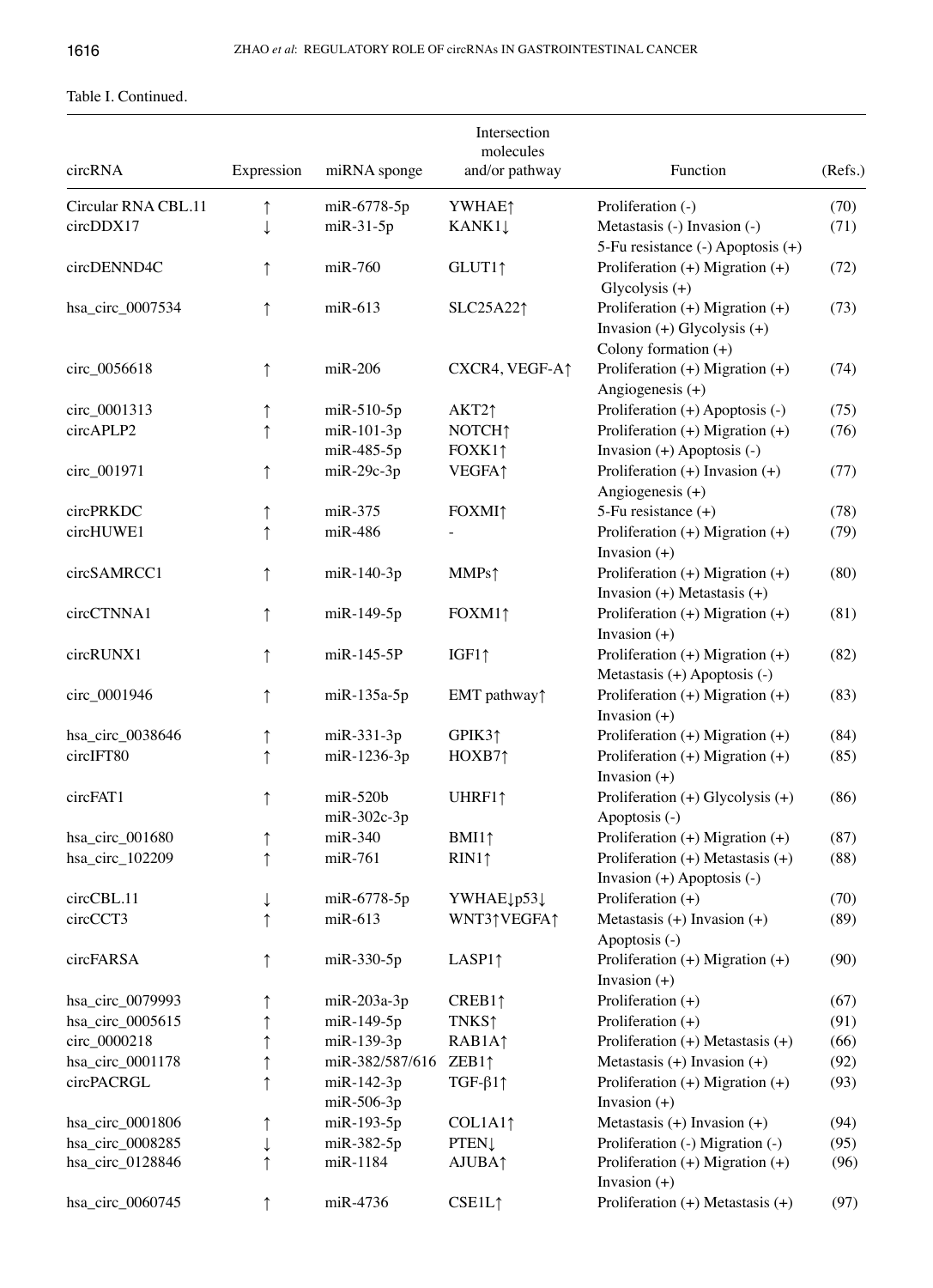# Table I. Continued.

|                     |            |                                 | Intersection<br>molecules |                                                                                                  |         |
|---------------------|------------|---------------------------------|---------------------------|--------------------------------------------------------------------------------------------------|---------|
| circRNA             | Expression | miRNA sponge                    | and/or pathway            | Function                                                                                         | (Refs.) |
| Circular RNA CBL.11 | $\uparrow$ | miR-6778-5p                     | YWHAE <sup>1</sup>        | Proliferation (-)                                                                                | (70)    |
| circDDX17           | ↓          | $m$ i $R-31-5p$                 | KANK11                    | Metastasis (-) Invasion (-)<br>5-Fu resistance (-) Apoptosis (+)                                 | (71)    |
| circDENND4C         | $\uparrow$ | $miR-760$                       | GLUT11                    | Proliferation $(+)$ Migration $(+)$<br>Glycolysis $(+)$                                          | (72)    |
| hsa_circ_0007534    | ↑          | $m$ i $R-613$                   | SLC25A221                 | Proliferation $(+)$ Migration $(+)$<br>Invasion $(+)$ Glycolysis $(+)$<br>Colony formation $(+)$ | (73)    |
| circ_0056618        | $\uparrow$ | $miR-206$                       | CXCR4, VEGF-A↑            | Proliferation (+) Migration (+)<br>Angiogenesis $(+)$                                            | (74)    |
| circ_0001313        | ↑          | $m$ i $R-510-5p$                | AKT2↑                     | Proliferation (+) Apoptosis (-)                                                                  | (75)    |
| circAPLP2           | $\uparrow$ | miR-101-3p                      | NOTCH <sub>1</sub>        | Proliferation (+) Migration (+)                                                                  | (76)    |
|                     |            | miR-485-5p                      | FOXK11                    | Invasion $(+)$ Apoptosis $(-)$                                                                   |         |
| circ_001971         | $\uparrow$ | $m$ i $R-29c-3p$                | <b>VEGFA</b> <sup>1</sup> | Proliferation $(+)$ Invasion $(+)$<br>Angiogenesis $(+)$                                         | (77)    |
| circPRKDC           | ↑          | $miR-375$                       | <b>FOXMI</b> <sup>↑</sup> | 5-Fu resistance (+)                                                                              | (78)    |
| circHUWE1           | ↑          | $miR-486$                       |                           | Proliferation $(+)$ Migration $(+)$<br>Invasion $(+)$                                            | (79)    |
| circSAMRCC1         | ↑          | $m$ i $R-140-3p$                | MMPs <sup>†</sup>         | Proliferation $(+)$ Migration $(+)$<br>Invasion $(+)$ Metastasis $(+)$                           | (80)    |
| circCTNNA1          |            | miR-149-5p                      | FOXM11                    | Proliferation (+) Migration (+)<br>Invasion $(+)$                                                | (81)    |
| circRUNX1           | ↑          | $m$ iR-145-5P                   | $IGF1\uparrow$            | Proliferation (+) Migration (+)<br>Metastasis $(+)$ Apoptosis $(-)$                              | (82)    |
| circ_0001946        | $\uparrow$ | $m$ i $R-135a-5p$               | EMT pathway <sup>↑</sup>  | Proliferation $(+)$ Migration $(+)$<br>Invasion $(+)$                                            | (83)    |
| hsa_circ_0038646    | ↑          | miR-331-3p                      | GPIK31                    | Proliferation $(+)$ Migration $(+)$                                                              | (84)    |
| circIFT80           | $\uparrow$ | miR-1236-3p                     | HOXB71                    | Proliferation (+) Migration (+)<br>Invasion $(+)$                                                | (85)    |
| circFAT1            | $\uparrow$ | $m$ i $R-520b$<br>$miR-302c-3p$ | UHRF11                    | Proliferation $(+)$ Glycolysis $(+)$<br>Apoptosis (-)                                            | (86)    |
| hsa_circ_001680     | $\uparrow$ | $miR-340$                       | BMI1↑                     | Proliferation $(+)$ Migration $(+)$                                                              | (87)    |
| hsa_circ_102209     | $\uparrow$ | miR-761                         | RIN1↑                     | Proliferation $(+)$ Metastasis $(+)$<br>Invasion $(+)$ Apoptosis $(-)$                           | (88)    |
| circCBL.11          | ↓          | miR-6778-5p                     | YWHAE1p531                | Proliferation $(+)$                                                                              | (70)    |
| circCCT3            |            | miR-613                         | WNT31VEGFA1               | Metastasis $(+)$ Invasion $(+)$<br>Apoptosis (-)                                                 | (89)    |
| circFARSA           |            | miR-330-5p                      | LASP1 $\uparrow$          | Proliferation $(+)$ Migration $(+)$<br>Invasion $(+)$                                            | (90)    |
| hsa_circ_0079993    |            | $miR-203a-3p$                   | CREB11                    | Proliferation $(+)$                                                                              | (67)    |
| hsa_circ_0005615    |            | miR-149-5p                      | <b>TNKS</b> ↑             | Proliferation $(+)$                                                                              | (91)    |
| circ_0000218        |            | miR-139-3p                      | RAB1A1                    | Proliferation $(+)$ Metastasis $(+)$                                                             | (66)    |
| hsa_circ_0001178    | ↑          | miR-382/587/616                 | ZEB1 $\uparrow$           | Metastasis $(+)$ Invasion $(+)$                                                                  | (92)    |
| circPACRGL          | $\uparrow$ | $m$ i $R-142-3p$<br>miR-506-3p  | TGF- $\beta$ 11           | Proliferation $(+)$ Migration $(+)$<br>Invasion $(+)$                                            | (93)    |
| hsa_circ_0001806    |            | miR-193-5p                      | COL1A1 <sup>↑</sup>       | Metastasis $(+)$ Invasion $(+)$                                                                  | (94)    |
| hsa_circ_0008285    |            | miR-382-5p                      | <b>PTEN</b>               | Proliferation (-) Migration (-)                                                                  | (95)    |
| hsa_circ_0128846    |            | miR-1184                        | AJUBA <sub>1</sub>        | Proliferation $(+)$ Migration $(+)$<br>Invasion $(+)$                                            | (96)    |
| hsa_circ_0060745    |            | miR-4736                        | CSE1L1                    | Proliferation $(+)$ Metastasis $(+)$                                                             | (97)    |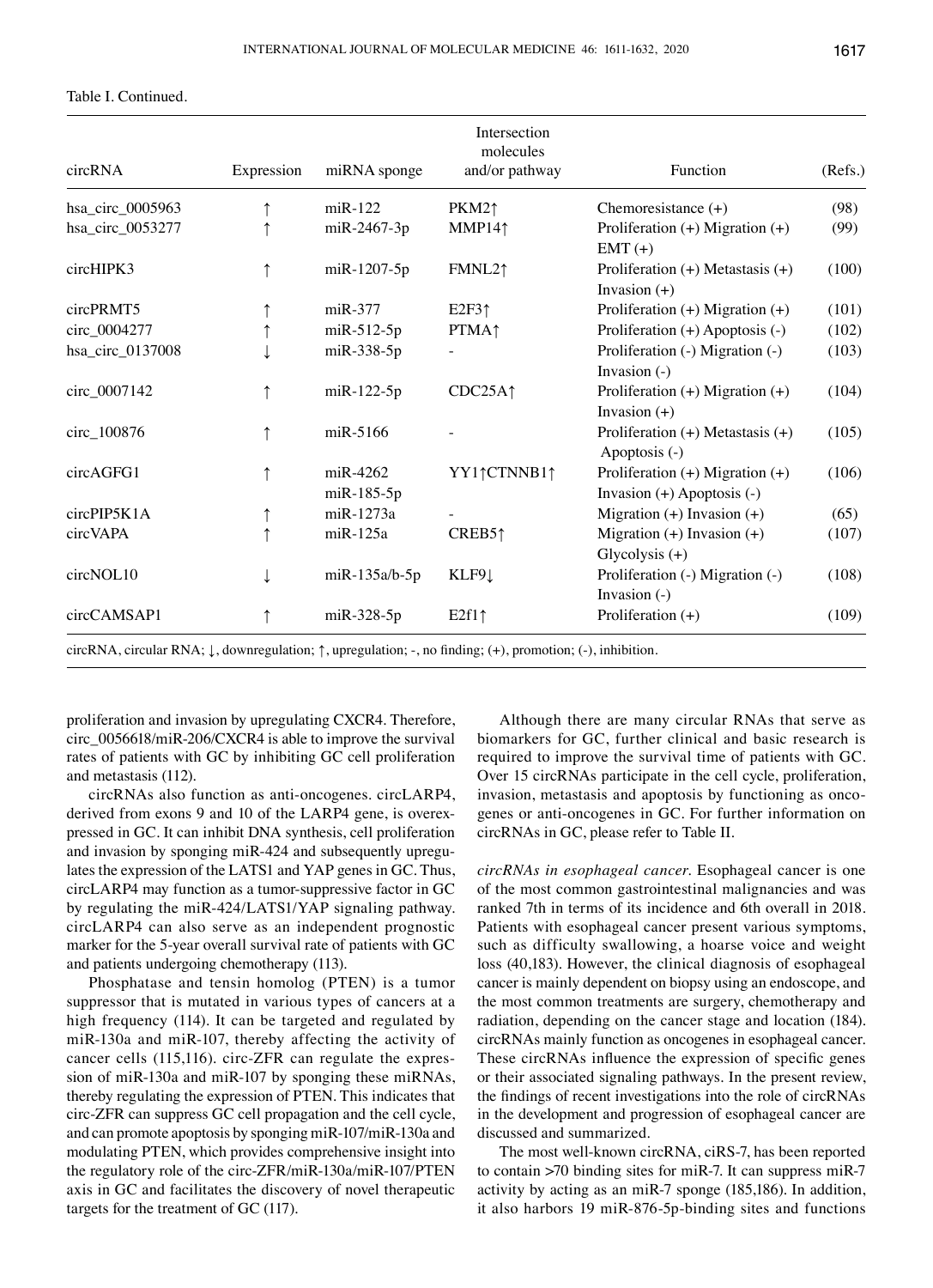## Table I. Continued.

| circRNA          | Expression | miRNA sponge           | Intersection<br>molecules<br>and/or pathway | Function                                                              | (Refs.) |
|------------------|------------|------------------------|---------------------------------------------|-----------------------------------------------------------------------|---------|
| hsa_circ_0005963 |            | $m$ i $R-122$          | $PKM2\uparrow$                              | Chemoresistance $(+)$                                                 | (98)    |
| hsa_circ_0053277 |            | miR-2467-3p            | MMP14 <sub>1</sub>                          | Proliferation (+) Migration (+)<br>$EMT (+)$                          | (99)    |
| circHIPK3        |            | miR-1207-5p            | FMNL21                                      | Proliferation $(+)$ Metastasis $(+)$<br>Invasion $(+)$                | (100)   |
| circPRMT5        |            | $miR-377$              | E2F3 <sup>†</sup>                           | Proliferation $(+)$ Migration $(+)$                                   | (101)   |
| circ_0004277     |            | $m$ iR-512-5p          | <b>PTMA</b> <sup>↑</sup>                    | Proliferation (+) Apoptosis (-)                                       | (102)   |
| hsa_circ_0137008 |            | miR-338-5p             |                                             | Proliferation (-) Migration (-)<br>Invasion $(-)$                     | (103)   |
| circ_0007142     |            | $m$ i $R-122-5p$       | CDC25A <sub>1</sub>                         | Proliferation $(+)$ Migration $(+)$<br>Invasion $(+)$                 | (104)   |
| circ_100876      |            | miR-5166               |                                             | Proliferation $(+)$ Metastasis $(+)$<br>Apoptosis (-)                 | (105)   |
| circAGFG1        |            | miR-4262<br>miR-185-5p | YY1↑CTNNB1↑                                 | Proliferation $(+)$ Migration $(+)$<br>Invasion $(+)$ Apoptosis $(-)$ | (106)   |
| circPIP5K1A      |            | miR-1273a              |                                             | Migration $(+)$ Invasion $(+)$                                        | (65)    |
| circVAPA         |            | $m$ i $R-125a$         | CREB5 <sub>1</sub>                          | Migration $(+)$ Invasion $(+)$<br>Glycolysis $(+)$                    | (107)   |
| circNOL10        |            | $m$ i $R-135a/b-5p$    | KLF91                                       | Proliferation (-) Migration (-)<br>Invasion $(-)$                     | (108)   |
| circCAMSAP1      |            | $m$ iR-328-5p          | $E2f1\uparrow$                              | Proliferation $(+)$                                                   | (109)   |

circRNA, circular RNA; ↓, downregulation; ↑, upregulation; ‑, no finding; (+), promotion; (‑), inhibition.

proliferation and invasion by upregulating CXCR4. Therefore, circ\_0056618/miR-206/CXCR4 is able to improve the survival rates of patients with GC by inhibiting GC cell proliferation and metastasis (112).

circRNAs also function as anti-oncogenes. circLARP4, derived from exons 9 and 10 of the LARP4 gene, is overexpressed in GC. It can inhibit DNA synthesis, cell proliferation and invasion by sponging miR-424 and subsequently upregulates the expression of the LATS1 and YAP genes in GC. Thus, circLARP4 may function as a tumor-suppressive factor in GC by regulating the miR-424/LATS1/YAP signaling pathway. circLARP4 can also serve as an independent prognostic marker for the 5-year overall survival rate of patients with GC and patients undergoing chemotherapy (113).

Phosphatase and tensin homolog (PTEN) is a tumor suppressor that is mutated in various types of cancers at a high frequency (114). It can be targeted and regulated by miR-130a and miR-107, thereby affecting the activity of cancer cells (115,116). circ-ZFR can regulate the expression of miR-130a and miR-107 by sponging these miRNAs, thereby regulating the expression of PTEN. This indicates that circ-ZFR can suppress GC cell propagation and the cell cycle, and can promote apoptosis by sponging miR-107/miR-130a and modulating PTEN, which provides comprehensive insight into the regulatory role of the circ-ZFR/miR-130a/miR-107/PTEN axis in GC and facilitates the discovery of novel therapeutic targets for the treatment of GC (117).

Although there are many circular RNAs that serve as biomarkers for GC, further clinical and basic research is required to improve the survival time of patients with GC. Over 15 circRNAs participate in the cell cycle, proliferation, invasion, metastasis and apoptosis by functioning as oncogenes or anti-oncogenes in GC. For further information on circRNAs in GC, please refer to Table II.

*circRNAs in esophageal cancer.* Esophageal cancer is one of the most common gastrointestinal malignancies and was ranked 7th in terms of its incidence and 6th overall in 2018. Patients with esophageal cancer present various symptoms, such as difficulty swallowing, a hoarse voice and weight loss (40,183). However, the clinical diagnosis of esophageal cancer is mainly dependent on biopsy using an endoscope, and the most common treatments are surgery, chemotherapy and radiation, depending on the cancer stage and location (184). circRNAs mainly function as oncogenes in esophageal cancer. These circRNAs influence the expression of specific genes or their associated signaling pathways. In the present review, the findings of recent investigations into the role of circRNAs in the development and progression of esophageal cancer are discussed and summarized.

The most well-known circRNA, ciRS-7, has been reported to contain >70 binding sites for miR-7. It can suppress miR-7 activity by acting as an miR-7 sponge (185,186). In addition, it also harbors 19 miR-876-5p-binding sites and functions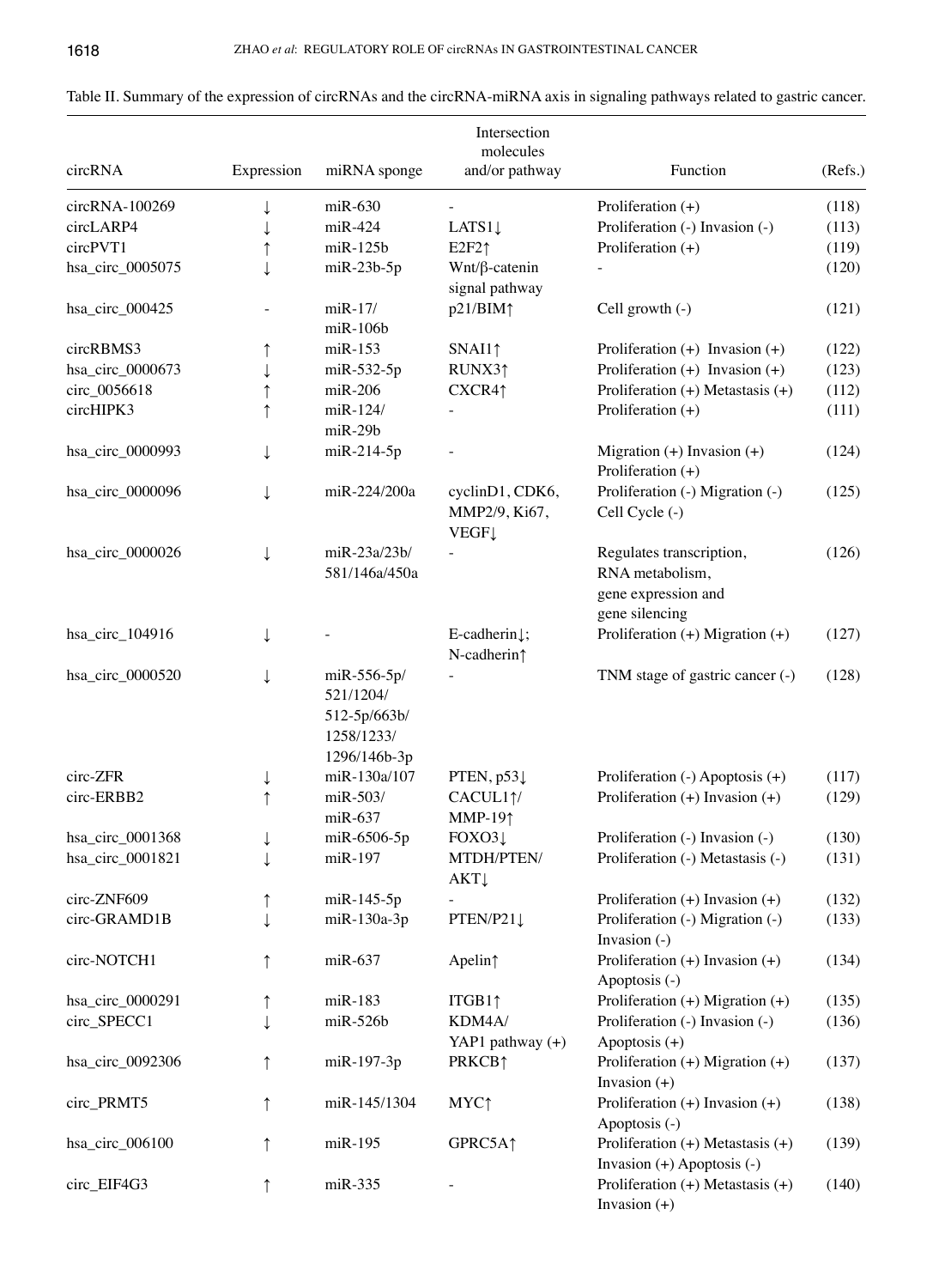| circRNA          | Expression | miRNA sponge                                                           | Intersection<br>molecules<br>and/or pathway          | Function                                                                             | (Refs.) |
|------------------|------------|------------------------------------------------------------------------|------------------------------------------------------|--------------------------------------------------------------------------------------|---------|
| circRNA-100269   |            | $m$ i $R-630$                                                          |                                                      | Proliferation $(+)$                                                                  | (118)   |
| circLARP4        |            | $miR-424$                                                              | LATS $1\downarrow$                                   | Proliferation (-) Invasion (-)                                                       | (113)   |
| circPVT1         |            | $m$ i $R-125b$                                                         | $E2F2\uparrow$                                       | Proliferation $(+)$                                                                  | (119)   |
|                  |            |                                                                        |                                                      |                                                                                      |         |
| hsa_circ_0005075 |            | $m$ iR-23b-5p                                                          | $Wnt/\beta$ -catenin<br>signal pathway               |                                                                                      | (120)   |
| hsa_circ_000425  |            | $m$ i $R-17/$<br>miR-106b                                              | $p21/BIM\uparrow$                                    | Cell growth $(-)$                                                                    | (121)   |
| circRBMS3        |            | $m$ i $R-153$                                                          | SNAI1                                                | Proliferation $(+)$ Invasion $(+)$                                                   | (122)   |
| hsa_circ_0000673 |            | $m$ iR-532-5p                                                          | RUNX31                                               | Proliferation $(+)$ Invasion $(+)$                                                   | (123)   |
| circ_0056618     |            | $miR-206$                                                              | CXCR4↑                                               | Proliferation $(+)$ Metastasis $(+)$                                                 | (112)   |
| circHIPK3        |            | miR-124/                                                               |                                                      | Proliferation $(+)$                                                                  | (111)   |
|                  |            | $m$ i $R-29b$                                                          |                                                      |                                                                                      |         |
| hsa_circ_0000993 |            | $miR-214-5p$                                                           |                                                      | Migration $(+)$ Invasion $(+)$<br>Proliferation $(+)$                                | (124)   |
| hsa_circ_0000096 |            | miR-224/200a                                                           | cyclinD1, CDK6,<br>MMP2/9, Ki67,<br><b>VEGF1</b>     | Proliferation (-) Migration (-)<br>Cell Cycle (-)                                    | (125)   |
| hsa_circ_0000026 | ↓          | miR-23a/23b/<br>581/146a/450a                                          |                                                      | Regulates transcription,<br>RNA metabolism,<br>gene expression and<br>gene silencing | (126)   |
| hsa_circ_104916  |            |                                                                        | E-cadherin $\downarrow$ ;<br>N-cadherin <sup>↑</sup> | Proliferation (+) Migration (+)                                                      | (127)   |
| hsa_circ_0000520 |            | miR-556-5p/<br>521/1204/<br>512-5p/663b/<br>1258/1233/<br>1296/146b-3p |                                                      | TNM stage of gastric cancer (-)                                                      | (128)   |
| circ-ZFR         | ↓          | miR-130a/107                                                           | PTEN, p53↓                                           | Proliferation (-) Apoptosis (+)                                                      | (117)   |
| circ-ERBB2       |            | miR-503/                                                               | CACUL11/                                             | Proliferation $(+)$ Invasion $(+)$                                                   | (129)   |
|                  |            | $miR-637$                                                              | <b>MMP-191</b>                                       |                                                                                      |         |
| hsa_circ_0001368 |            | miR-6506-5p                                                            | FOXO31                                               | Proliferation (-) Invasion (-)                                                       | (130)   |
| hsa_circ_0001821 |            | miR-197                                                                | MTDH/PTEN/<br><b>AKT</b>                             | Proliferation (-) Metastasis (-)                                                     | (131)   |
| circ-ZNF609      |            | $m$ i $R-145-5p$                                                       |                                                      | Proliferation $(+)$ Invasion $(+)$                                                   | (132)   |
| circ-GRAMD1B     |            | $m$ i $R-130a-3p$                                                      | PTEN/P21↓                                            | Proliferation (-) Migration (-)<br>Invasion $(-)$                                    | (133)   |
| circ-NOTCH1      |            | $m$ iR-637                                                             | Apelin <sup>↑</sup>                                  | Proliferation $(+)$ Invasion $(+)$<br>Apoptosis (-)                                  | (134)   |
| hsa_circ_0000291 |            | $m$ i $R-183$                                                          | ITGB1 <sub>1</sub>                                   | Proliferation (+) Migration (+)                                                      | (135)   |
| circ_SPECC1      |            | $m$ iR-526b                                                            | KDM4A/                                               | Proliferation (-) Invasion (-)                                                       | (136)   |
|                  |            |                                                                        | YAP1 pathway (+)                                     | Apoptosis (+)                                                                        |         |
| hsa_circ_0092306 |            | miR-197-3p                                                             | PRKCB <sup>1</sup>                                   | Proliferation $(+)$ Migration $(+)$<br>Invasion $(+)$                                | (137)   |
| circ_PRMT5       |            | miR-145/1304                                                           | MYC <sub>1</sub>                                     | Proliferation $(+)$ Invasion $(+)$<br>Apoptosis (-)                                  | (138)   |
| hsa_circ_006100  |            | miR-195                                                                | GPRC5A1                                              | Proliferation $(+)$ Metastasis $(+)$<br>Invasion $(+)$ Apoptosis $(-)$               | (139)   |
| circ_EIF4G3      |            | miR-335                                                                |                                                      | Proliferation (+) Metastasis (+)<br>Invasion $(+)$                                   | (140)   |

Table II. Summary of the expression of circRNAs and the circRNA-miRNA axis in signaling pathways related to gastric cancer.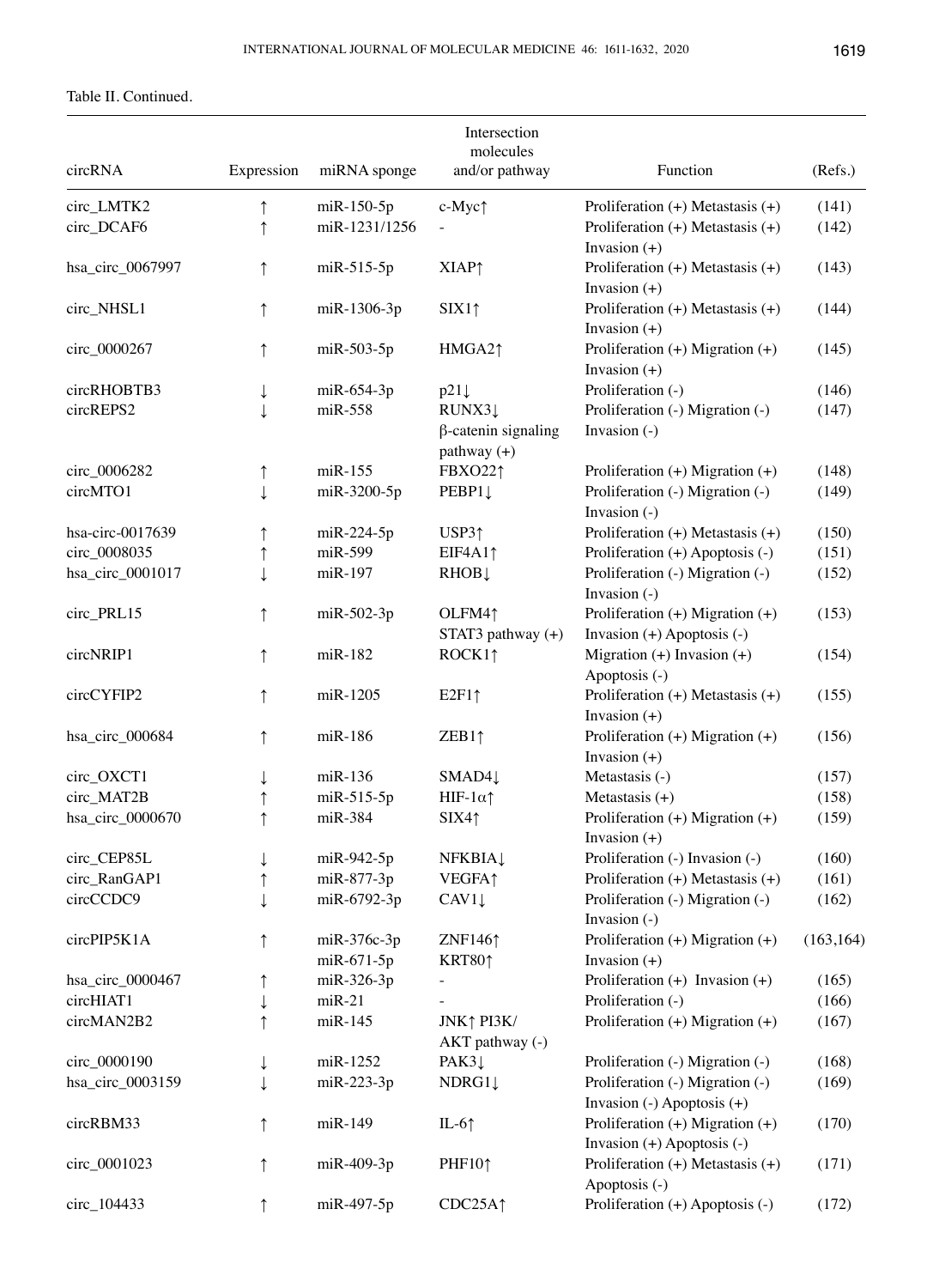## Table II. Continued.

|                  |              |               | Intersection<br>molecules                             |                                                                       |            |
|------------------|--------------|---------------|-------------------------------------------------------|-----------------------------------------------------------------------|------------|
| circRNA          | Expression   | miRNA sponge  | and/or pathway                                        | Function                                                              | (Refs.)    |
| circ_LMTK2       | $\uparrow$   | miR-150-5p    | c-Myc $\uparrow$                                      | Proliferation $(+)$ Metastasis $(+)$                                  | (141)      |
| circ_DCAF6       | $\uparrow$   | miR-1231/1256 |                                                       | Proliferation $(+)$ Metastasis $(+)$<br>Invasion $(+)$                | (142)      |
| hsa_circ_0067997 | $\uparrow$   | $m$ iR-515-5p | <b>XIAP</b> <sup>1</sup>                              | Proliferation $(+)$ Metastasis $(+)$<br>Invasion $(+)$                | (143)      |
| circ_NHSL1       | ↑            | miR-1306-3p   | SIX1                                                  | Proliferation $(+)$ Metastasis $(+)$<br>Invasion $(+)$                | (144)      |
| circ_0000267     | ↑            | miR-503-5p    | HMGA21                                                | Proliferation $(+)$ Migration $(+)$<br>Invasion $(+)$                 | (145)      |
| circRHOBTB3      | ↓            | $m$ iR-654-3p | $p21\downarrow$                                       | Proliferation (-)                                                     | (146)      |
| circREPS2        | $\downarrow$ | $miR-558$     | RUNX31<br>$\beta$ -catenin signaling<br>$pathway (+)$ | Proliferation (-) Migration (-)<br>Invasion (-)                       | (147)      |
| circ_0006282     | ↑            | $m$ i $R-155$ | FBXO221                                               | Proliferation $(+)$ Migration $(+)$                                   | (148)      |
| circMTO1         | ↓            | miR-3200-5p   | PEBP1↓                                                | Proliferation (-) Migration (-)<br>Invasion (-)                       | (149)      |
| hsa-circ-0017639 | ↑            | $m$ iR-224-5p | USP3 <sub>1</sub>                                     | Proliferation $(+)$ Metastasis $(+)$                                  | (150)      |
| circ_0008035     | ↑            | miR-599       | EIF4A11                                               | Proliferation (+) Apoptosis (-)                                       | (151)      |
| hsa_circ_0001017 | ↓            | miR-197       | RHOB↓                                                 | Proliferation (-) Migration (-)<br>Invasion (-)                       | (152)      |
| circ_PRL15       | ↑            | $m$ iR-502-3p | OLFM41<br>STAT3 pathway (+)                           | Proliferation $(+)$ Migration $(+)$<br>Invasion $(+)$ Apoptosis $(-)$ | (153)      |
| circNRIP1        | $\uparrow$   | $m$ i $R-182$ | ROCK1 <sub>1</sub>                                    | Migration $(+)$ Invasion $(+)$<br>Apoptosis (-)                       | (154)      |
| circCYFIP2       | ↑            | miR-1205      | $E2F1\uparrow$                                        | Proliferation $(+)$ Metastasis $(+)$<br>Invasion $(+)$                | (155)      |
| hsa_circ_000684  | ↑            | miR-186       | ZEB1↑                                                 | Proliferation $(+)$ Migration $(+)$<br>Invasion $(+)$                 | (156)      |
| circ_OXCT1       | ↓            | $m$ i $R-136$ | SMAD41                                                | Metastasis (-)                                                        | (157)      |
| circ_MAT2B       |              | miR-515-5p    | HIF- $1\alpha$ $\uparrow$                             | Metastasis $(+)$                                                      | (158)      |
| hsa_circ_0000670 |              | miR-384       | SIX41                                                 | Proliferation (+) Migration (+)<br>Invasion $(+)$                     | (159)      |
| circ_CEP85L      | ↓            | miR-942-5p    | <b>NFKBIA1</b>                                        | Proliferation (-) Invasion (-)                                        | (160)      |
| circ_RanGAP1     | $\uparrow$   | miR-877-3p    | <b>VEGFA1</b>                                         | Proliferation $(+)$ Metastasis $(+)$                                  | (161)      |
| circCCDC9        | $\downarrow$ | miR-6792-3p   | CAV1                                                  | Proliferation (-) Migration (-)<br>Invasion (-)                       | (162)      |
| circPIP5K1A      | ↑            | $miR-376c-3p$ | ZNF1461                                               | Proliferation $(+)$ Migration $(+)$                                   | (163, 164) |
|                  |              | miR-671-5p    | KRT80↑                                                | Invasion $(+)$                                                        |            |
| hsa_circ_0000467 | ↑            | miR-326-3p    |                                                       | Proliferation $(+)$ Invasion $(+)$                                    | (165)      |
| circHIAT1        | ↓            | $miR-21$      |                                                       | Proliferation (-)                                                     | (166)      |
| circMAN2B2       | ↑            | $m$ i $R-145$ | JNK↑ PI3K/<br>AKT pathway (-)                         | Proliferation $(+)$ Migration $(+)$                                   | (167)      |
| circ_0000190     | ↓            | miR-1252      | $PAK3\downarrow$                                      | Proliferation (-) Migration (-)                                       | (168)      |
| hsa_circ_0003159 | ↓            | $m$ iR-223-3p | NDRG1↓                                                | Proliferation (-) Migration (-)<br>Invasion $(-)$ Apoptosis $(+)$     | (169)      |
| circRBM33        | $\uparrow$   | miR-149       | IL-6 $\uparrow$                                       | Proliferation $(+)$ Migration $(+)$<br>Invasion $(+)$ Apoptosis $(-)$ | (170)      |
| circ_0001023     | $\uparrow$   | miR-409-3p    | PHF101                                                | Proliferation $(+)$ Metastasis $(+)$<br>Apoptosis (-)                 | (171)      |
| circ_104433      | ↑            | miR-497-5p    | CDC25A↑                                               | Proliferation (+) Apoptosis (-)                                       | (172)      |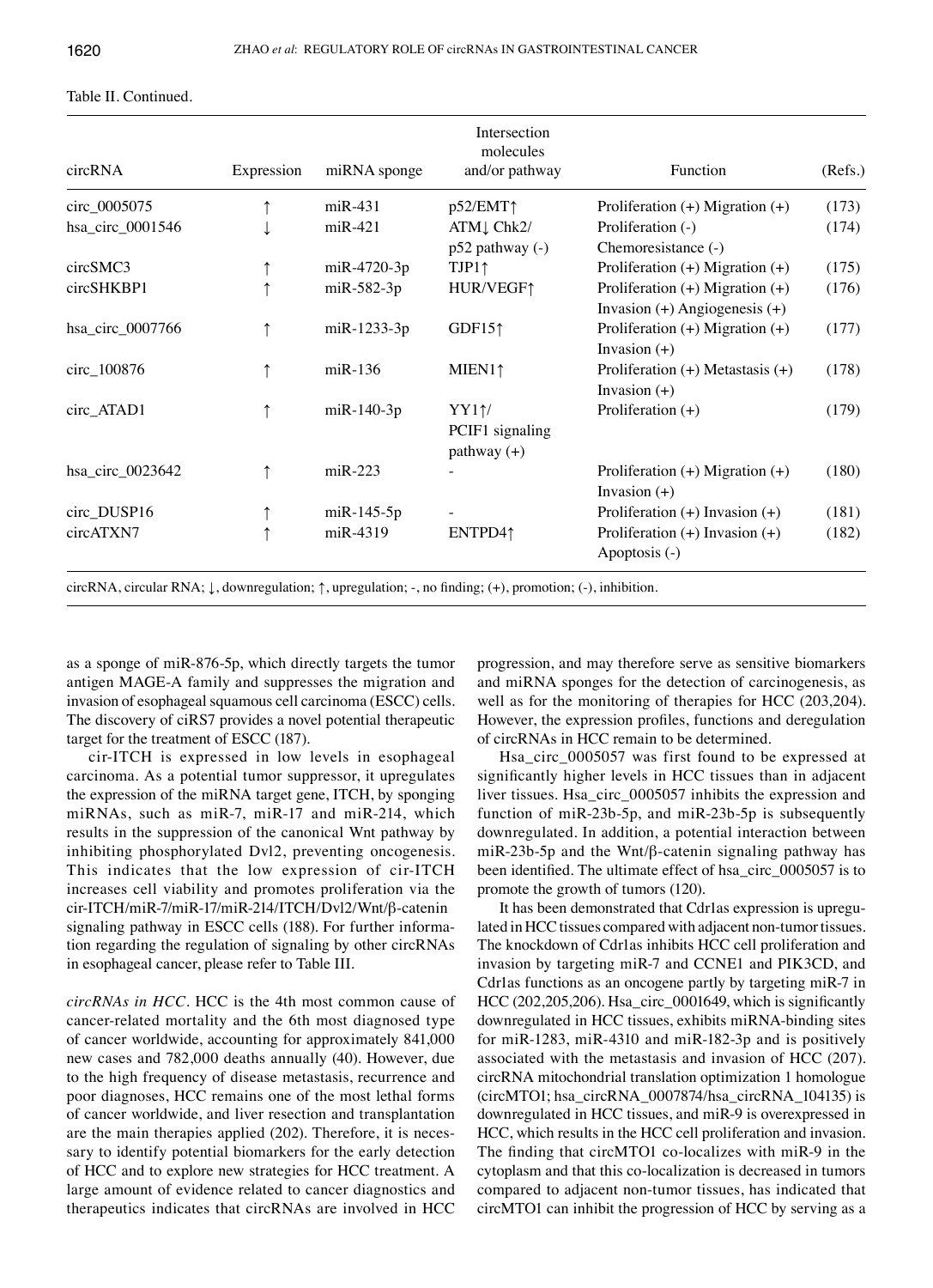| circRNA          | Expression | miRNA sponge     | Intersection<br>molecules<br>and/or pathway     | Function                                                                 | (Refs.) |
|------------------|------------|------------------|-------------------------------------------------|--------------------------------------------------------------------------|---------|
| circ_0005075     |            | $m$ iR-431       | p52/EMT↑                                        | Proliferation $(+)$ Migration $(+)$                                      | (173)   |
| hsa_circ_0001546 |            | $miR-421$        | ATM L Chk2/<br>$p52$ pathway $(-)$              | Proliferation (-)<br>Chemoresistance (-)                                 | (174)   |
| circSMC3         |            | miR-4720-3p      | $TJP1$ ↑                                        | Proliferation $(+)$ Migration $(+)$                                      | (175)   |
| circSHKBP1       |            | $m$ iR-582-3p    | HUR/VEGF1                                       | Proliferation $(+)$ Migration $(+)$<br>Invasion $(+)$ Angiogenesis $(+)$ | (176)   |
| hsa_circ_0007766 |            | miR-1233-3p      | GDF15 $\uparrow$                                | Proliferation $(+)$ Migration $(+)$<br>Invasion $(+)$                    | (177)   |
| circ_100876      |            | $m$ i $R-136$    | MIEN1 <sub>1</sub>                              | Proliferation $(+)$ Metastasis $(+)$<br>Invasion $(+)$                   | (178)   |
| circ_ATAD1       |            | $m$ i $R-140-3p$ | $YY1\gamma$<br>PCIF1 signaling<br>pathway $(+)$ | Proliferation $(+)$                                                      | (179)   |
| hsa_circ_0023642 |            | $miR-223$        |                                                 | Proliferation $(+)$ Migration $(+)$<br>Invasion $(+)$                    | (180)   |
| circ_DUSP16      |            | $m$ i $R-145-5p$ |                                                 | Proliferation $(+)$ Invasion $(+)$                                       | (181)   |
| circATXN7        |            | miR-4319         | ENTPD41                                         | Proliferation $(+)$ Invasion $(+)$<br>Apoptosis (-)                      | (182)   |

circRNA, circular RNA; ↓, downregulation; ↑, upregulation; ‑, no finding; (+), promotion; (‑), inhibition.

as a sponge of miR-876-5p, which directly targets the tumor antigen MAGE-A family and suppresses the migration and invasion of esophageal squamous cell carcinoma (ESCC) cells. The discovery of ciRS7 provides a novel potential therapeutic target for the treatment of ESCC (187).

cir-ITCH is expressed in low levels in esophageal carcinoma. As a potential tumor suppressor, it upregulates the expression of the miRNA target gene, ITCH, by sponging miRNAs, such as miR-7, miR-17 and miR-214, which results in the suppression of the canonical Wnt pathway by inhibiting phosphorylated Dvl2, preventing oncogenesis. This indicates that the low expression of cir-ITCH increases cell viability and promotes proliferation via the cir-ITCH/miR-7/miR-17/miR-214/ITCH/Dvl2/Wnt/β-catenin signaling pathway in ESCC cells (188). For further information regarding the regulation of signaling by other circRNAs in esophageal cancer, please refer to Table III.

*circRNAs in HCC.* HCC is the 4th most common cause of cancer-related mortality and the 6th most diagnosed type of cancer worldwide, accounting for approximately 841,000 new cases and 782,000 deaths annually (40). However, due to the high frequency of disease metastasis, recurrence and poor diagnoses, HCC remains one of the most lethal forms of cancer worldwide, and liver resection and transplantation are the main therapies applied (202). Therefore, it is necessary to identify potential biomarkers for the early detection of HCC and to explore new strategies for HCC treatment. A large amount of evidence related to cancer diagnostics and therapeutics indicates that circRNAs are involved in HCC

progression, and may therefore serve as sensitive biomarkers and miRNA sponges for the detection of carcinogenesis, as well as for the monitoring of therapies for HCC (203,204). However, the expression profiles, functions and deregulation of circRNAs in HCC remain to be determined.

Hsa\_circ\_0005057 was first found to be expressed at significantly higher levels in HCC tissues than in adjacent liver tissues. Hsa\_circ\_0005057 inhibits the expression and function of miR-23b-5p, and miR-23b-5p is subsequently downregulated. In addition, a potential interaction between miR-23b-5p and the Wnt/β-catenin signaling pathway has been identified. The ultimate effect of hsa\_circ\_0005057 is to promote the growth of tumors (120).

It has been demonstrated that Cdr1as expression is upregulated in HCC tissues compared with adjacent non-tumor tissues. The knockdown of Cdr1as inhibits HCC cell proliferation and invasion by targeting miR-7 and CCNE1 and PIK3CD, and Cdr1as functions as an oncogene partly by targeting miR-7 in HCC (202,205,206). Hsa\_circ\_0001649, which is significantly downregulated in HCC tissues, exhibits miRNA-binding sites for miR-1283, miR-4310 and miR-182-3p and is positively associated with the metastasis and invasion of HCC (207). circRNA mitochondrial translation optimization 1 homologue (circMTO1; hsa\_circRNA\_0007874/hsa\_circRNA\_104135) is downregulated in HCC tissues, and miR-9 is overexpressed in HCC, which results in the HCC cell proliferation and invasion. The finding that circMTO1 co-localizes with miR-9 in the cytoplasm and that this co-localization is decreased in tumors compared to adjacent non-tumor tissues, has indicated that circMTO1 can inhibit the progression of HCC by serving as a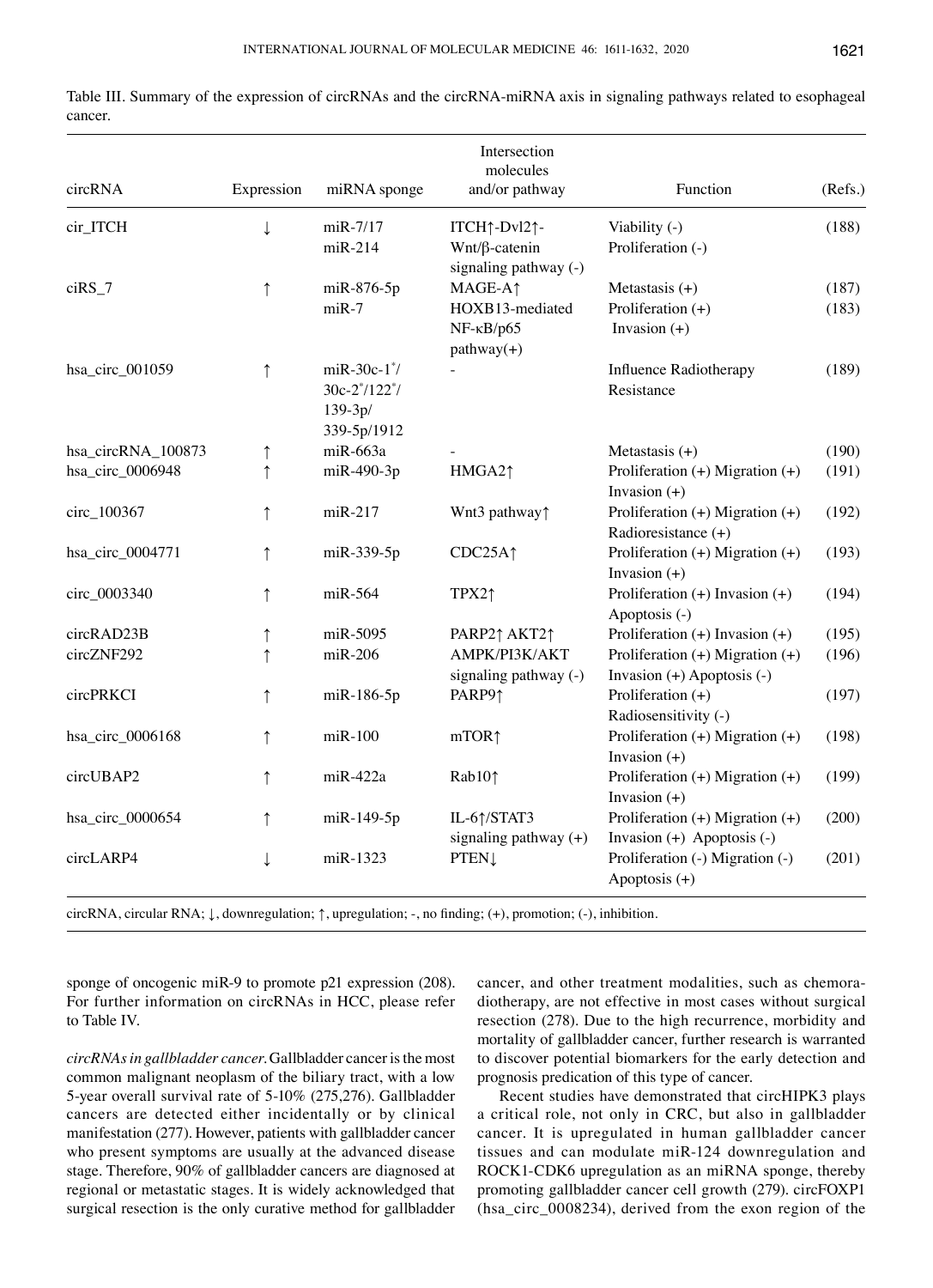|                    |              |                                                                   | Intersection<br>molecules                                                           |                                                                       |                |
|--------------------|--------------|-------------------------------------------------------------------|-------------------------------------------------------------------------------------|-----------------------------------------------------------------------|----------------|
| circRNA            | Expression   | miRNA sponge                                                      | and/or pathway                                                                      | Function                                                              | (Refs.)        |
| cir_ITCH           | $\downarrow$ | miR-7/17<br>$miR-214$                                             | ITCH↑-Dvl2↑-<br>$Wnt/\beta$ -catenin<br>signaling pathway (-)                       | Viability (-)<br>Proliferation (-)                                    | (188)          |
| $ciRS_7$           | ↑            | miR-876-5p<br>$miR-7$                                             | MAGE-A <sup>1</sup><br>HOXB13-mediated<br>$NF$ - $\kappa B$ / $p65$<br>$pathway(+)$ | Metastasis $(+)$<br>Proliferation $(+)$<br>Invasion $(+)$             | (187)<br>(183) |
| hsa_circ_001059    | $\uparrow$   | $m$ iR-30c-1 $^*$ /<br>$30c-2*/122*/$<br>$139-3p/$<br>339-5p/1912 |                                                                                     | Influence Radiotherapy<br>Resistance                                  | (189)          |
| hsa_circRNA_100873 | $\uparrow$   | miR-663a                                                          |                                                                                     | Metastasis $(+)$                                                      | (190)          |
| hsa_circ_0006948   | ↑            | miR-490-3p                                                        | HMGA21                                                                              | Proliferation $(+)$ Migration $(+)$<br>Invasion $(+)$                 | (191)          |
| circ_100367        | ↑            | $m$ i $R-217$                                                     | Wnt3 pathway1                                                                       | Proliferation $(+)$ Migration $(+)$<br>Radioresistance (+)            | (192)          |
| hsa_circ_0004771   | ↑            | miR-339-5p                                                        | CDC25A <sub>1</sub>                                                                 | Proliferation $(+)$ Migration $(+)$<br>Invasion $(+)$                 | (193)          |
| circ_0003340       | $\uparrow$   | miR-564                                                           | TPX21                                                                               | Proliferation $(+)$ Invasion $(+)$<br>Apoptosis (-)                   | (194)          |
| circRAD23B         | ↑            | miR-5095                                                          | PARP21 AKT21                                                                        | Proliferation $(+)$ Invasion $(+)$                                    | (195)          |
| circZNF292         | ↑            | $m$ iR-206                                                        | AMPK/PI3K/AKT<br>signaling pathway (-)                                              | Proliferation $(+)$ Migration $(+)$<br>Invasion $(+)$ Apoptosis $(-)$ | (196)          |
| circPRKCI          | $\uparrow$   | miR-186-5p                                                        | PARP91                                                                              | Proliferation $(+)$<br>Radiosensitivity (-)                           | (197)          |
| hsa_circ_0006168   | ↑            | $m$ i $R-100$                                                     | mTOR <sub>1</sub>                                                                   | Proliferation $(+)$ Migration $(+)$<br>Invasion $(+)$                 | (198)          |
| circUBAP2          | ↑            | $m$ i $R-422a$                                                    | Rab101                                                                              | Proliferation $(+)$ Migration $(+)$<br>Invasion $(+)$                 | (199)          |
| hsa_circ_0000654   | ↑            | miR-149-5p                                                        | IL-6↑/STAT3<br>signaling pathway (+)                                                | Proliferation $(+)$ Migration $(+)$<br>Invasion $(+)$ Apoptosis $(-)$ | (200)          |
| circLARP4          | ↓            | miR-1323                                                          | <b>PTEN1</b>                                                                        | Proliferation (-) Migration (-)<br>Apoptosis (+)                      | (201)          |

Table III. Summary of the expression of circRNAs and the circRNA-miRNA axis in signaling pathways related to esophageal cancer.

circRNA, circular RNA; ↓, downregulation; ↑, upregulation; ‑, no finding; (+), promotion; (‑), inhibition.

sponge of oncogenic miR-9 to promote p21 expression (208). For further information on circRNAs in HCC, please refer to Table IV.

*circRNAs in gallbladder cancer.* Gallbladder cancer is the most common malignant neoplasm of the biliary tract, with a low 5-year overall survival rate of 5-10% (275,276). Gallbladder cancers are detected either incidentally or by clinical manifestation (277). However, patients with gallbladder cancer who present symptoms are usually at the advanced disease stage. Therefore, 90% of gallbladder cancers are diagnosed at regional or metastatic stages. It is widely acknowledged that surgical resection is the only curative method for gallbladder cancer, and other treatment modalities, such as chemoradiotherapy, are not effective in most cases without surgical resection (278). Due to the high recurrence, morbidity and mortality of gallbladder cancer, further research is warranted to discover potential biomarkers for the early detection and prognosis predication of this type of cancer.

Recent studies have demonstrated that circHIPK3 plays a critical role, not only in CRC, but also in gallbladder cancer. It is upregulated in human gallbladder cancer tissues and can modulate miR-124 downregulation and ROCK1‑CDK6 upregulation as an miRNA sponge, thereby promoting gallbladder cancer cell growth (279). circFOXP1 (hsa\_circ\_0008234), derived from the exon region of the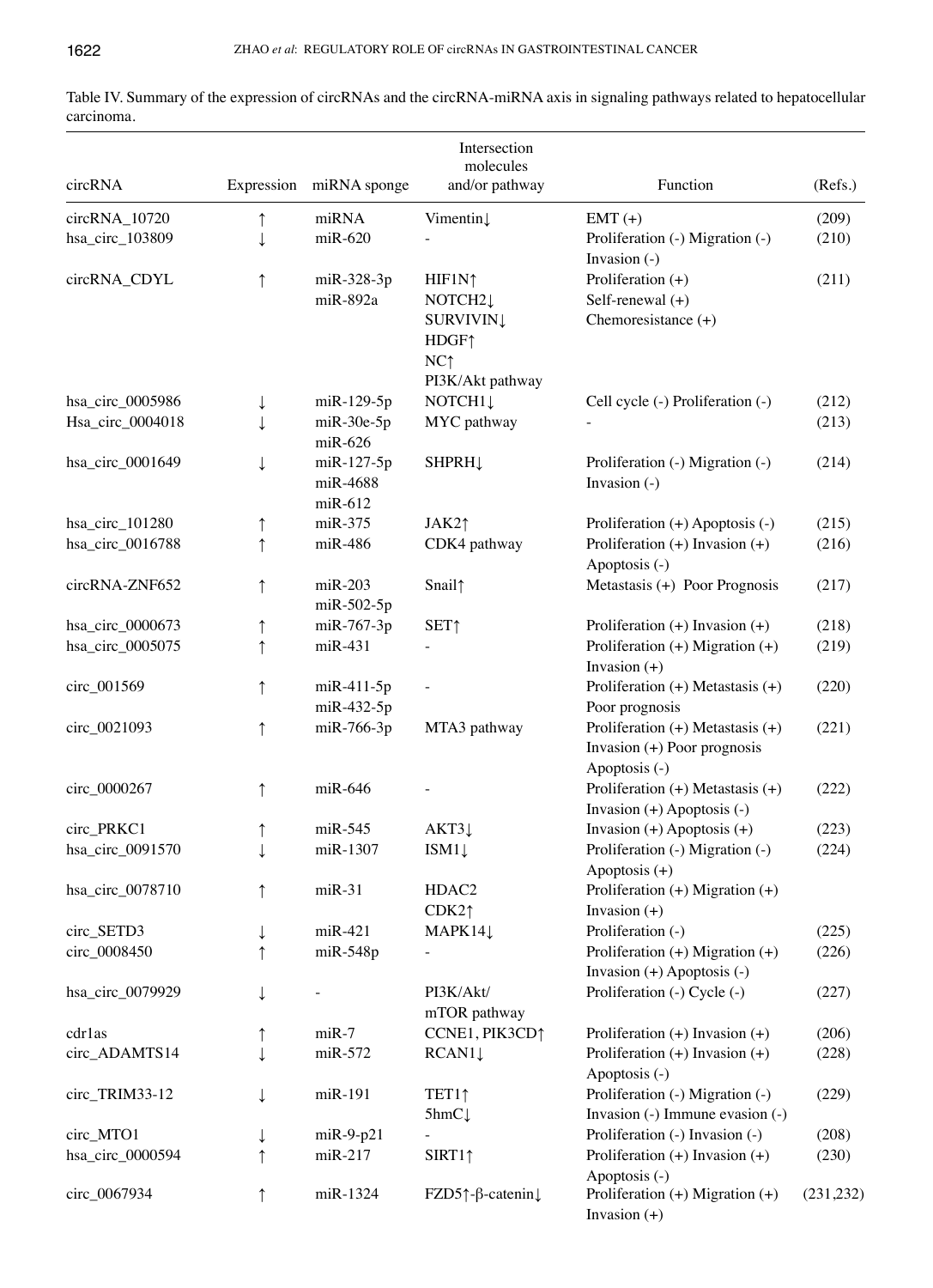|                  |              |                                | Intersection                                      |                                                                                     |            |
|------------------|--------------|--------------------------------|---------------------------------------------------|-------------------------------------------------------------------------------------|------------|
| circRNA          |              | Expression miRNA sponge        | molecules<br>and/or pathway                       | Function                                                                            | (Refs.)    |
| circRNA_10720    | ↑            | miRNA                          | Vimentin                                          | $EMT (+)$                                                                           | (209)      |
| hsa_circ_103809  | ↓            | $m$ iR-620                     |                                                   | Proliferation (-) Migration (-)<br>Invasion (-)                                     | (210)      |
| circRNA_CDYL     | $\uparrow$   | miR-328-3p                     | HIF1N <sub>1</sub>                                | Proliferation $(+)$                                                                 | (211)      |
|                  |              | $miR-892a$                     | NOTCH <sub>2</sub>                                | Self-renewal $(+)$                                                                  |            |
|                  |              |                                | <b>SURVIVIN</b><br>HDGF <sup>1</sup>              | Chemoresistance (+)                                                                 |            |
|                  |              |                                | NC <sub>1</sub><br>PI3K/Akt pathway               |                                                                                     |            |
| hsa_circ_0005986 | ↓            | miR-129-5p                     | NOTCH <sub>1</sub>                                | Cell cycle (-) Proliferation (-)                                                    | (212)      |
| Hsa_circ_0004018 | ↓            | $m$ i $R-30e-5p$               | MYC pathway                                       |                                                                                     | (213)      |
|                  |              | $m$ iR-626                     |                                                   |                                                                                     |            |
| hsa circ 0001649 | ↓            | miR-127-5p                     | <b>SHPRH</b>                                      | Proliferation (-) Migration (-)                                                     | (214)      |
|                  |              | miR-4688                       |                                                   | Invasion $(-)$                                                                      |            |
|                  |              | $m$ iR-612                     |                                                   |                                                                                     |            |
| hsa_circ_101280  | ↑            | $miR-375$                      | JAK2 <sub>1</sub>                                 | Proliferation (+) Apoptosis (-)                                                     | (215)      |
| hsa_circ_0016788 | $\uparrow$   | $m$ iR-486                     | CDK4 pathway                                      | Proliferation (+) Invasion (+)<br>Apoptosis (-)                                     | (216)      |
| circRNA-ZNF652   | ↑            | $m$ i $R-203$<br>$m$ iR-502-5p | Snail <sup>1</sup>                                | Metastasis (+) Poor Prognosis                                                       | (217)      |
| hsa_circ_0000673 | $\uparrow$   | miR-767-3p                     | <b>SET</b> <sup>1</sup>                           | Proliferation $(+)$ Invasion $(+)$                                                  | (218)      |
| hsa_circ_0005075 | ↑            | $miR-431$                      |                                                   | Proliferation $(+)$ Migration $(+)$<br>Invasion $(+)$                               | (219)      |
| circ_001569      | ↑            | $m$ iR-411-5p                  |                                                   | Proliferation $(+)$ Metastasis $(+)$                                                | (220)      |
|                  |              | miR-432-5p                     |                                                   | Poor prognosis                                                                      |            |
| circ_0021093     | $\uparrow$   | miR-766-3p                     | MTA3 pathway                                      | Proliferation $(+)$ Metastasis $(+)$<br>Invasion (+) Poor prognosis                 | (221)      |
|                  |              |                                |                                                   | Apoptosis (-)                                                                       |            |
| circ_0000267     | $\uparrow$   | $m$ iR-646                     |                                                   | Proliferation $(+)$ Metastasis $(+)$<br>Invasion $(+)$ Apoptosis $(-)$              | (222)      |
| circ PRKC1       | ↑            | $miR-545$                      | AKT3                                              | Invasion $(+)$ Apoptosis $(+)$                                                      | (223)      |
| hsa_circ_0091570 | ↓            | miR-1307                       | ISM11                                             | Proliferation (-) Migration (-)                                                     | (224)      |
|                  |              |                                |                                                   | Apoptosis (+)                                                                       |            |
| hsa_circ_0078710 | ↑            | $miR-31$                       | HDAC <sub>2</sub><br>CDK2 <sub>1</sub>            | Proliferation $(+)$ Migration $(+)$                                                 |            |
| circ_SETD3       | ↓            | $m$ iR-421                     | MAPK14↓                                           | Invasion $(+)$<br>Proliferation (-)                                                 | (225)      |
| circ_0008450     |              | $miR-548p$                     |                                                   | Proliferation (+) Migration (+)                                                     | (226)      |
|                  |              |                                |                                                   | Invasion $(+)$ Apoptosis $(-)$                                                      |            |
| hsa_circ_0079929 | $\downarrow$ |                                | PI3K/Akt/<br>mTOR pathway                         | Proliferation (-) Cycle (-)                                                         | (227)      |
| cdrlas           | ↑            | $miR-7$                        | CCNE1, PIK3CD <sup>1</sup>                        | Proliferation $(+)$ Invasion $(+)$                                                  | (206)      |
| circ_ADAMTS14    | ↓            | miR-572                        | $RCAN1\downarrow$                                 | Proliferation $(+)$ Invasion $(+)$                                                  | (228)      |
| circ_TRIM33-12   | ↓            | $miR-191$                      | TET1↑<br>$5$ hmC $\downarrow$                     | Apoptosis (-)<br>Proliferation (-) Migration (-)<br>Invasion (-) Immune evasion (-) | (229)      |
| circ_MTO1        | ↓            | $miR-9-p21$                    |                                                   | Proliferation (-) Invasion (-)                                                      | (208)      |
| hsa_circ_0000594 | ↑            | $miR-217$                      | SIRT1                                             | Proliferation $(+)$ Invasion $(+)$                                                  | (230)      |
|                  |              |                                |                                                   | Apoptosis (-)                                                                       |            |
| circ_0067934     | ↑            | miR-1324                       | FZD5 $\uparrow$ - $\upbeta$ -catenin $\downarrow$ | Proliferation $(+)$ Migration $(+)$                                                 | (231, 232) |

Invasion (+)

Table IV. Summary of the expression of circRNAs and the circRNA-miRNA axis in signaling pathways related to hepatocellular carcinoma.  $\overline{\phantom{a}}$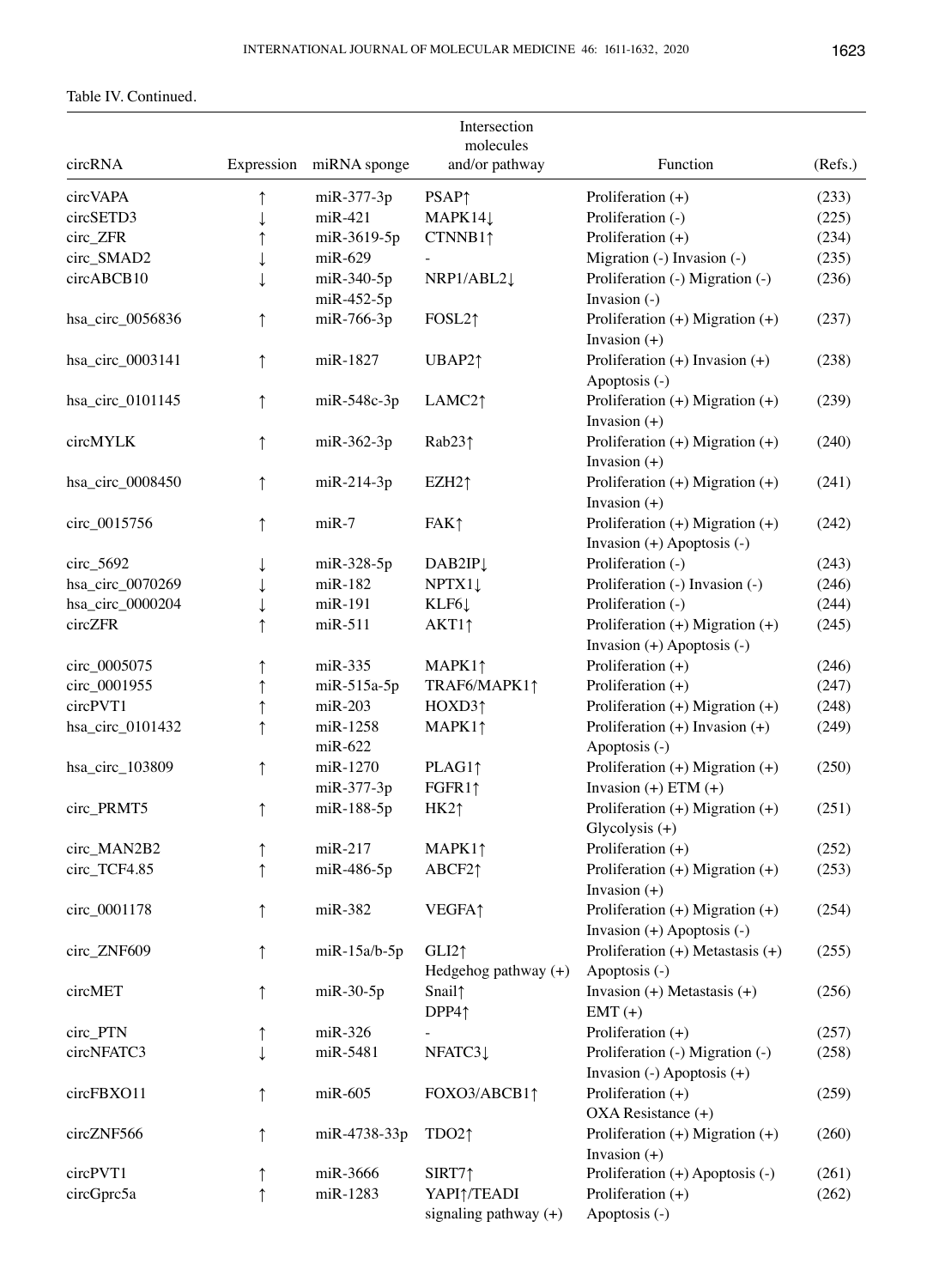Table IV. Continued.

|                  |            |                       | Intersection                                        |                                                                       |         |
|------------------|------------|-----------------------|-----------------------------------------------------|-----------------------------------------------------------------------|---------|
|                  |            |                       | molecules                                           |                                                                       |         |
| circRNA          | Expression | miRNA sponge          | and/or pathway                                      | Function                                                              | (Refs.) |
| circVAPA         | $\uparrow$ | miR-377-3p            | <b>PSAP</b> <sup>1</sup>                            | Proliferation $(+)$                                                   | (233)   |
| circSETD3        |            | $m$ i $R-421$         | MAPK14↓                                             | Proliferation (-)                                                     | (225)   |
| circ_ZFR         |            | miR-3619-5p           | CTNNB1 <sub>1</sub>                                 | Proliferation $(+)$                                                   | (234)   |
| circ_SMAD2       |            | $miR-629$             |                                                     | Migration (-) Invasion (-)                                            | (235)   |
| circABCB10       |            | miR-340-5p            | NRP1/ABL2↓                                          | Proliferation (-) Migration (-)                                       | (236)   |
|                  |            | miR-452-5p            |                                                     | Invasion (-)                                                          |         |
| hsa_circ_0056836 | ↑          | miR-766-3p            | FOSL21                                              | Proliferation $(+)$ Migration $(+)$<br>Invasion $(+)$                 | (237)   |
| hsa_circ_0003141 | ↑          | miR-1827              | UBAP21                                              | Proliferation $(+)$ Invasion $(+)$<br>Apoptosis (-)                   | (238)   |
| hsa_circ_0101145 | $\uparrow$ | $miR-548c-3p$         | LAMC21                                              | Proliferation (+) Migration (+)<br>Invasion $(+)$                     | (239)   |
| circMYLK         | $\uparrow$ | $m$ iR-362-3p         | Rab $23$ $\uparrow$                                 | Proliferation (+) Migration (+)<br>Invasion $(+)$                     | (240)   |
| hsa_circ_0008450 | ↑          | $miR-214-3p$          | EZH2 <sub>1</sub>                                   | Proliferation $(+)$ Migration $(+)$<br>Invasion $(+)$                 | (241)   |
| circ_0015756     | $\uparrow$ | $miR-7$               | FAK <sub>1</sub>                                    | Proliferation (+) Migration (+)<br>Invasion $(+)$ Apoptosis $(-)$     | (242)   |
| $circ\_5692$     |            | miR-328-5p            | DAB2IP <sub>1</sub>                                 | Proliferation (-)                                                     | (243)   |
| hsa_circ_0070269 |            | $m$ i $R-182$         | NPTX11                                              | Proliferation (-) Invasion (-)                                        | (246)   |
| hsa_circ_0000204 |            | miR-191               | KLF61                                               | Proliferation (-)                                                     | (244)   |
| circZFR          |            | miR-511               |                                                     |                                                                       |         |
|                  | ↑          |                       | $AKT1$ ↑                                            | Proliferation $(+)$ Migration $(+)$<br>Invasion (+) Apoptosis (-)     | (245)   |
| circ_0005075     | ↑          | $miR-335$             | MAPK11                                              | Proliferation $(+)$                                                   | (246)   |
| circ_0001955     | ↑          | $m$ i $R-515a-5p$     | TRAF6/MAPK11                                        | Proliferation $(+)$                                                   | (247)   |
| circPVT1         | ↑          | $miR-203$             | HOXD31                                              | Proliferation $(+)$ Migration $(+)$                                   | (248)   |
| hsa_circ_0101432 | ↑          | miR-1258<br>$miR-622$ | MAPK11                                              | Proliferation $(+)$ Invasion $(+)$<br>Apoptosis (-)                   | (249)   |
| hsa_circ_103809  | ↑          | miR-1270              | PLAG11                                              | Proliferation (+) Migration (+)                                       | (250)   |
|                  |            | miR-377-3p            | FGFR11                                              | Invasion $(+)$ ETM $(+)$                                              |         |
| circ_PRMT5       | ↑          | miR-188-5p            | HK21                                                | Proliferation $(+)$ Migration $(+)$<br>Glycolysis $(+)$               | (251)   |
| circ_MAN2B2      | ↑          | $miR-217$             | MAPK11                                              | Proliferation $(+)$                                                   | (252)   |
| circ_TCF4.85     | ↑          | miR-486-5p            | ABCF21                                              | Proliferation $(+)$ Migration $(+)$<br>Invasion $(+)$                 | (253)   |
| circ_0001178     | $\uparrow$ | miR-382               | <b>VEGFA1</b>                                       | Proliferation $(+)$ Migration $(+)$<br>Invasion $(+)$ Apoptosis $(-)$ | (254)   |
| circ_ZNF609      | ↑          | $m$ iR-15a/b-5p       | GLI2 <sup>†</sup><br>Hedgehog pathway $(+)$         | Proliferation $(+)$ Metastasis $(+)$<br>Apoptosis (-)                 | (255)   |
| circMET          | ↑          | $miR-30-5p$           | Snail <sup>1</sup><br>DPP41                         | Invasion $(+)$ Metastasis $(+)$<br>$EMT (+)$                          | (256)   |
| circ_PTN         | ↑          | $m$ iR-326            |                                                     | Proliferation $(+)$                                                   | (257)   |
| circNFATC3       |            | miR-5481              | NFATC31                                             | Proliferation (-) Migration (-)                                       | (258)   |
|                  |            |                       |                                                     | Invasion $(-)$ Apoptosis $(+)$                                        |         |
| circFBXO11       | ↑          | $m$ iR-605            | FOXO3/ABCB11                                        | Proliferation $(+)$<br>OXA Resistance (+)                             | (259)   |
| circZNF566       | $\uparrow$ | miR-4738-33p          | TDO2 <sub>1</sub>                                   | Proliferation $(+)$ Migration $(+)$<br>Invasion $(+)$                 | (260)   |
| circPVT1         | ↑          | miR-3666              | SIRT7↑                                              | Proliferation (+) Apoptosis (-)                                       | (261)   |
| circGprc5a       | $\uparrow$ | miR-1283              | YAPI <sup>1</sup> /TEADI<br>signaling pathway $(+)$ | Proliferation $(+)$<br>Apoptosis (-)                                  | (262)   |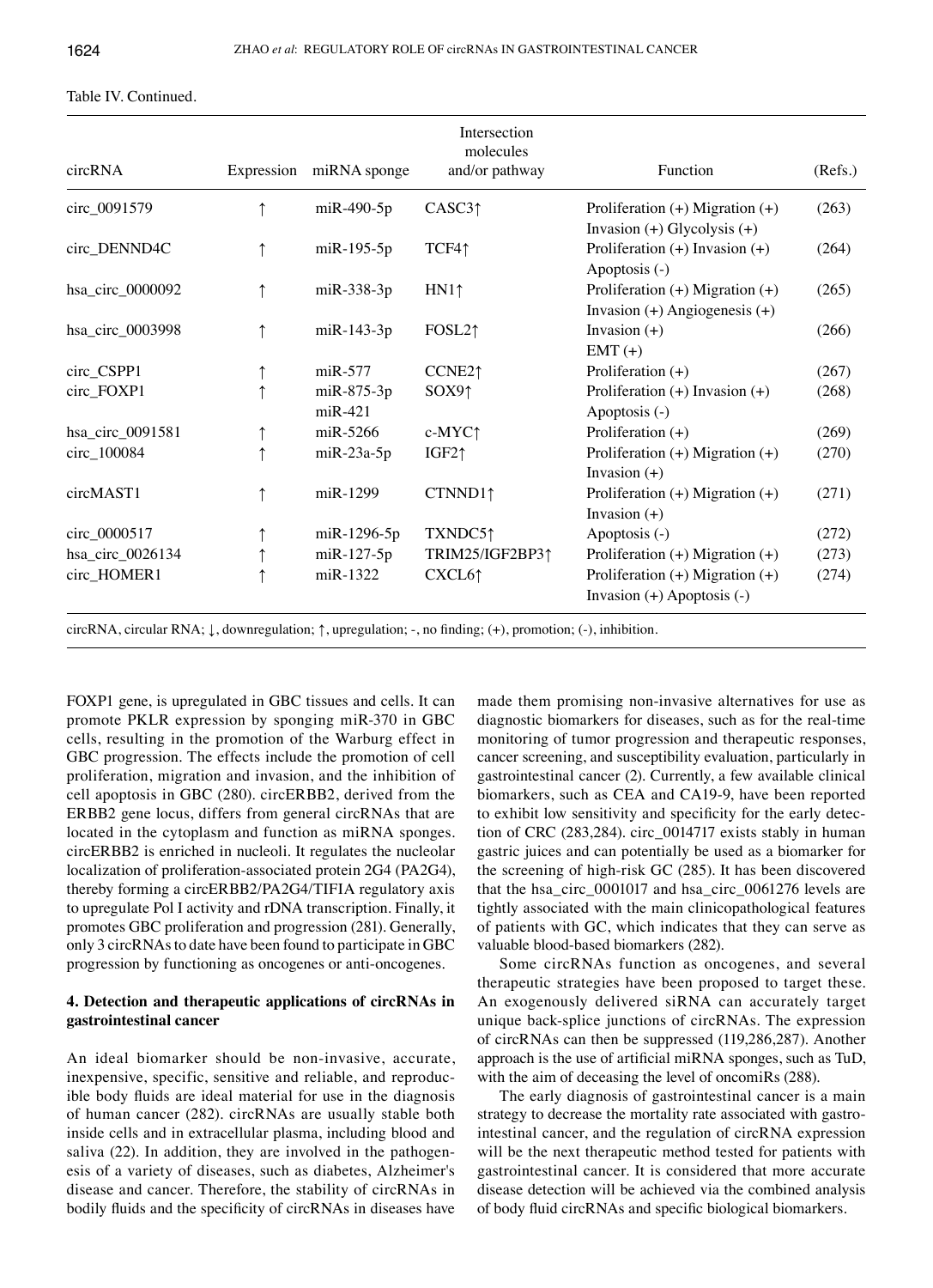| circRNA          |   | Expression miRNA sponge        | Intersection<br>molecules<br>and/or pathway | Function                                                                 | (Refs.) |
|------------------|---|--------------------------------|---------------------------------------------|--------------------------------------------------------------------------|---------|
| circ_0091579     |   | $m$ iR-490-5p                  | CASC3 <sub>1</sub>                          | Proliferation $(+)$ Migration $(+)$<br>Invasion $(+)$ Glycolysis $(+)$   | (263)   |
| circ_DENND4C     |   | $m$ i $R-195-5p$               | TCF4↑                                       | Proliferation $(+)$ Invasion $(+)$<br>Apoptosis (-)                      | (264)   |
| hsa_circ_0000092 | ↑ | miR-338-3p                     | HN1 <sup>†</sup>                            | Proliferation $(+)$ Migration $(+)$<br>Invasion $(+)$ Angiogenesis $(+)$ | (265)   |
| hsa_circ_0003998 |   | $m$ i $R-143-3p$               | FOSL <sub>2</sub> 1                         | Invasion $(+)$<br>$EMT (+)$                                              | (266)   |
| circ_CSPP1       |   | $m$ i $R-577$                  | CCNE <sub>2</sub> 1                         | Proliferation $(+)$                                                      | (267)   |
| circ_FOXP1       |   | $m$ i $R-875-3p$<br>$m$ iR-421 | SOX9 <sub>1</sub>                           | Proliferation $(+)$ Invasion $(+)$<br>Apoptosis (-)                      | (268)   |
| hsa_circ_0091581 |   | miR-5266                       | c-MYC1                                      | Proliferation $(+)$                                                      | (269)   |
| circ_100084      |   | $m$ i $R-23a-5p$               | $IGF2\uparrow$                              | Proliferation $(+)$ Migration $(+)$<br>Invasion $(+)$                    | (270)   |
| circMAST1        |   | miR-1299                       | CTNND11                                     | Proliferation $(+)$ Migration $(+)$<br>Invasion $(+)$                    | (271)   |
| circ_0000517     |   | $m$ iR-1296-5p                 | TXNDC5↑                                     | Apoptosis (-)                                                            | (272)   |
| hsa_circ_0026134 |   | $m$ i $R-127-5p$               | TRIM25/IGF2BP31                             | Proliferation $(+)$ Migration $(+)$                                      | (273)   |
| circ_HOMER1      |   | miR-1322                       | CXCL6 <sub>1</sub>                          | Proliferation $(+)$ Migration $(+)$<br>Invasion $(+)$ Apoptosis $(-)$    | (274)   |

#### Table IV. Continued.

circRNA, circular RNA; ↓, downregulation; ↑, upregulation; ‑, no finding; (+), promotion; (‑), inhibition.

FOXP1 gene, is upregulated in GBC tissues and cells. It can promote PKLR expression by sponging miR-370 in GBC cells, resulting in the promotion of the Warburg effect in GBC progression. The effects include the promotion of cell proliferation, migration and invasion, and the inhibition of cell apoptosis in GBC (280). circERBB2, derived from the ERBB2 gene locus, differs from general circRNAs that are located in the cytoplasm and function as miRNA sponges. circERBB2 is enriched in nucleoli. It regulates the nucleolar localization of proliferation-associated protein 2G4 (PA2G4), thereby forming a circERBB2/PA2G4/TIFIA regulatory axis to upregulate Pol I activity and rDNA transcription. Finally, it promotes GBC proliferation and progression (281). Generally, only 3 circRNAs to date have been found to participate in GBC progression by functioning as oncogenes or anti-oncogenes.

## **4. Detection and therapeutic applications of circRNAs in gastrointestinal cancer**

An ideal biomarker should be non-invasive, accurate, inexpensive, specific, sensitive and reliable, and reproducible body fluids are ideal material for use in the diagnosis of human cancer (282). circRNAs are usually stable both inside cells and in extracellular plasma, including blood and saliva (22). In addition, they are involved in the pathogenesis of a variety of diseases, such as diabetes, Alzheimer's disease and cancer. Therefore, the stability of circRNAs in bodily fluids and the specificity of circRNAs in diseases have made them promising non-invasive alternatives for use as diagnostic biomarkers for diseases, such as for the real-time monitoring of tumor progression and therapeutic responses, cancer screening, and susceptibility evaluation, particularly in gastrointestinal cancer (2). Currently, a few available clinical biomarkers, such as CEA and CA19-9, have been reported to exhibit low sensitivity and specificity for the early detection of CRC (283,284). circ\_0014717 exists stably in human gastric juices and can potentially be used as a biomarker for the screening of high-risk GC (285). It has been discovered that the hsa\_circ\_0001017 and hsa\_circ\_0061276 levels are tightly associated with the main clinicopathological features of patients with GC, which indicates that they can serve as valuable blood-based biomarkers (282).

Some circRNAs function as oncogenes, and several therapeutic strategies have been proposed to target these. An exogenously delivered siRNA can accurately target unique back-splice junctions of circRNAs. The expression of circRNAs can then be suppressed (119,286,287). Another approach is the use of artificial miRNA sponges, such as TuD, with the aim of deceasing the level of oncomiRs (288).

The early diagnosis of gastrointestinal cancer is a main strategy to decrease the mortality rate associated with gastrointestinal cancer, and the regulation of circRNA expression will be the next therapeutic method tested for patients with gastrointestinal cancer. It is considered that more accurate disease detection will be achieved via the combined analysis of body fluid circRNAs and specific biological biomarkers.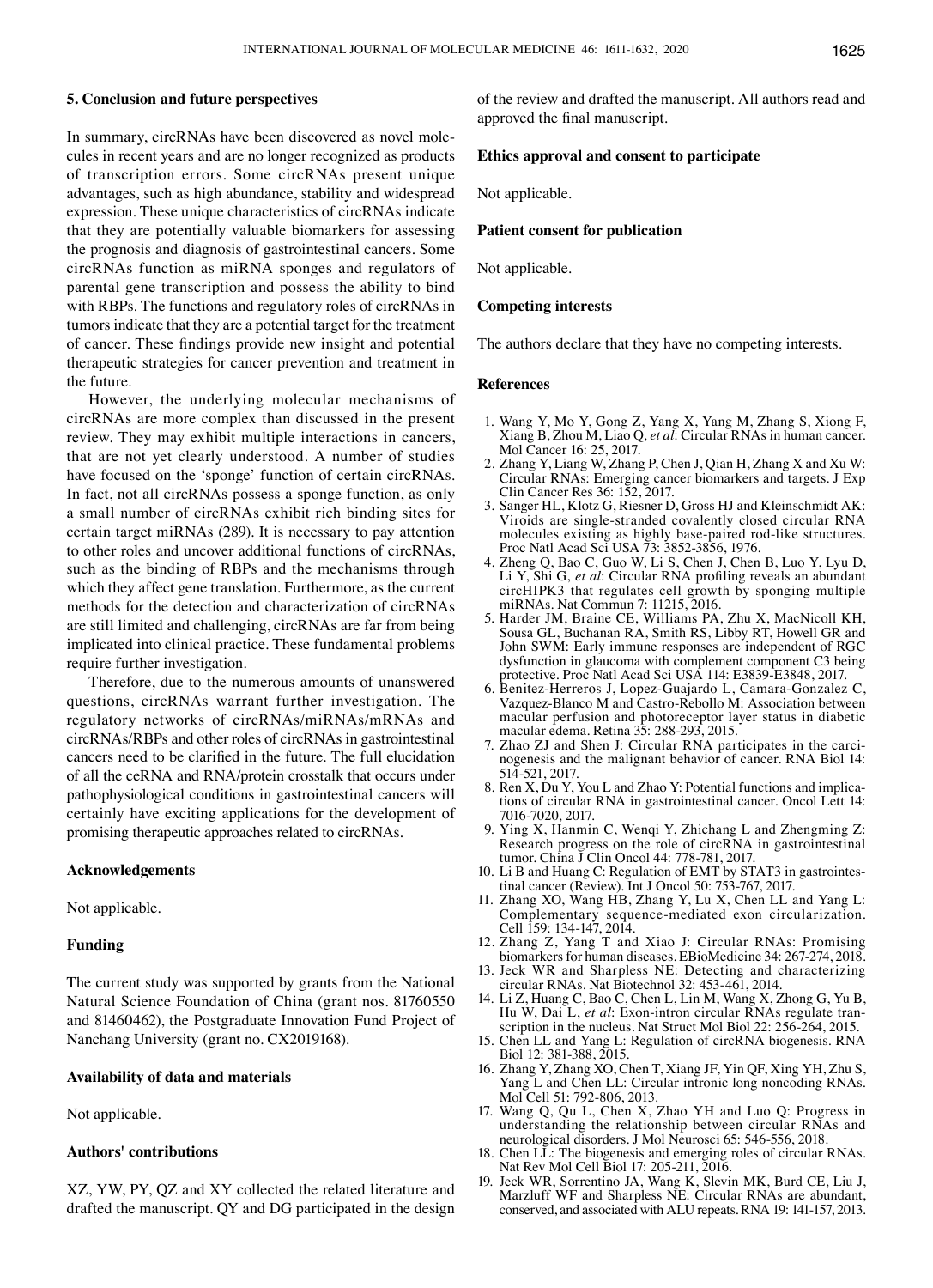#### **5. Conclusion and future perspectives**

In summary, circRNAs have been discovered as novel molecules in recent years and are no longer recognized as products of transcription errors. Some circRNAs present unique advantages, such as high abundance, stability and widespread expression. These unique characteristics of circRNAs indicate that they are potentially valuable biomarkers for assessing the prognosis and diagnosis of gastrointestinal cancers. Some circRNAs function as miRNA sponges and regulators of parental gene transcription and possess the ability to bind with RBPs. The functions and regulatory roles of circRNAs in tumors indicate that they are a potential target for the treatment of cancer. These findings provide new insight and potential therapeutic strategies for cancer prevention and treatment in the future.

However, the underlying molecular mechanisms of circRNAs are more complex than discussed in the present review. They may exhibit multiple interactions in cancers, that are not yet clearly understood. A number of studies have focused on the 'sponge' function of certain circRNAs. In fact, not all circRNAs possess a sponge function, as only a small number of circRNAs exhibit rich binding sites for certain target miRNAs (289). It is necessary to pay attention to other roles and uncover additional functions of circRNAs, such as the binding of RBPs and the mechanisms through which they affect gene translation. Furthermore, as the current methods for the detection and characterization of circRNAs are still limited and challenging, circRNAs are far from being implicated into clinical practice. These fundamental problems require further investigation.

Therefore, due to the numerous amounts of unanswered questions, circRNAs warrant further investigation. The regulatory networks of circRNAs/miRNAs/mRNAs and circRNAs/RBPs and other roles of circRNAs in gastrointestinal cancers need to be clarified in the future. The full elucidation of all the ceRNA and RNA/protein crosstalk that occurs under pathophysiological conditions in gastrointestinal cancers will certainly have exciting applications for the development of promising therapeutic approaches related to circRNAs.

## **Acknowledgements**

Not applicable.

## **Funding**

The current study was supported by grants from the National Natural Science Foundation of China (grant nos. 81760550 and 81460462), the Postgraduate Innovation Fund Project of Nanchang University (grant no. CX2019168).

#### **Availability of data and materials**

Not applicable.

## **Authors' contributions**

XZ, YW, PY, QZ and XY collected the related literature and drafted the manuscript. QY and DG participated in the design of the review and drafted the manuscript. All authors read and approved the final manuscript.

## **Ethics approval and consent to participate**

Not applicable.

#### **Patient consent for publication**

Not applicable.

#### **Competing interests**

The authors declare that they have no competing interests.

#### **References**

- 1. Wang Y, Mo Y, Gong Z, Yang X, Yang M, Zhang S, Xiong F, Xiang B, Zhou M, Liao Q, *et al*: Circular RNAs in human cancer. Mol Cancer 16: 25, 2017.
- 2. Zhang Y, Liang W, Zhang P, Chen J, Qian H, Zhang X and Xu W: Circular RNAs: Emerging cancer biomarkers and targets. J Exp Clin Cancer Res 36: 152, 2017.
- 3. Sanger HL, Klotz G, Riesner D, Gross HJ and Kleinschmidt AK: Viroids are single-stranded covalently closed circular RNA molecules existing as highly base-paired rod-like structures. Proc Natl Acad Sci USA 73: 3852-3856, 1976.<br>4. Zheng Q, Bao C, Guo W, Li S, Chen J, Chen B, Luo Y, Lyu D,
- Li Y, Shi G, et al: Circular RNA profiling reveals an abundant circHIPK3 that regulates cell growth by sponging multiple miRNAs. Nat Commun 7: 11215, 2016.
- 5. Harder JM, Braine CE, Williams PA, Zhu X, MacNicoll KH, Sousa GL, Buchanan RA, Smith RS, Libby RT, Howell GR and John SWM: Early immune responses are independent of RGC dysfunction in glaucoma with complement component C3 being protective. Proc Natl Acad Sci USA 114: E3839-E3848, 2017.
- 6. Benitez-Herreros J, Lopez-Guajardo L, Camara-Gonzalez C, Vazquez-Blanco M and Castro-Rebollo M: Association between macular perfusion and photoreceptor layer status in diabetic macular edema. Retina 35: 288-293, 2015.
- 7. Zhao ZJ and Shen J: Circular RNA participates in the carci- nogenesis and the malignant behavior of cancer. RNA Biol 14: 514-521, 2017.<br>8. Ren X, Du Y, You L and Zhao Y: Potential functions and implica-
- tions of circular RNA in gastrointestinal cancer. Oncol Lett 14: 7016-7020, 2017.
- 9. Ying X, Hanmin C, Wenqi Y, Zhichang L and Zhengming Z: Research progress on the role of circRNA in gastrointestinal tumor. China J Clin Oncol 44: 778-781, 2017.
- 10. Li B and Huang C: Regulation of EMT by STAT3 in gastrointes- tinal cancer (Review). Int J Oncol 50: 753-767, 2017.
- 11. Zhang XO, Wang HB, Zhang Y, Lu X, Chen LL and Yang L: Complementary sequence-mediated exon circularization. Cell 159: 134-147, 2014.
- 12. Zhang Z, Yang T and Xiao J: Circular RNAs: Promising biomarkers for human diseases. EBioMedicine 34: 267-274, 2018.
- 13. Jeck WR and Sharpless NE: Detecting and characterizing circular RNAs. Nat Biotechnol 32: 453-461, 2014.
- 14. Li Z, Huang C, Bao C, Chen L, Lin M, Wang X, Zhong G, Yu B, Hu W, Dai L, et al: Exon-intron circular RNAs regulate transcription in the nucleus. Nat Struct Mol Biol 22: 256-264, 2015.
- 15. Chen LL and Yang L: Regulation of circRNA biogenesis. RNA Biol 12: 381-388, 2015.
- 16. Zhang Y, Zhang XO, Chen T, Xiang JF, Yin QF, Xing YH, Zhu S, Yang L and Chen LL: Circular intronic long noncoding RNAs. Mol Cell 51: 792-806, 2013.
- 17. Wang Q, Qu L, Chen X, Zhao YH and Luo Q: Progress in understanding the relationship between circular RNAs and neurological disorders. J Mol Neurosci 65: 546-556, 2018.
- 18. Chen LL: The biogenesis and emerging roles of circular RNAs. Nat Rev Mol Cell Biol 17: 205-211, 2016.
- 19. Jeck WR, Sorrentino JA, Wang K, Slevin MK, Burd CE, Liu J, Marzluff WF and Sharpless NE: Circular RNAs are abundant, conserved, and associated with ALU repeats. RNA 19: 141-157, 2013.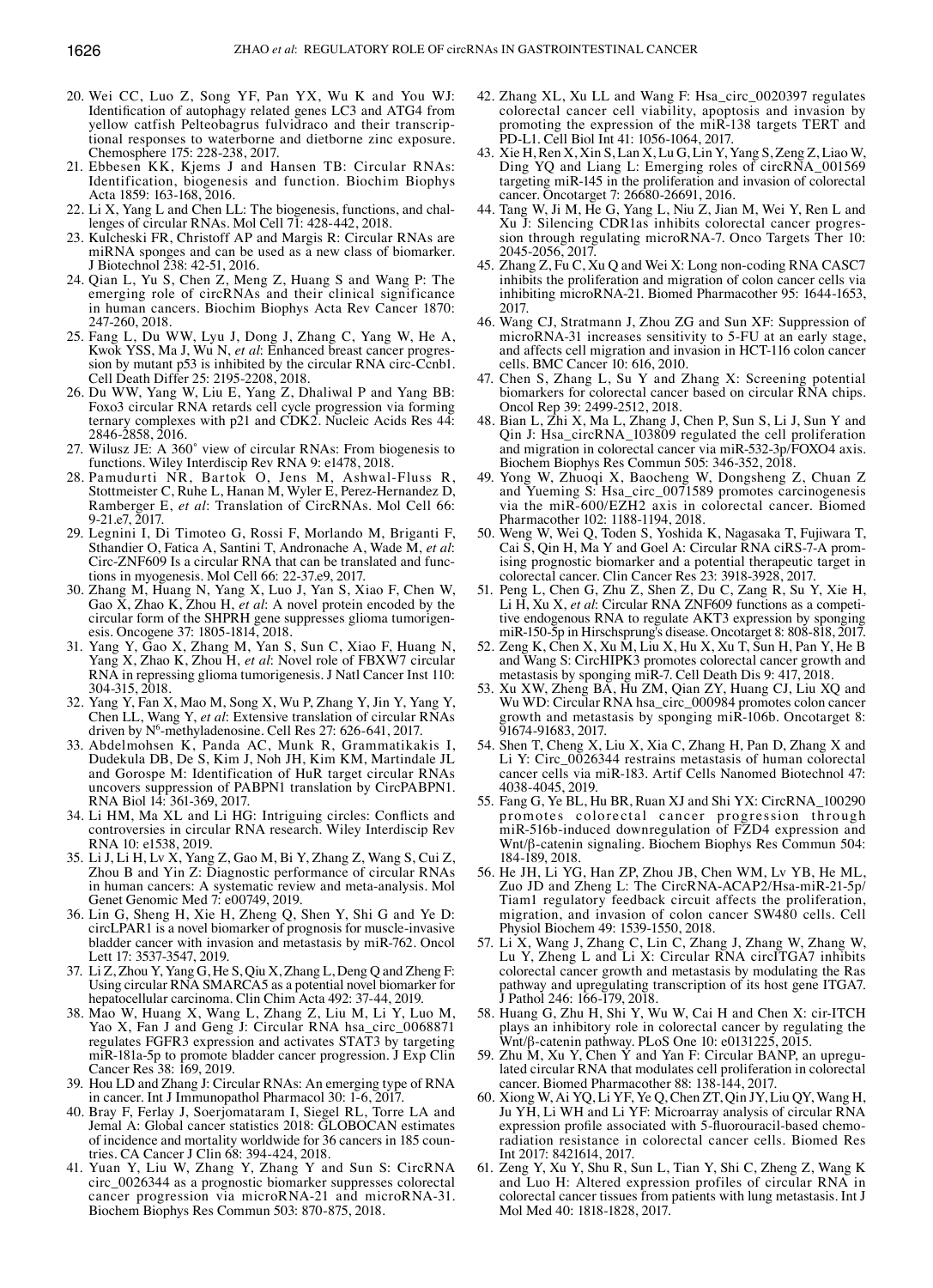- 20. Wei CC, Luo Z, Song YF, Pan YX, Wu K and You WJ: Identification of autophagy related genes LC3 and ATG4 from yellow catfish Pelteobagrus fulvidraco and their transcriptional responses to waterborne and dietborne zinc exposure. Chemosphere 175: 228-238, 2017.
- 21. Ebbesen KK, Kjems J and Hansen TB: Circular RNAs: Identification, biogenesis and function. Biochim Biophys Acta 1859: 163-168, 2016.
- 22. Li X, Yang L and Chen LL: The biogenesis, functions, and challenges of circular RNAs. Mol Cell 71: 428-442, 2018.
- 23. Kulcheski FR, Christoff AP and Margis R: Circular RNAs are miRNA sponges and can be used as a new class of biomarker. J Biotechnol 238: 42-51, 2016.
- 24. Qian L, Yu S, Chen Z, Meng Z, Huang S and Wang P: The emerging role of circRNAs and their clinical significance in human cancers. Biochim Biophys Acta Rev Cancer 1870: 247-260, 2018.
- 25. Fang L, Du WW, Lyu J, Dong J, Zhang C, Yang W, He A, Kwok YSS, Ma J, Wu N, *et al*: Enhanced breast cancer progression by mutant p53 is inhibited by the circular RNA circ-Ccnb1. Cell Death Differ 25: 2195-2208, 2018.
- 26. Du WW, Yang W, Liu E, Yang Z, Dhaliwal P and Yang BB: Foxo3 circular RNA retards cell cycle progression via forming ternary complexes with p21 and  $CDK2$ . Nucleic Acids Res 44: 2846-2858, 2016.
- 27. Wilusz JE: A 360˚ view of circular RNAs: From biogenesis to functions. Wiley Interdiscip Rev RNA 9: e1478, 2018.
- 28. Pamudurti NR, Bartok O, Jens M, Ashwal-Fluss R, Stottmeister C, Ruhe L, Hanan M, Wyler E, Perez-Hernandez D, Ramberger E, *et al*: Translation of CircRNAs. Mol Cell 66: 9-21.e7, 2017.
- 29. Legnini I, Di Timoteo G, Rossi F, Morlando M, Briganti F, Sthandier O, Fatica A, Santini T, Andronache A, Wade M, *et al*: Circ-ZNF609 Is a circular RNA that can be translated and functions in myogenesis. Mol Cell 66: 22-37.e9, 2017.
- 30. Zhang M, Huang N, Yang X, Luo J, Yan S, Xiao F, Chen W, Gao X, Zhao K, Zhou H, *et al*: A novel protein encoded by the circular form of the SHPRH gene suppresses glioma tumorigenesis. Oncogene 37: 1805-1814, 2018.
- 31. Yang Y, Gao X, Zhang M, Yan S, Sun C, Xiao F, Huang N, Yang X, Zhao K, Zhou H, *et al*: Novel role of FBXW7 circular RNA in repressing glioma tumorigenesis. J Natl Cancer Inst 110: 304-315, 2018.
- 32. Yang Y, Fan X, Mao M, Song X, Wu P, Zhang Y, Jin Y, Yang Y, Chen LL, Wang Y, *et al*: Extensive translation of circular RNAs driven by N6 -methyladenosine. Cell Res 27: 626-641, 2017.
- 33. Abdelmohsen K, Panda AC, Munk R, Grammatikakis I, Dudekula DB, De S, Kim J, Noh JH, Kim KM, Martindale JL and Gorospe M: Identification of HuR target circular RNAs uncovers suppression of PABPN1 translation by CircPABPN1. RNA Biol 14: 361-369, 2017.
- 34. Li HM, Ma XL and Li HG: Intriguing circles: Conflicts and controversies in circular RNA research. Wiley Interdiscip Rev RNA 10: e1538, 2019.
- 35. Li J, Li H, Lv X, Yang Z, Gao M, Bi Y, Zhang Z, Wang S, Cui Z, Zhou B and Yin Z: Diagnostic performance of circular RNAs in human cancers: A systematic review and meta-analysis. Mol Genet Genomic Med 7: e00749, 2019.
- 36. Lin G, Sheng H, Xie H, Zheng Q, Shen Y, Shi G and Ye D: circLPAR1 is a novel biomarker of prognosis for muscle-invasive bladder cancer with invasion and metastasis by miR-762. Oncol Lett 17: 3537-3547, 2019.
- 37. Li Z, Zhou Y, Yang G, He S, Qiu X, Zhang L, Deng Q and Zheng F: Using circular RNA SMARCA5 as a potential novel biomarker for hepatocellular carcinoma. Clin Chim Acta 492: 37-44, 2019.
- 38. Mao W, Huang X, Wang L, Zhang Z, Liu M, Li Y, Luo M, Yao X, Fan J and Geng J: Circular RNA hsa\_circ\_0068871 regulates FGFR3 expression and activates STAT3 by targeting miR-181a-5p to promote bladder cancer progression. J Exp Clin Cancer Res 38: 169, 2019.
- 39. Hou LD and Zhang J: Circular RNAs: An emerging type of RNA in cancer. Int J Immunopathol Pharmacol 30: 1-6, 2017.
- 40. Bray F, Ferlay J, Soerjomataram I, Siegel RL, Torre LA and Jemal A: Global cancer statistics 2018: GLOBOCAN estimates of incidence and mortality worldwide for 36 cancers in 185 coun- tries. CA Cancer J Clin 68: 394-424, 2018.
- 41. Yuan Y, Liu W, Zhang Y, Zhang Y and Sun S: CircRNA circ\_0026344 as a prognostic biomarker suppresses colorectal cancer progression via microRNA-21 and microRNA-31. Biochem Biophys Res Commun 503: 870-875, 2018.
- 42. Zhang XL, Xu LL and Wang F: Hsa\_circ\_0020397 regulates colorectal cancer cell viability, apoptosis and invasion by promoting the expression of the miR-138 targets TERT and PD‑L1. Cell Biol Int 41: 1056-1064, 2017.
- 43. Xie H, Ren X, Xin S, Lan X, Lu G, Lin Y, Yang S, Zeng Z, Liao W, Ding YQ and Liang L: Emerging roles of circRNA\_001569 targeting miR-145 in the proliferation and invasion of colorectal cancer. Oncotarget 7: 26680-26691, 2016.
- 44. Tang W, Ji M, He G, Yang L, Niu Z, Jian M, Wei Y, Ren L and Xu J: Silencing CDR1as inhibits colorectal cancer progression through regulating microRNA-7. Onco Targets Ther 10: 2045-2056, 2017.
- 45. Zhang Z, Fu C, Xu Q and Wei X: Long non-coding RNA CASC7 inhibits the proliferation and migration of colon cancer cells via inhibiting microRNA-21. Biomed Pharmacother 95: 1644-1653, 2017.
- 46. Wang CJ, Stratmann J, Zhou ZG and Sun XF: Suppression of microRNA-31 increases sensitivity to 5-FU at an early stage, and affects cell migration and invasion in HCT-116 colon cancer cells. BMC Cancer 10: 616, 2010.
- 47. Chen S, Zhang L, Su Y and Zhang X: Screening potential biomarkers for colorectal cancer based on circular RNA chips. Oncol Rep 39: 2499-2512, 2018.
- 48. Bian L, Zhi X, Ma L, Zhang J, Chen P, Sun S, Li J, Sun Y and Qin J: Hsa\_circRNA\_103809 regulated the cell proliferation and migration in colorectal cancer via miR-532-3p/FOXO4 axis. Biochem Biophys Res Commun 505: 346-352, 2018.
- 49. Yong W, Zhuoqi X, Baocheng W, Dongsheng Z, Chuan Z and Yueming S: Hsa\_circ\_0071589 promotes carcinogenesis via the miR-600/EZH2 axis in colorectal cancer. Biomed Pharmacother 102: 1188-1194, 2018.
- 50. Weng W, Wei Q, Toden S, Yoshida K, Nagasaka T, Fujiwara T, Cai S, Qin H, Ma Y and Goel A: Circular RNA ciRS-7-A promising prognostic biomarker and a potential therapeutic target in colorectal cancer. Clin Cancer Res 23: 3918-3928, 2017.
- 51. Peng L, Chen G, Zhu Z, Shen Z, Du C, Zang R, Su Y, Xie H, Li H, Xu X, *et al*: Circular RNA ZNF609 functions as a competitive endogenous RNA to regulate AKT3 expression by sponging miR-150-5p in Hirschsprung's disease. Oncotarget 8: 808-818, 2017.
- 52. Zeng K, Chen X, Xu M, Liu X, Hu X, Xu T, Sun H, Pan Y, He B and Wang S: CircHIPK3 promotes colorectal cancer growth and metastasis by sponging miR-7. Cell Death Dis 9: 417, 2018.
- 53. Xu XW, Zheng BA, Hu ZM, Qian ZY, Huang CJ, Liu XQ and Wu WD: Circular RNA hsa\_circ\_000984 promotes colon cancer growth and metastasis by sponging miR-106b. Oncotarget 8: 91674-91683, 2017.
- 54. Shen T, Cheng X, Liu X, Xia C, Zhang H, Pan D, Zhang X and Li Y: Circ\_0026344 restrains metastasis of human colorectal cancer cells via miR-183. Artif Cells Nanomed Biotechnol 47: 4038-4045, 2019.
- 55. Fang G, Ye BL, Hu BR, Ruan XJ and Shi YX: CircRNA\_100290 promotes colorectal cancer progression through miR-516b-induced downregulation of FZD4 expression and Wnt/β-catenin signaling. Biochem Biophys Res Commun 504: 184-189, 2018.
- 56. He JH, Li YG, Han ZP, Zhou JB, Chen WM, Lv YB, He ML, Zuo JD and Zheng L: The CircRNA-ACAP2/Hsa-miR-21-5p/ Tiam1 regulatory feedback circuit affects the proliferation, migration, and invasion of colon cancer SW480 cells. Cell Physiol Biochem 49: 1539-1550, 2018.
- 57. Li X, Wang J, Zhang C, Lin C, Zhang J, Zhang W, Zhang W, Lu Y, Zheng L and Li X: Circular RNA circITGA7 inhibits colorectal cancer growth and metastasis by modulating the Ras pathway and upregulating transcription of its host gene ITGA7. J Pathol 246: 166-179, 2018.
- 58. Huang G, Zhu H, Shi Y, Wu W, Cai H and Chen X: cir-ITCH plays an inhibitory role in colorectal cancer by regulating the Wnt/β-catenin pathway. PLoS One 10: e0131225, 2015.
- 59. Zhu M, Xu Y, Chen Y and Yan F: Circular BANP, an upregulated circular RNA that modulates cell proliferation in colorectal cancer. Biomed Pharmacother 88: 138-144, 2017.
- 60. Xiong W, Ai YQ, Li YF, Ye Q, Chen ZT, Qin JY, Liu QY, Wang H, Ju YH, Li WH and Li YF: Microarray analysis of circular RNA expression profile associated with 5-fluorouracil-based chemoradiation resistance in colorectal cancer cells. Biomed Res Int 2017: 8421614, 2017.
- 61. Zeng Y, Xu Y, Shu R, Sun L, Tian Y, Shi C, Zheng Z, Wang K and Luo H: Altered expression profiles of circular RNA in colorectal cancer tissues from patients with lung metastasis. Int J Mol Med 40: 1818-1828, 2017.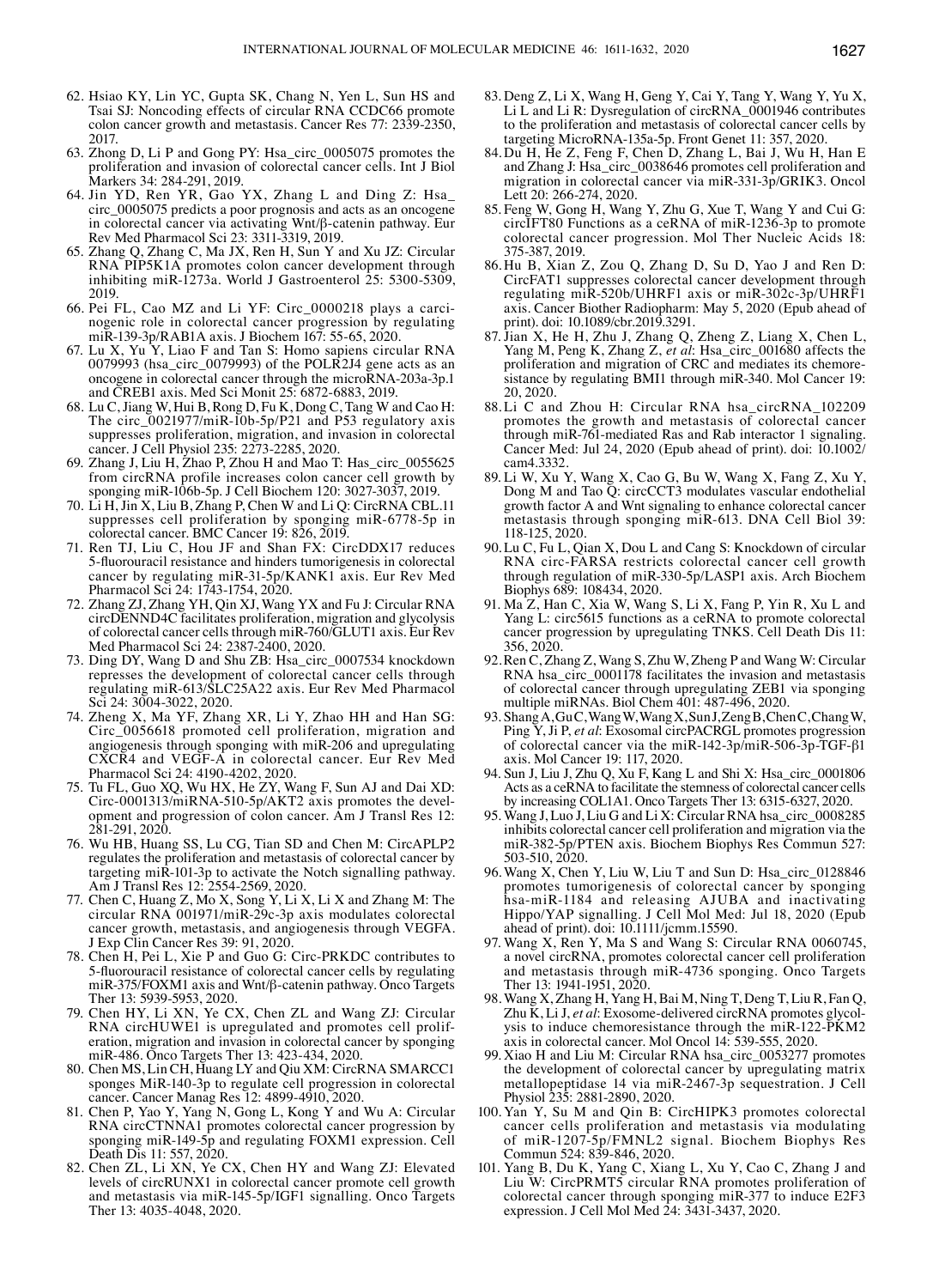- 62. Hsiao KY, Lin YC, Gupta SK, Chang N, Yen L, Sun HS and Tsai SJ: Noncoding effects of circular RNA CCDC66 promote colon cancer growth and metastasis. Cancer Res 77: 2339-2350, 2017.
- 63. Zhong D, Li P and Gong PY: Hsa\_circ\_0005075 promotes the proliferation and invasion of colorectal cancer cells. Int J Biol Markers 34: 284-291, 2019.
- 64. Jin YD, Ren YR, Gao YX, Zhang L and Ding Z: Hsa\_ circ\_0005075 predicts a poor prognosis and acts as an oncogene in colorectal cancer via activating Wnt/β-catenin pathway. Eur Rev Med Pharmacol Sci 23: 3311-3319, 2019.
- 65. Zhang Q, Zhang C, Ma JX, Ren H, Sun Y and Xu JZ: Circular RNA PIP5K1A promotes colon cancer development through inhibiting miR-1273a. World J Gastroenterol 25: 5300-5309, 2019.
- 66. Pei FL, Cao MZ and Li YF: Circ\_0000218 plays a carcinogenic role in colorectal cancer progression by regulating miR-139-3p/RAB1A axis. J Biochem 167: 55-65, 2020.
- 67. Lu X, Yu Y, Liao F and Tan S: Homo sapiens circular RNA 0079993 (hsa\_circ\_0079993) of the POLR2J4 gene acts as an oncogene in colorectal cancer through the microRNA-203a-3p.1 and CREB1 axis. Med Sci Monit 25: 6872-6883, 2019.
- 68. Lu C, Jiang W, Hui B, Rong D, Fu K, Dong C, Tang W and Cao H: The circ  $0021977/\text{mi}$ R-10b-5p/P21 and P53 regulatory axis suppresses proliferation, migration, and invasion in colorectal cancer. J Cell Physiol 235: 2273-2285, 2020.
- 69. Zhang J, Liu H, Zhao P, Zhou H and Mao T: Has\_circ\_0055625 from circRNA profile increases colon cancer cell growth by sponging miR-106b-5p. J Cell Biochem 120: 3027-3037, 2019.
- 70. Li H, Jin X, Liu B, Zhang P, Chen W and Li Q: CircRNA CBL.11 suppresses cell proliferation by sponging miR-6778-5p in colorectal cancer. BMC Cancer 19: 826, 2019.
- 71. Ren TJ, Liu C, Hou JF and Shan FX: CircDDX17 reduces 5‑fluorouracil resistance and hinders tumorigenesis in colorectal cancer by regulating miR-31-5p/KANK1 axis. Eur Rev Med Pharmacol Sci 24: 1743-1754, 2020.
- 72. Zhang ZJ, Zhang YH, Qin XJ, Wang YX and Fu J: Circular RNA circDENND4C facilitates proliferation, migration and glycolysis of colorectal cancer cells through miR-760/GLUT1 axis. Eur Rev Med Pharmacol Sci 24: 2387-2400, 2020.
- 73. Ding DY, Wang D and Shu ZB: Hsa\_circ\_0007534 knockdown represses the development of colorectal cancer cells through regulating miR-613/SLC25A22 axis. Eur Rev Med Pharmacol Sci 24: 3004-3022, 2020.
- 74. Zheng X, Ma YF, Zhang XR, Li Y, Zhao HH and Han SG: Circ\_0056618 promoted cell proliferation, migration and angiogenesis through sponging with miR-206 and upregulating CXCR4 and VEGF-A in colorectal cancer. Eur Rev Med Pharmacol Sci 24: 4190-4202, 2020.
- 75. Tu FL, Guo XQ, Wu HX, He ZY, Wang F, Sun AJ and Dai XD: Circ-0001313/miRNA-510-5p/AKT2 axis promotes the development and progression of colon cancer. Am J Transl Res 12: 281-291, 2020.
- 76. Wu HB, Huang SS, Lu CG, Tian SD and Chen M: CircAPLP2 regulates the proliferation and metastasis of colorectal cancer by targeting miR-101-3p to activate the Notch signalling pathway. Am J Transl Res 12: 2554-2569, 2020.
- 77. Chen C, Huang Z, Mo X, Song Y, Li X, Li X and Zhang M: The circular RNA 001971/miR-29c-3p axis modulates colorectal cancer growth, metastasis, and angiogenesis through VEGFA. J Exp Clin Cancer Res 39: 91, 2020.
- 78. Chen H, Pei L, Xie P and Guo G: Circ-PRKDC contributes to 5‑fluorouracil resistance of colorectal cancer cells by regulating miR-375/FOXM1 axis and Wnt/β-catenin pathway. Onco Targets Ther 13: 5939-5953, 2020.
- 79. Chen HY, Li XN, Ye CX, Chen ZL and Wang ZJ: Circular RNA circHUWE1 is upregulated and promotes cell proliferation, migration and invasion in colorectal cancer by sponging miR-486. Onco Targets Ther 13: 423-434, 2020.
- 80. Chen MS, Lin CH, Huang LY and Qiu XM: CircRNA SMARCC1 sponges MiR-140-3p to regulate cell progression in colorectal cancer. Cancer Manag Res 12: 4899-4910, 2020.
- 81. Chen P, Yao Y, Yang N, Gong L, Kong Y and Wu A: Circular RNA circCTNNA1 promotes colorectal cancer progression by sponging miR-149-5p and regulating FOXM1 expression. Cell Death Dis 11: 557, 2020.
- 82. Chen ZL, Li XN, Ye CX, Chen HY and Wang ZJ: Elevated levels of circRUNX1 in colorectal cancer promote cell growth and metastasis via miR-145-5p/IGF1 signalling. Onco Targets Ther 13: 4035-4048, 2020.
- 83. Deng Z, Li X, Wang H, Geng Y, Cai Y, Tang Y, Wang Y, Yu X, Li L and Li R: Dysregulation of circRNA\_0001946 contributes to the proliferation and metastasis of colorectal cancer cells by targeting MicroRNA-135a-5p. Front Genet 11: 357, 2020.
- 84. Du H, He Z, Feng F, Chen D, Zhang L, Bai J, Wu H, Han E and Zhang J: Hsa\_circ\_0038646 promotes cell proliferation and migration in colorectal cancer via miR-331-3p/GRIK3. Oncol Lett 20: 266-274, 2020.
- 85. Feng W, Gong H, Wang Y, Zhu G, Xue T, Wang Y and Cui G: circIFT80 Functions as a ceRNA of miR-1236-3p to promote colorectal cancer progression. Mol Ther Nucleic Acids 18: 375-387, 2019.
- 86. Hu B, Xian Z, Zou Q, Zhang D, Su D, Yao J and Ren D: CircFAT1 suppresses colorectal cancer development through regulating miR-520b/UHRF1 axis or miR-302c-3p/UHRF1 axis. Cancer Biother Radiopharm: May 5, 2020 (Epub ahead of print). doi: 10.1089/cbr.2019.3291.
- 87. Jian X, He H, Zhu J, Zhang Q, Zheng Z, Liang X, Chen L, Yang M, Peng K, Zhang Z, *et al*: Hsa\_circ\_001680 affects the proliferation and migration of CRC and mediates its chemoresistance by regulating BMI1 through miR-340. Mol Cancer 19: 20, 2020.
- 88. Li C and Zhou H: Circular RNA hsa\_circRNA\_102209 promotes the growth and metastasis of colorectal cancer through miR-761-mediated Ras and Rab interactor 1 signaling. Cancer Med: Jul 24, 2020 (Epub ahead of print). doi:  $10.1002$ / cam4.3332.
- 89. Li W, Xu Y, Wang X, Cao G, Bu W, Wang X, Fang Z, Xu Y, Dong M and Tao Q: circCCT3 modulates vascular endothelial growth factor A and Wnt signaling to enhance colorectal cancer metastasis through sponging miR-613. DNA Cell Biol 39: 118-125, 2020.
- 90.Lu C, Fu L, Qian X, Dou L and Cang S: Knockdown of circular RNA circ-FARSA restricts colorectal cancer cell growth through regulation of miR-330-5p/LASP1 axis. Arch Biochem Biophys 689: 108434, 2020.
- 91. Ma Z, Han C, Xia W, Wang S, Li X, Fang P, Yin R, Xu L and Yang L: circ5615 functions as a ceRNA to promote colorectal cancer progression by upregulating TNKS. Cell Death Dis 11: 356, 2020.
- 92.Ren C, Zhang Z, Wang S, Zhu W, Zheng P and Wang W: Circular RNA hsa\_circ\_0001178 facilitates the invasion and metastasis of colorectal cancer through upregulating ZEB1 via sponging multiple miRNAs. Biol Chem 401: 487-496, 2020.
- 93. Shang A, Gu C, Wang W, Wang X, Sun J, Zeng B, Chen C, Chang W, Ping Y, Ji P, *et al*: Exosomal circPACRGL promotes progression of colorectal cancer via the miR-142-3p/miR-506-3p-TGF-β1 axis. Mol Cancer 19: 117, 2020.
- 94. Sun J, Liu J, Zhu Q, Xu F, Kang L and Shi X: Hsa\_circ\_0001806 Acts as a ceRNA to facilitate the stemness of colorectal cancer cells by increasing COL1A1. Onco Targets Ther 13: 6315-6327, 2020.
- 95. Wang J, Luo J, Liu G and Li X: Circular RNA hsa\_circ\_0008285 inhibits colorectal cancer cell proliferation and migration via the miR-382-5p/PTEN axis. Biochem Biophys Res Commun 527: 503-510, 2020.
- 96.Wang X, Chen Y, Liu W, Liu T and Sun D: Hsa\_circ\_0128846 promotes tumorigenesis of colorectal cancer by sponging hsa-miR-1184 and releasing AJUBA and inactivating Hippo/YAP signalling. J Cell Mol Med: Jul 18, 2020 (Epub ahead of print). doi: 10.1111/jcmm.15590.
- 97. Wang X, Ren Y, Ma S and Wang S: Circular RNA 0060745, a novel circRNA, promotes colorectal cancer cell proliferation and metastasis through miR-4736 sponging. Onco Targets Ther 13: 1941-1951, 2020
- 98. Wang X, Zhang H, Yang H, Bai M, Ning T, Deng T, Liu R, Fan Q, Zhu K, Li J, *et al*: Exosome-delivered circRNA promotes glycolysis to induce chemoresistance through the miR-122-PKM2 axis in colorectal cancer. Mol Oncol 14: 539-555, 2020.
- 99. Xiao H and Liu M: Circular RNA hsa\_circ\_0053277 promotes the development of colorectal cancer by upregulating matrix metallopeptidase 14 via miR-2467-3p sequestration. J Cell Physiol 235: 2881-2890, 2020.
- 100. Yan Y, Su M and Qin B: CircHIPK3 promotes colorectal cancer cells proliferation and metastasis via modulating of miR-1207-5p/FMNL2 signal. Biochem Biophys Res Commun 524: 839-846, 2020.
- 101. Yang B, Du K, Yang C, Xiang L, Xu Y, Cao C, Zhang J and Liu W: CircPRMT5 circular RNA promotes proliferation of colorectal cancer through sponging miR-377 to induce E2F3 expression. J Cell Mol Med 24: 3431-3437, 2020.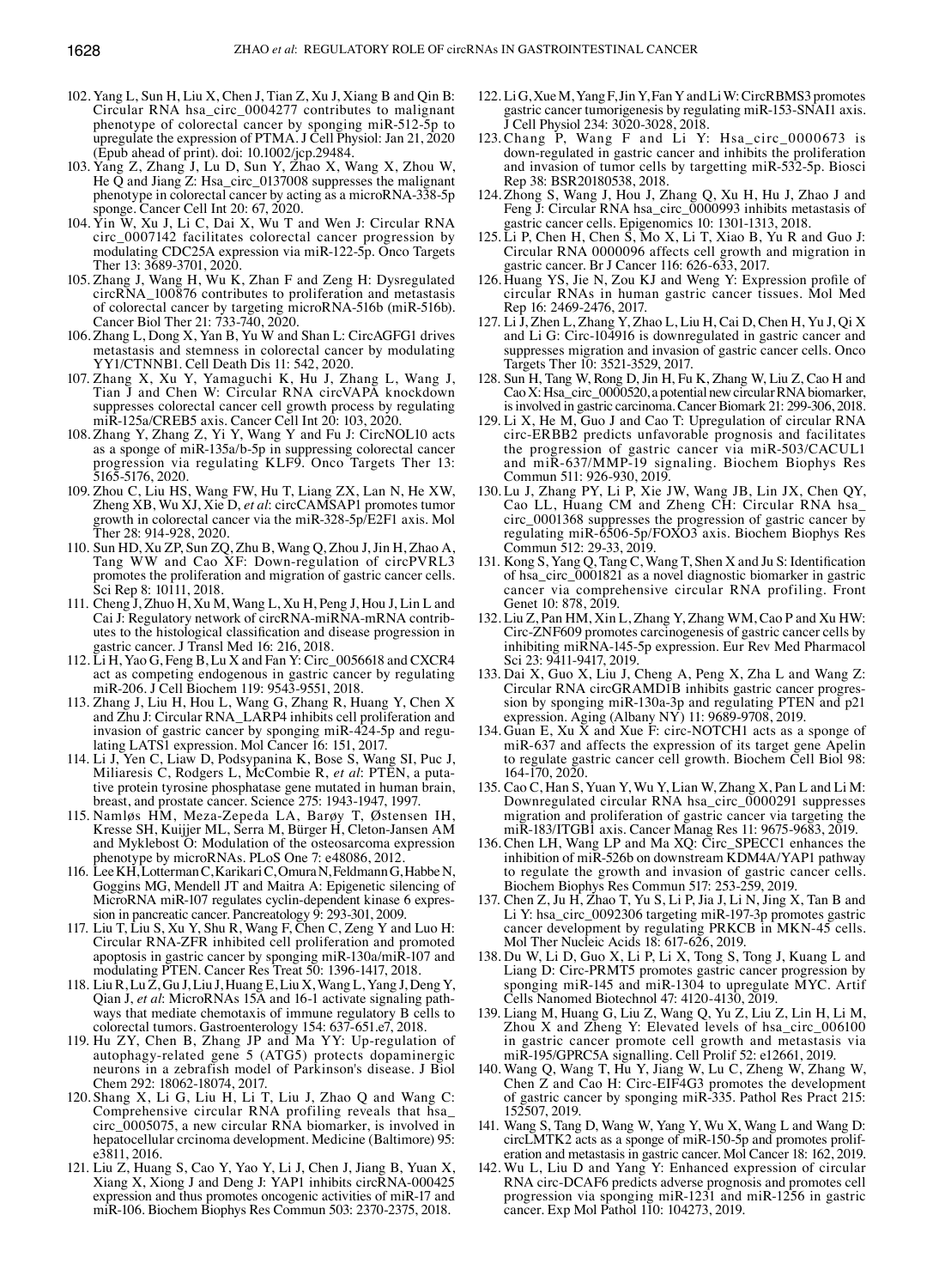- 102. Yang L, Sun H, Liu X, Chen J, Tian Z, Xu J, Xiang B and Qin B: Circular RNA hsa\_circ\_0004277 contributes to malignant phenotype of colorectal cancer by sponging miR-512-5p to upregulate the expression of PTMA. J Cell Physiol: Jan 21, 2020 (Epub ahead of print). doi: 10.1002/jcp.29484.
- 103. Yang Z, Zhang J, Lu D, Sun Y, Zhao X, Wang X, Zhou W, He  $\overline{Q}$  and Jiang Z: Hsa\_circ\_0137008 suppresses the malignant phenotype in colorectal cancer by acting as a microRNA-338-5p sponge. Cancer Cell Int 20: 67, 2020.
- 104. Yin W, Xu J, Li C, Dai X, Wu T and Wen J: Circular RNA circ\_0007142 facilitates colorectal cancer progression by modulating CDC25A expression via miR-122-5p. Onco Targets Ther 13: 3689-3701, 2020.
- 105. Zhang J, Wang H, Wu K, Zhan F and Zeng H: Dysregulated circRNA\_100876 contributes to proliferation and metastasis of colorectal cancer by targeting microRNA-516b (miR-516b). Cancer Biol Ther 21: 733-740, 2020.
- 106. Zhang L, Dong X, Yan B, Yu W and Shan L: CircAGFG1 drives metastasis and stemness in colorectal cancer by modulating YY1/CTNNB1. Cell Death Dis 11: 542, 2020.
- 107. Zhang X, Xu Y, Yamaguchi K, Hu J, Zhang L, Wang J, Tian J and Chen W: Circular RNA circVAPA knockdown suppresses colorectal cancer cell growth process by regulating miR-125a/CREB5 axis. Cancer Cell Int 20: 103, 2020.
- 108. Zhang Y, Zhang Z, Yi Y, Wang Y and Fu J: CircNOL10 acts as a sponge of miR-135a/b-5p in suppressing colorectal cancer progression via regulating KLF9. Onco Targets Ther 13: 5165-5176, 2020.
- 109. Zhou C, Liu HS, Wang FW, Hu T, Liang ZX, Lan N, He XW, Zheng XB, Wu XJ, Xie D, *et al*: circCAMSAP1 promotes tumor growth in colorectal cancer via the miR-328-5p/E2F1 axis. Mol Ther 28: 914-928, 2020.
- 110. Sun HD, Xu ZP, Sun ZQ, Zhu B, Wang Q, Zhou J, Jin H, Zhao A, Tang WW and Cao XF: Down-regulation of circPVRL3 promotes the proliferation and migration of gastric cancer cells. Sci Rep 8: 10111, 2018.
- 111. Cheng J, Zhuo H, Xu M, Wang L, Xu H, Peng J, Hou J, Lin L and Cai J: Regulatory network of circRNA-miRNA-mRNA contributes to the histological classification and disease progression in gastric cancer. J Transl Med 16: 216, 2018.
- 112. Li H, Yao G, Feng B, Lu X and Fan Y: Circ\_0056618 and CXCR4 act as competing endogenous in gastric cancer by regulating miR-206. J Cell Biochem 119: 9543-9551, 2018.
- 113. Zhang J, Liu H, Hou L, Wang G, Zhang R, Huang Y, Chen X and Zhu J: Circular RNA\_LARP4 inhibits cell proliferation and invasion of gastric cancer by sponging miR-424-5p and regulating LATS1 expression. Mol Cancer 16: 151, 2017.
- 114. Li J, Yen C, Liaw D, Podsypanina K, Bose S, Wang SI, Puc J, Miliaresis C, Rodgers L, McCombie R, *et al*: PTEN, a putative protein tyrosine phosphatase gene mutated in human brain, breast, and prostate cancer. Science 275: 1943-1947, 1997.
- 115. Namløs HM, Meza-Zepeda LA, Barøy T, Østensen IH, Kresse SH, Kuijjer ML, Serra M, Bürger H, Cleton-Jansen AM and Myklebost O: Modulation of the osteosarcoma expression phenotype by microRNAs. PLoS One 7: e48086, 2012.
- 116. LeeKH, Lotterman C, Karikari C, OmuraN, FeldmannG, HabbeN, Goggins MG, Mendell JT and Maitra A: Epigenetic silencing of MicroRNA miR-107 regulates cyclin-dependent kinase 6 expression in pancreatic cancer. Pancreatology 9: 293-301, 2009.
- 117. Liu T, Liu S, Xu Y, Shu R, Wang F, Chen C, Zeng Y and Luo H: Circular RNA-ZFR inhibited cell proliferation and promoted apoptosis in gastric cancer by sponging miR-130a/miR-107 and modulating PTEN. Cancer Res Treat 50: 1396-1417, 2018.
- 118. LiuR, Lu Z, Gu J, Liu J, Huang E, Liu X, Wang L, Yang J, Deng Y, Qian J, *et al*: MicroRNAs 15A and 16-1 activate signaling pathways that mediate chemotaxis of immune regulatory B cells to colorectal tumors. Gastroenterology 154: 637-651.e7, 2018.
- 119. Hu ZY, Chen B, Zhang JP and Ma YY: Up-regulation of autophagy-related gene 5 (ATG5) protects dopaminergic neurons in a zebrafish model of Parkinson's disease. J Biol Chem 292: 18062-18074, 2017.<br>120. Shang X, Li G, Liu H, Li T, Liu J, Zhao Q and Wang C:
- Comprehensive circular RNA profiling reveals that hsa\_ circ\_0005075, a new circular RNA biomarker, is involved in hepatocellular crcinoma development. Medicine (Baltimore) 95: e3811, 2016.
- 121. Liu Z, Huang S, Cao Y, Yao Y, Li J, Chen J, Jiang B, Yuan X, Xiang X, Xiong J and Deng J: YAP1 inhibits circRNA-000425 expression and thus promotes oncogenic activities of miR-17 and miR-106. Biochem Biophys Res Commun 503: 2370-2375, 2018.
- 122. LiG, XueM, YangF, JinY, FanY and LiW: CircRBMS3 promotes gastric cancer tumorigenesis by regulating miR-153-SNAI1 axis. J Cell Physiol 234: 3020-3028, 2018.
- 123. Chang P, Wang F and Li Y: Hsa\_circ\_0000673 is down-regulated in gastric cancer and inhibits the proliferation and invasion of tumor cells by targetting miR-532-5p. Biosci Rep 38: BSR20180538, 2018.
- 124. Zhong S, Wang J, Hou J, Zhang Q, Xu H, Hu J, Zhao J and Feng J: Circular RNA hsa\_circ\_0000993 inhibits metastasis of gastric cancer cells. Epigenomics 10: 1301-1313, 2018.
- 125. Li P, Chen H, Chen S, Mo X, Li T, Xiao B, Yu R and Guo J: Circular RNA 0000096 affects cell growth and migration in gastric cancer. Br J Cancer 116: 626-633, 2017.
- 126. Huang YS, Jie N, Zou KJ and Weng Y: Expression profile of circular RNAs in human gastric cancer tissues. Mol Med Rep 16: 2469-2476, 2017.
- 127. Li J, Zhen L, Zhang Y, Zhao L, Liu H, Cai D, Chen H, Yu J, Qi X and Li G: Circ-104916 is downregulated in gastric cancer and suppresses migration and invasion of gastric cancer cells. Onco Targets Ther 10: 3521-3529, 2017.
- 128. Sun H, Tang W, Rong D, Jin H, Fu K, Zhang W, Liu Z, Cao H and CaoX: Hsa\_circ\_0000520, a potential new circular RNA biomarker, is involved in gastric carcinoma. Cancer Biomark 21: 299-306, 2018.
- 129. Li X, He M, Guo J and Cao T: Upregulation of circular RNA circ-ERBB2 predicts unfavorable prognosis and facilitates the progression of gastric cancer via miR-503/CACUL1 and miR-637/MMP-19 signaling. Biochem Biophys Res Commun 511: 926-930, 2019.
- 130. Lu J, Zhang PY, Li P, Xie JW, Wang JB, Lin JX, Chen QY, Cao LL, Huang CM and Zheng CH: Circular RNA hsa\_ circ\_0001368 suppresses the progression of gastric cancer by regulating miR-6506-5p/FOXO3 axis. Biochem Biophys Res Commun 512: 29-33, 2019.
- 131. Kong S, Yang Q, Tang C, Wang T, Shen X and Ju S: Identification of hsa\_circ\_0001821 as a novel diagnostic biomarker in gastric cancer via comprehensive circular RNA profiling. Front Genet 10: 878, 2019.
- 132. Liu Z, Pan HM, Xin L, Zhang Y, Zhang WM, Cao P and Xu HW: Circ-ZNF609 promotes carcinogenesis of gastric cancer cells by inhibiting miRNA-145-5p expression. Eur Rev Med Pharmacol Sci 23: 9411-9417, 2019.
- 133. Dai X, Guo X, Liu J, Cheng A, Peng X, Zha L and Wang Z: Circular RNA circGRAMD1B inhibits gastric cancer progression by sponging miR-130a-3p and regulating PTEN and p21 expression. Aging (Albany NY) 11: 9689-9708, 2019.
- 134. Guan E, Xu  $\bar{X}$  and Xue F: circ-NOTCH1 acts as a sponge of miR-637 and affects the expression of its target gene Apelin to regulate gastric cancer cell growth. Biochem Cell Biol 98: 164-170, 2020.
- 135. Cao C, Han S, Yuan Y, Wu Y, Lian W, Zhang X, Pan L and Li M: Downregulated circular RNA hsa\_circ\_0000291 suppresses migration and proliferation of gastric cancer via targeting the miR-183/ITGB1 axis. Cancer Manag Res 11: 9675-9683, 2019.
- 136. Chen LH, Wang LP and Ma XQ: Circ\_SPECC1 enhances the inhibition of miR-526b on downstream KDM4A/YAP1 pathway to regulate the growth and invasion of gastric cancer cells. Biochem Biophys Res Commun 517: 253-259, 2019.
- 137. Chen Z, Ju H, Zhao T, Yu S, Li P, Jia J, Li N, Jing X, Tan B and Li Y: hsa\_circ\_0092306 targeting miR-197-3p promotes gastric cancer development by regulating PRKCB in MKN-45 cells. Mol Ther Nucleic Acids 18: 617-626, 2019.
- 138. Du W, Li D, Guo X, Li P, Li X, Tong S, Tong J, Kuang L and Liang D: Circ-PRMT5 promotes gastric cancer progression by sponging miR-145 and miR-1304 to upregulate MYC. Artif Cells Nanomed Biotechnol 47: 4120-4130, 2019.
- 139. Liang M, Huang G, Liu Z, Wang Q, Yu Z, Liu Z, Lin H, Li M, Zhou X and Zheng Y: Elevated levels of hsa\_circ\_006100 in gastric cancer promote cell growth and metastasis via miR-195/GPRC5A signalling. Cell Prolif 52: e12661, 2019.
- 140. Wang Q, Wang T, Hu Y, Jiang W, Lu C, Zheng W, Zhang W, Chen Z and Cao H: Circ-EIF4G3 promotes the development of gastric cancer by sponging miR-335. Pathol Res Pract 215:
- 152507, 2019.<br>141. Wang S, Tang D, Wang W, Yang Y, Wu X, Wang L and Wang D: circLMTK2 acts as a sponge of miR-150-5p and promotes prolif-<br>eration and metastasis in gastric cancer. Mol Cancer 18: 162, 2019.
- 142. Wu L, Liu D and Yang Y: Enhanced expression of circular RNA circ‑DCAF6 predicts adverse prognosis and promotes cell progression via sponging miR-1231 and miR-1256 in gastric cancer. Exp Mol Pathol 110: 104273, 2019.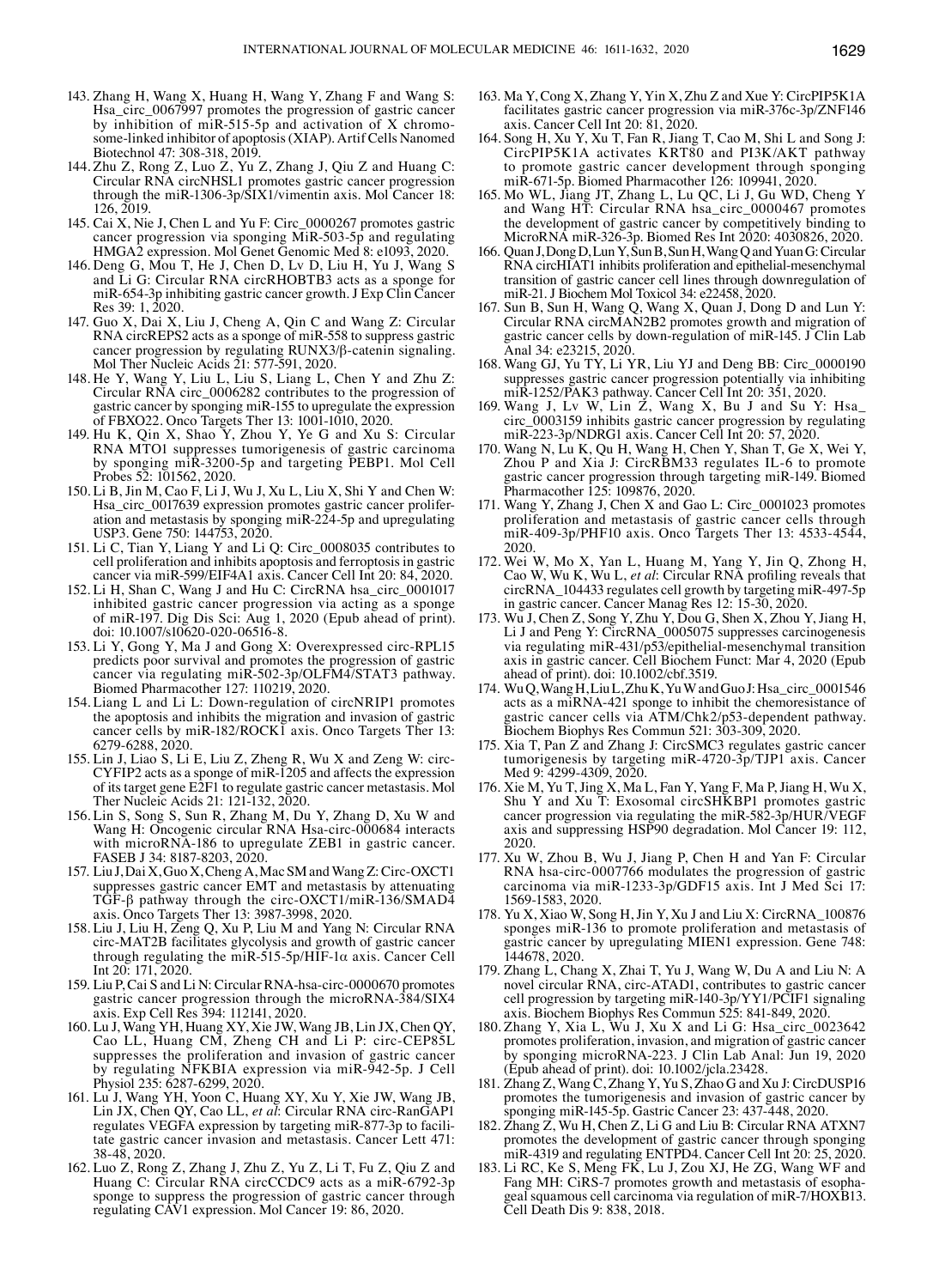- 143. Zhang H, Wang X, Huang H, Wang Y, Zhang F and Wang S: Hsa\_circ\_0067997 promotes the progression of gastric cancer by inhibition of miR-515-5p and activation of X chromosome-linked inhibitor of apoptosis (XIAP). Artif Cells Nanomed Biotechnol 47: 308-318, 2019.
- 144. Zhu Z, Rong Z, Luo Z, Yu Z, Zhang J, Qiu Z and Huang C: Circular RNA circNHSL1 promotes gastric cancer progression through the miR-1306-3p/SIX1/vimentin axis. Mol Cancer 18: 126, 2019.
- 145. Cai X, Nie J, Chen L and Yu F: Circ\_0000267 promotes gastric cancer progression via sponging  $\overline{\text{Mi}}$ R-503-5p and regulating HMGA2 expression. Mol Genet Genomic Med 8: e1093, 2020.
- 146. Deng G, Mou T, He J, Chen D, Lv D, Liu H, Yu J, Wang S and Li G: Circular RNA circRHOBTB3 acts as a sponge for miR-654-3p inhibiting gastric cancer growth. J Exp Clin Cancer Res 39: 1, 2020.
- 147. Guo X, Dai X, Liu J, Cheng A, Qin C and Wang Z: Circular RNA circREPS2 acts as a sponge of miR-558 to suppress gastric cancer progression by regulating RUNX3/β-catenin signaling. Mol Ther Nucleic Acids 21: 577-591, 2020.
- 148. He Y, Wang Y, Liu L, Liu S, Liang L, Chen Y and Zhu Z: Circular RNA circ\_0006282 contributes to the progression of gastric cancer by sponging miR-155 to upregulate the expression of FBXO22. Onco Targets Ther 13: 1001-1010, 2020.
- 149. Hu K, Qin X, Shao Y, Zhou Y, Ye G and Xu S: Circular RNA MTO1 suppresses tumorigenesis of gastric carcinoma by sponging miR-3200-5p and targeting PEBP1. Mol Cell Probes 52: 101562, 2020.
- 150. Li B, Jin M, Cao F, Li J, Wu J, Xu L, Liu X, Shi Y and Chen W: Hsa\_circ\_0017639 expression promotes gastric cancer proliferation and metastasis by sponging miR-224-5p and upregulating USP3. Gene 750: 144753, 2020.
- 151. Li C, Tian Y, Liang Y and Li Q: Circ\_0008035 contributes to cell proliferation and inhibits apoptosis and ferroptosis in gastric cancer via miR-599/EIF4A1 axis. Cancer Cell Int 20: 84, 2020.
- 152. Li H, Shan C, Wang J and Hu C: CircRNA hsa\_circ\_0001017 inhibited gastric cancer progression via acting as a sponge of miR-197. Dig Dis Sci: Aug 1, 2020 (Epub ahead of print). doi: 10.1007/s10620-020-06516-8.
- 153. Li Y, Gong Y, Ma J and Gong X: Overexpressed circ-RPL15 predicts poor survival and promotes the progression of gastric cancer via regulating miR-502-3p/OLFM4/STAT3 pathway. Biomed Pharmacother 127: 110219, 2020.
- 154. Liang L and Li L: Down-regulation of circNRIP1 promotes the apoptosis and inhibits the migration and invasion of gastric cancer cells by miR-182/ROCK1 axis. Onco Targets Ther 13: 6279-6288, 2020.
- 155. Lin J, Liao S, Li E, Liu Z, Zheng R, Wu X and Zeng W: circ-CYFIP2 acts as a sponge of miR-1205 and affects the expression of its target gene E2F1 to regulate gastric cancer metastasis. Mol Ther Nucleic Acids 21: 121-132, 2020.
- 156. Lin S, Song S, Sun R, Zhang M, Du Y, Zhang D, Xu W and Wang H: Oncogenic circular RNA Hsa-circ-000684 interacts with microRNA-186 to upregulate ZEB1 in gastric cancer. FASEB J 34: 8187-8203, 2020.
- 157. Liu J, Dai X, Guo X, Cheng A, Mac SM and WangZ: Circ-OXCT1 suppresses gastric cancer EMT and metastasis by attenuating TGF-β pathway through the circ-OXCT1/miR-136/SMAD4 axis. Onco Targets Ther 13: 3987-3998, 2020.
- 158. Liu J, Liu H, Zeng Q, Xu P, Liu M and Yang N: Circular RNA circ-MAT2B facilitates glycolysis and growth of gastric cancer through regulating the miR-515-5p/HIF-1α axis. Cancer Cell Int 20: 171, 2020.
- 159. Liu P, Cai S and Li N: Circular RNA-hsa-circ-0000670 promotes gastric cancer progression through the microRNA-384/SIX4 axis. Exp Cell Res 394: 112141, 2020.
- 160. Lu J, Wang YH, Huang XY, Xie JW, Wang JB, Lin JX, Chen QY, Cao LL, Huang CM, Zheng CH and Li P: circ‑CEP85L suppresses the proliferation and invasion of gastric cancer by regulating NFKBIA expression via miR-942-5p. J Cell Physiol 235: 6287-6299, 2020.
- 161. Lu J, Wang YH, Yoon C, Huang XY, Xu Y, Xie JW, Wang JB, Lin JX, Chen QY, Cao LL, *et al*: Circular RNA circ-RanGAP1 regulates VEGFA expression by targeting miR-877-3p to facili- tate gastric cancer invasion and metastasis. Cancer Lett 471: 38-48, 2020.
- 162. Luo Z, Rong Z, Zhang J, Zhu Z, Yu Z, Li T, Fu Z, Qiu Z and Huang C: Circular RNA circCCDC9 acts as a miR-6792-3p sponge to suppress the progression of gastric cancer through regulating CAV1 expression. Mol Cancer 19: 86, 2020.
- 163. Ma Y, Cong X, Zhang Y, Yin X, Zhu Z and Xue Y: CircPIP5K1A facilitates gastric cancer progression via miR-376c-3p/ZNF146 axis. Cancer Cell Int 20: 81, 2020.
- 164. Song H, Xu Y, Xu T, Fan R, Jiang T, Cao M, Shi L and Song J: CircPIP5K1A activates KRT80 and PI3K/AKT pathway to promote gastric cancer development through sponging miR-671-5p. Biomed Pharmacother 126: 109941, 2020.
- 165. Mo WL, Jiang JT, Zhang L, Lu QC, Li J, Gu WD, Cheng Y and Wang HT: Circular RNA hsa\_circ\_0000467 promotes the development of gastric cancer by competitively binding to MicroRNA miR-326-3p. Biomed Res Int 2020: 4030826, 2020.
- 166. Quan J, Dong D, Lun Y, Sun B, Sun H, Wang Q and Yuan G: Circular RNA circHIAT1 inhibits proliferation and epithelial-mesenchymal transition of gastric cancer cell lines through downregulation of miR-21. J Biochem Mol Toxicol 34: e22458, 2020.
- 167. Sun B, Sun H, Wang Q, Wang X, Quan J, Dong D and Lun Y: Circular RNA circMAN2B2 promotes growth and migration of gastric cancer cells by down-regulation of miR-145. J Clin Lab Anal 34: e23215, 2020.
- 168. Wang GJ, Yu TY, Li YR, Liu YJ and Deng BB: Circ\_0000190 suppresses gastric cancer progression potentially via inhibiting miR-1252/PAK3 pathway. Cancer Cell Int 20: 351, 2020.
- 169. Wang J, Lv W, Lin  $\dot{Z}$ , Wang X, Bu J and Su Y: Hsa circ\_0003159 inhibits gastric cancer progression by regulating miR-223-3p/NDRG1 axis. Cancer Cell Int 20: 57, 2020.
- 170. Wang N, Lu K, Qu H, Wang H, Chen Y, Shan T, Ge X, Wei Y, Zhou P and Xia J: CircRBM33 regulates IL-6 to promote gastric cancer progression through targeting miR-149. Biomed Pharmacother 125: 109876, 2020.
- 171. Wang Y, Zhang J, Chen X and Gao L: Circ\_0001023 promotes proliferation and metastasis of gastric cancer cells through miR-409-3p/PHF10 axis. Onco Targets Ther 13: 4533-4544, 2020.
- 172. Wei W, Mo X, Yan L, Huang M, Yang Y, Jin Q, Zhong H, Cao W, Wu K, Wu L, *et al*: Circular RNA profiling reveals that circRNA\_104433 regulates cell growth by targeting miR-497-5p in gastric cancer. Cancer Manag Res 12: 15-30, 2020.
- 173. Wu J, Chen Z, Song Y, Zhu Y, Dou G, Shen X, Zhou Y, Jiang H, Li J and Peng Y: CircRNA\_0005075 suppresses carcinogenesis via regulating miR-431/p53/epithelial-mesenchymal transition axis in gastric cancer. Cell Biochem Funct: Mar 4, 2020 (Epub ahead of print). doi: 10.1002/cbf.3519.
- 174. WuQ, WangH, LiuL, ZhuK, YuW and GuoJ: Hsa\_circ\_0001546 acts as a miRNA-421 sponge to inhibit the chemoresistance of gastric cancer cells via ATM/Chk2/p53-dependent pathway. Biochem Biophys Res Commun 521: 303-309, 2020.
- 175. Xia T, Pan Z and Zhang J: CircSMC3 regulates gastric cancer tumorigenesis by targeting miR-4720-3p/TJP1 axis. Cancer Med 9: 4299-4309, 2020.
- 176. Xie M, Yu T, Jing X, Ma L, Fan Y, Yang F, Ma P, Jiang H, Wu X, Shu Y and Xu T: Exosomal circSHKBP1 promotes gastric cancer progression via regulating the miR-582-3p/HUR/VEGF axis and suppressing HSP90 degradation. Mol Cancer 19: 112, 2020.
- 177. Xu W, Zhou B, Wu J, Jiang P, Chen H and Yan F: Circular RNA hsa-circ-0007766 modulates the progression of gastric carcinoma via miR-1233-3p/GDF15 axis. Int J Med Sci 17: 1569-1583, 2020.
- 178. Yu X, Xiao W, Song H, Jin Y, Xu J and Liu X: CircRNA\_100876 sponges miR-136 to promote proliferation and metastasis of gastric cancer by upregulating MIEN1 expression. Gene 748: 144678, 2020.
- 179. Zhang L, Chang X, Zhai T, Yu J, Wang W, Du A and Liu N: A novel circular RNA, circ-ATAD1, contributes to gastric cancer cell progression by targeting miR-140-3p/YY1/PCIF1 signaling axis. Biochem Biophys Res Commun 525: 841-849, 2020.
- 180. Zhang Y, Xia L, Wu J, Xu X and Li G: Hsa\_circ\_0023642 promotes proliferation, invasion, and migration of gastric cancer by sponging microRNA-223. J Clin Lab Anal: Jun 19, 2020 (Epub ahead of print). doi: 10.1002/jcla.23428.
- 181. Zhang Z, Wang C, Zhang Y, Yu S, Zhao G and Xu J: CircDUSP16 promotes the tumorigenesis and invasion of gastric cancer by sponging miR-145-5p. Gastric Cancer 23: 437-448, 2020.
- 182. Zhang Z, Wu H, Chen Z, Li G and Liu B: Circular RNA ATXN7 promotes the development of gastric cancer through sponging miR-4319 and regulating ENTPD4. Cancer Cell Int 20: 25, 2020.
- 183. Li RC, Ke S, Meng FK, Lu J, Zou XJ, He ZG, Wang WF and Fang MH: CiRS-7 promotes growth and metastasis of esophageal squamous cell carcinoma via regulation of miR-7/HOXB13. Cell Death Dis 9: 838, 2018.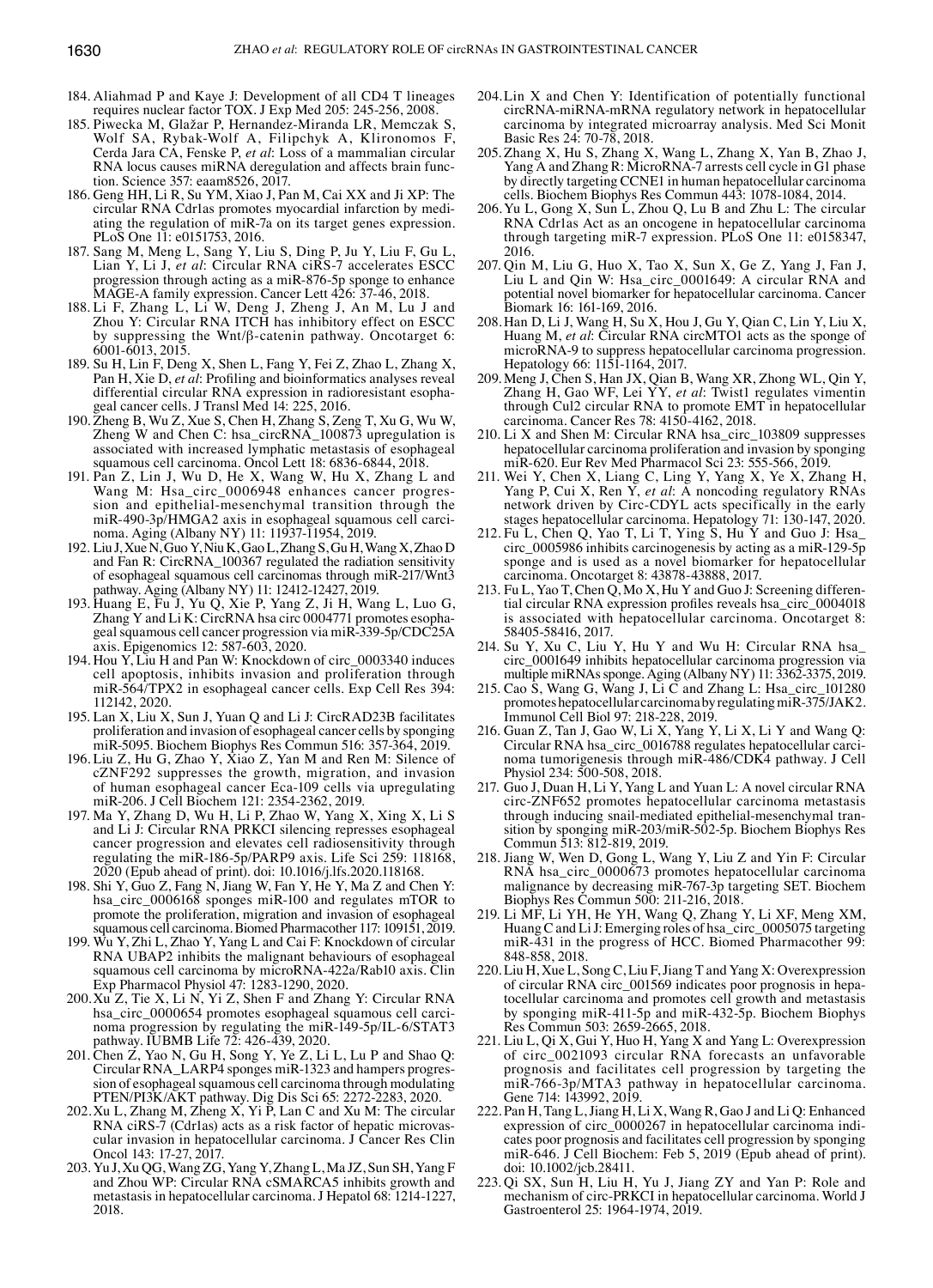- 184. Aliahmad P and Kaye J: Development of all CD4 T lineages requires nuclear factor TOX. J Exp Med 205: 245-256, 2008.
- 185. Piwecka M, Glažar P, Hernandez‑Miranda LR, Memczak S, Wolf SA, Rybak-Wolf A, Filipchyk A, Klironomos F, Cerda Jara CA, Fenske P, *et al*: Loss of a mammalian circular RNA locus causes miRNA deregulation and affects brain function. Science 357: eaam8526, 2017.
- 186. Geng HH, Li R, Su YM, Xiao J, Pan M, Cai XX and Ji XP: The circular RNA Cdr1as promotes myocardial infarction by mediating the regulation of miR-7a on its target genes expression. PLoS One 11: e0151753, 2016.
- 187. Sang M, Meng L, Sang Y, Liu S, Ding P, Ju Y, Liu F, Gu L, Lian Y, Li J, *et al*: Circular RNA ciRS-7 accelerates ESCC progression through acting as a miR-876-5p sponge to enhance MAGE-A family expression. Cancer Lett 426: 37-46, 2018.
- 188. Li F, Zhang L, Li W, Deng J, Zheng J, An M, Lu J and Zhou Y: Circular RNA ITCH has inhibitory effect on ESCC by suppressing the Wnt/β-catenin pathway. Oncotarget 6: 6001-6013, 2015.
- 189. Su H, Lin F, Deng X, Shen L, Fang Y, Fei Z, Zhao L, Zhang X, Pan H, Xie D, *et al*: Profiling and bioinformatics analyses reveal differential circular RNA expression in radioresistant esophageal cancer cells. J Transl Med 14: 225, 2016.
- 190. Zheng B, Wu Z, Xue S, Chen H, Zhang S, Zeng T, Xu G, Wu W, Zheng W and Chen C: hsa\_circRNA\_100873 upregulation is associated with increased lymphatic metastasis of esophageal squamous cell carcinoma. Oncol Lett 18: 6836-6844, 2018.
- 191. Pan Z, Lin J, Wu D, He X, Wang W, Hu X, Zhang L and Wang M: Hsa\_circ\_0006948 enhances cancer progression and epithelial-mesenchymal transition through the miR-490-3p/HMGA2 axis in esophageal squamous cell carcinoma. Aging (Albany NY) 11: 11937-11954, 2019.
- 192. Liu J, Xue N, Guo Y, Niu K, GaoL, Zhang S, Gu H, Wang X, Zhao D and Fan R: CircRNA\_100367 regulated the radiation sensitivity of esophageal squamous cell carcinomas through miR-217/Wnt3 pathway. Aging (Albany NY) 11: 12412-12427, 2019.
- 193. Huang E, Fu J, Yu Q, Xie P, Yang Z, Ji H, Wang L, Luo G, Zhang Y and Li K: CircRNA hsa circ 0004771 promotes esophageal squamous cell cancer progression via miR-339-5p/CDC25A axis. Epigenomics 12: 587-603, 2020.
- 194. Hou Y, Liu H and Pan W: Knockdown of circ\_0003340 induces cell apoptosis, inhibits invasion and proliferation through miR-564/TPX2 in esophageal cancer cells. Exp Cell Res 394: 112142, 2020.
- 195. Lan X, Liu X, Sun J, Yuan Q and Li J: CircRAD23B facilitates proliferation and invasion of esophageal cancer cells by sponging miR-5095. Biochem Biophys Res Commun 516: 357-364, 2019.
- 196. Liu Z, Hu G, Zhao Y, Xiao Z, Yan M and Ren M: Silence of cZNF292 suppresses the growth, migration, and invasion of human esophageal cancer Eca-109 cells via upregulating miR-206. J Cell Biochem 121: 2354-2362, 2019.
- 197. Ma Y, Zhang D, Wu H, Li P, Zhao W, Yang X, Xing X, Li S and Li J: Circular RNA PRKCI silencing represses esophageal cancer progression and elevates cell radiosensitivity through regulating the miR-186-5p/PARP9 axis. Life Sci 259: 118168, 2020 (Epub ahead of print). doi: 10.1016/j.lfs.2020.118168.
- 198. Shi Y, Guo Z, Fang N, Jiang W, Fan Y, He Y, Ma Z and Chen Y: hsa\_circ\_0006168 sponges miR-100 and regulates mTOR to promote the proliferation, migration and invasion of esophageal squamous cell carcinoma. Biomed Pharmacother 117: 109151, 2019.
- 199. Wu Y, Zhi L, Zhao Y, Yang L and Cai F: Knockdown of circular RNA UBAP2 inhibits the malignant behaviours of esophageal squamous cell carcinoma by microRNA-422a/Rab10 axis. Clin Exp Pharmacol Physiol 47: 1283-1290, 2020.
- 200.Xu Z, Tie X, Li N, Yi Z, Shen F and Zhang Y: Circular RNA noma progression by regulating the miR-149-5p/IL-6/STAT3 pathway. IUBMB Life 72: 426-439, 2020.
- 201. Chen Z, Yao N, Gu H, Song Y, Ye Z, Li L, Lu P and Shao Q: Circular RNA\_LARP4 sponges miR-1323 and hampers progression of esophageal squamous cell carcinoma through modulating PTEN/PI3K/AKT pathway. Dig Dis Sci 65: 2272-2283, 2020.
- 202.Xu L, Zhang M, Zheng X, Yi P, Lan C and Xu M: The circular RNA ciRS-7 (Cdr1as) acts as a risk factor of hepatic microvascular invasion in hepatocellular carcinoma. J Cancer Res Clin Oncol 143: 17-27, 2017.
- 203. Yu J, Xu QG, Wang ZG, Yang Y, Zhang L, Ma JZ, Sun SH, Yang F and Zhou WP: Circular RNA cSMARCA5 inhibits growth and metastasis in hepatocellular carcinoma. J Hepatol 68: 1214-1227, 2018.
- 204.Lin X and Chen Y: Identification of potentially functional circRNA-miRNA-mRNA regulatory network in hepatocellular carcinoma by integrated microarray analysis. Med Sci Monit Basic Res 24: 70-78, 2018.
- 205. Zhang X, Hu S, Zhang X, Wang L, Zhang X, Yan B, Zhao J, Yang A and Zhang R: MicroRNA-7 arrests cell cycle in G1 phase by directly targeting CCNE1 in human hepatocellular carcinoma cells. Biochem Biophys Res Commun 443: 1078-1084, 2014.
- 206.Yu L, Gong X, Sun L, Zhou Q, Lu B and Zhu L: The circular RNA Cdr1as Act as an oncogene in hepatocellular carcinoma through targeting miR-7 expression. PLoS One 11: e0158347, 2016.
- 207. Qin M, Liu G, Huo X, Tao X, Sun X, Ge Z, Yang J, Fan J, Liu L and Qin W: Hsa\_circ\_0001649: A circular RNA and potential novel biomarker for hepatocellular carcinoma. Cancer Biomark 16: 161-169, 2016.
- 208.Han D, Li J, Wang H, Su X, Hou J, Gu Y, Qian C, Lin Y, Liu X, Huang M, *et al*: Circular RNA circMTO1 acts as the sponge of microRNA-9 to suppress hepatocellular carcinoma progression. Hepatology 66: 1151-1164, 2017.
- 209. Meng J, Chen S, Han JX, Qian B, Wang XR, Zhong WL, Qin Y, Zhang H, Gao WF, Lei YY, *et al*: Twist1 regulates vimentin through Cul2 circular RNA to promote EMT in hepatocellular carcinoma. Cancer Res 78: 4150-4162, 2018.
- 210. Li X and Shen M: Circular RNA hsa\_circ\_103809 suppresses hepatocellular carcinoma proliferation and invasion by sponging miR-620. Eur Rev Med Pharmacol Sci 23: 555-566, 2019.
- 211. Wei Y, Chen X, Liang C, Ling Y, Yang X, Ye X, Zhang H, Yang P, Cui X, Ren Y, *et al*: A noncoding regulatory RNAs network driven by Circ‑CDYL acts specifically in the early stages hepatocellular carcinoma. Hepatology 71: 130-147, 2020.
- 212. Fu L, Chen Q, Yao T, Li T, Ying S, Hu Y and Guo J: Hsa\_ circ\_0005986 inhibits carcinogenesis by acting as a miR-129-5p sponge and is used as a novel biomarker for hepatocellular carcinoma. Oncotarget 8: 43878-43888, 2017.
- 213. Fu L, Yao T, Chen Q, Mo X, Hu Y and Guo J: Screening differential circular RNA expression profiles reveals hsa\_circ\_0004018 is associated with hepatocellular carcinoma. Oncotarget 8: 58405-58416, 2017.
- 214. Su Y, Xu C, Liu Y, Hu Y and Wu H: Circular RNA hsa\_ circ\_0001649 inhibits hepatocellular carcinoma progression via multiple miRNAs sponge. Aging (Albany NY) 11: 3362-3375, 2019.
- 215. Cao  $\hat{S}$ , Wang G, Wang J, Li C and Zhang L: Hsa\_circ\_101280 promotes hepatocellular carcinoma by regulating miR-375/JAK2. Immunol Cell Biol 97: 218-228, 2019.
- 216. Guan Z, Tan J, Gao W, Li X, Yang Y, Li X, Li Y and Wang Q: Circular RNA hsa\_circ\_0016788 regulates hepatocellular carcinoma tumorigenesis through miR-486/CDK4 pathway. J Cell Physiol 234: 500-508, 2018.
- 217. Guo J, Duan H, Li Y, Yang L and Yuan L: A novel circular RNA circ-ZNF652 promotes hepatocellular carcinoma metastasis through inducing snail-mediated epithelial-mesenchymal transition by sponging miR-203/miR-502-5p. Biochem Biophys Res Commun 513: 812-819, 2019.
- 218. Jiang W, Wen D, Gong L, Wang Y, Liu Z and Yin F: Circular RNA hsa\_circ\_0000673 promotes hepatocellular carcinoma malignance by decreasing miR-767-3p targeting SET. Biochem Biophys Res Commun 500: 211-216, 2018.
- 219. Li MF, Li YH, He YH, Wang Q, Zhang Y, Li XF, Meng XM, Huang C and Li J: Emerging roles of hsa\_circ\_0005075 targeting miR-431 in the progress of HCC. Biomed Pharmacother 99: 848-858, 2018.
- 220. Liu H, Xue L, Song C, Liu F, Jiang T and Yang X: Overexpression of circular RNA circ\_001569 indicates poor prognosis in hepatocellular carcinoma and promotes cell growth and metastasis by sponging miR-411-5p and miR-432-5p. Biochem Biophys Res Commun 503: 2659-2665, 2018.
- 221. Liu L, Qi X, Gui Y, Huo H, Yang X and Yang L: Overexpression of circ\_0021093 circular RNA forecasts an unfavorable prognosis and facilitates cell progression by targeting the miR-766-3p/MTA3 pathway in hepatocellular carcinoma. Gene 714: 143992, 2019.
- 222. Pan H, Tang L, Jiang H, Li X, Wang R, Gao J and Li Q: Enhanced expression of circ\_0000267 in hepatocellular carcinoma indicates poor prognosis and facilitates cell progression by sponging miR-646. J Cell Biochem: Feb 5, 2019 (Epub ahead of print). doi: 10.1002/jcb.28411.
- 223. Qi SX, Sun H, Liu H, Yu J, Jiang ZY and Yan P: Role and mechanism of circ-PRKCI in hepatocellular carcinoma. World J Gastroenterol 25: 1964-1974, 2019.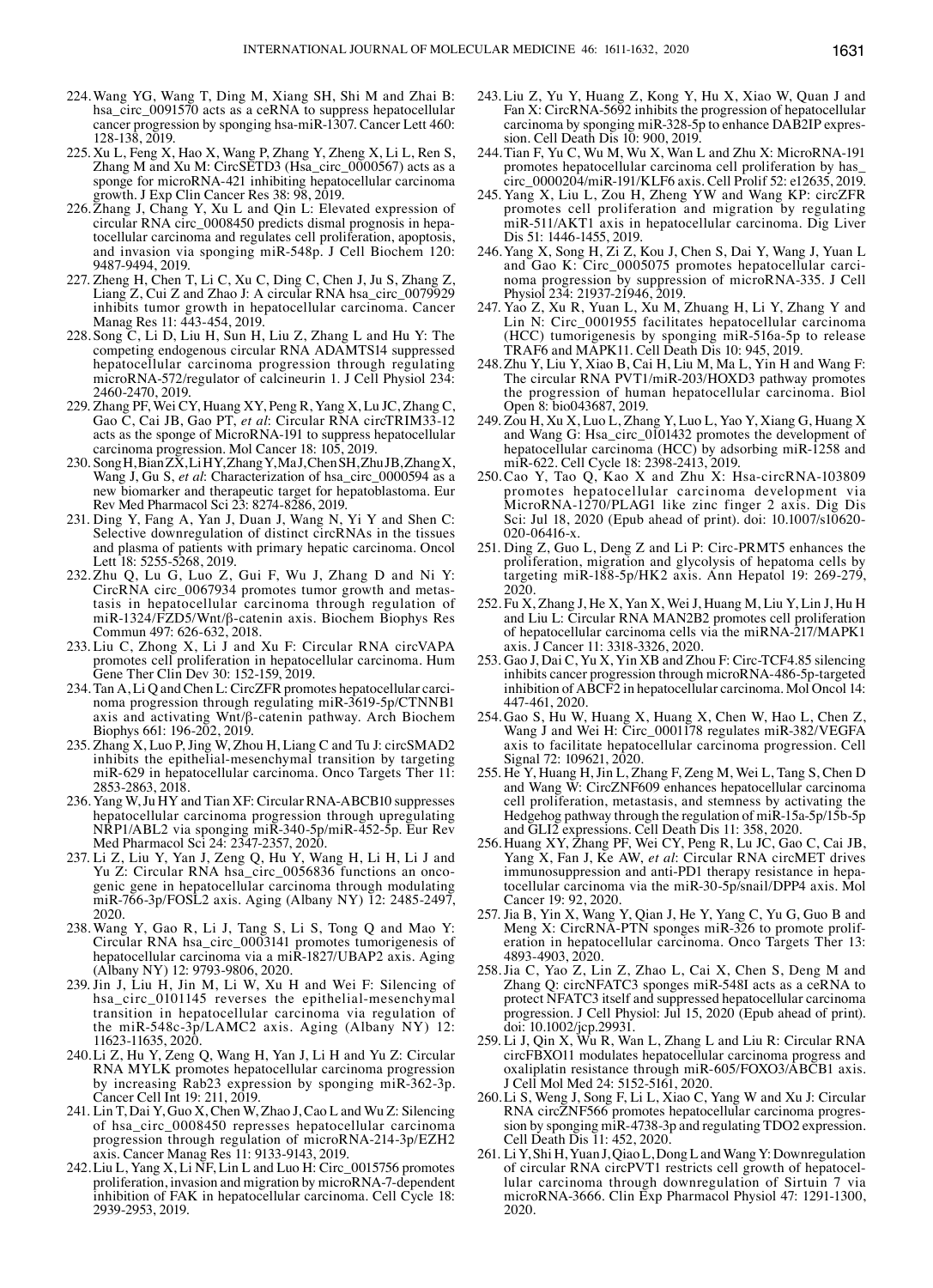- 224.Wang YG, Wang T, Ding M, Xiang SH, Shi M and Zhai B: hsa\_circ\_0091570 acts as a ceRNA to suppress hepatocellular cancer progression by sponging hsa-miR-1307. Cancer Lett 460: 128-138, 2019.
- 225. Xu L, Feng X, Hao X, Wang P, Zhang Y, Zheng X, Li L, Ren S, Zhang M and Xu M: CircSETD3 (Hsa\_circ\_0000567) acts as a sponge for microRNA-421 inhibiting hepatocellular carcinoma growth. J Exp Clin Cancer Res 38: 98, 2019.
- 226. Zhang J, Chang Y, Xu L and Qin L: Elevated expression of circular RNA circ\_0008450 predicts dismal prognosis in hepatocellular carcinoma and regulates cell proliferation, apoptosis, and invasion via sponging miR-548p. J Cell Biochem 120: 9487-9494, 2019.
- 227. Zheng H, Chen T, Li C, Xu C, Ding C, Chen J, Ju S, Zhang Z, Liang Z, Cui Z and Zhao J: A circular RNA hsa\_circ\_0079929 inhibits tumor growth in hepatocellular carcinoma. Cancer Manag Res 11: 443-454, 2019.
- 228. Song C, Li D, Liu H, Sun H, Liu Z, Zhang L and Hu Y: The competing endogenous circular RNA ADAMTS14 suppressed hepatocellular carcinoma progression through regulating microRNA-572/regulator of calcineurin 1. J Cell Physiol 234: 2460-2470, 2019.
- 229. Zhang PF, Wei CY, Huang XY, Peng R, Yang X, Lu JC, Zhang C, Gao C, Cai JB, Gao PT, *et al*: Circular RNA circTRIM33-12 acts as the sponge of MicroRNA-191 to suppress hepatocellular carcinoma progression. Mol Cancer 18: 105, 2019.
- 230. SongH, BianZX, LiHY, ZhangY, MaJ, ChenSH, ZhuJB, ZhangX, Wang J, Gu S, *et al*: Characterization of hsa\_circ\_0000594 as a new biomarker and therapeutic target for hepatoblastoma. Eur Rev Med Pharmacol Sci 23: 8274-8286, 2019.
- 231. Ding Y, Fang A, Yan J, Duan J, Wang N, Yi Y and Shen C: Selective downregulation of distinct circRNAs in the tissues and plasma of patients with primary hepatic carcinoma. Oncol Lett 18: 5255-5268, 2019.
- 232. Zhu Q, Lu G, Luo Z, Gui F, Wu J, Zhang D and Ni Y: CircRNA circ\_0067934 promotes tumor growth and metastasis in hepatocellular carcinoma through regulation of miR-1324/FZD5/Wnt/β-catenin axis. Biochem Biophys Res Commun 497: 626-632, 2018.
- 233. Liu C, Zhong X, Li J and Xu F: Circular RNA circVAPA promotes cell proliferation in hepatocellular carcinoma. Hum Gene Ther Clin Dev 30: 152-159, 2019.
- 234. Tan A, Li Q and Chen L: CircZFR promotes hepatocellular carcinoma progression through regulating miR-3619-5p/CTNNB1 axis and activating Wnt/β-catenin pathway. Arch Biochem Biophys 661: 196-202, 2019.
- 235. Zhang X, Luo P, Jing W, Zhou H, Liang C and Tu J: circSMAD2 inhibits the epithelial-mesenchymal transition by targeting miR-629 in hepatocellular carcinoma. Onco Targets Ther 11: 2853-2863, 2018.
- 236. Yang W, Ju HY and Tian XF: Circular RNA-ABCB10 suppresses hepatocellular carcinoma progression through upregulating NRP1/ABL2 via sponging miR-340-5p/miR-452-5p. Eur Rev Med Pharmacol Sci 24: 2347-2357, 2020.
- 237. Li Z, Liu Y, Yan J, Zeng Q, Hu Y, Wang H, Li H, Li J and Yu Z: Circular RNA hsa\_circ\_0056836 functions an oncogenic gene in hepatocellular carcinoma through modulating miR-766-3p/FOSL2 axis. Aging (Albany NY) 12: 2485-2497, 2020.
- 238. Wang Y, Gao R, Li J, Tang S, Li S, Tong Q and Mao Y: Circular RNA hsa\_circ\_0003141 promotes tumorigenesis of hepatocellular carcinoma via a miR-1827/UBAP2 axis. Aging (Albany NY) 12: 9793-9806, 2020.
- 239. Jin J, Liu H, Jin M, Li W, Xu H and Wei F: Silencing of hsa\_circ\_0101145 reverses the epithelial-mesenchymal transition in hepatocellular carcinoma via regulation of the miR-548c-3p/LAMC2 axis. Aging (Albany NY) 12: 11623-11635, 2020.
- 240.Li Z, Hu Y, Zeng Q, Wang H, Yan J, Li H and Yu Z: Circular RNA MYLK promotes hepatocellular carcinoma progression by increasing Rab23 expression by sponging miR-362-3p. Cancer Cell Int 19: 211, 2019.
- 241. Lin T, Dai Y, Guo X, Chen W, Zhao J, Cao L and Wu Z: Silencing of hsa\_circ\_0008450 represses hepatocellular carcinoma progression through regulation of microRNA-214-3p/EZH2 axis. Cancer Manag Res 11: 9133-9143, 2019.
- 242.Liu L, Yang X, Li NF, Lin L and Luo H: Circ\_0015756 promotes proliferation, invasion and migration by microRNA-7-dependent inhibition of FAK in hepatocellular carcinoma. Cell Cycle 18: 2939-2953, 2019.
- 243. Liu Z, Yu Y, Huang Z, Kong Y, Hu X, Xiao W, Quan J and Fan X: CircRNA-5692 inhibits the progression of hepatocellular carcinoma by sponging miR-328-5p to enhance DAB2IP expression. Cell Death Dis 10: 900, 2019.
- 244.Tian F, Yu C, Wu M, Wu X, Wan L and Zhu X: MicroRNA-191 promotes hepatocellular carcinoma cell proliferation by has\_ circ\_0000204/miR-191/KLF6 axis. Cell Prolif 52: e12635, 2019.
- 245. Yang X, Liu L, Zou H, Zheng YW and Wang KP: circZFR promotes cell proliferation and migration by regulating miR-511/AKT1 axis in hepatocellular carcinoma. Dig Liver Dis 51: 1446-1455, 2019.
- 246.Yang X, Song H, Zi Z, Kou J, Chen S, Dai Y, Wang J, Yuan L and Gao K: Circ\_0005075 promotes hepatocellular carcinoma progression by suppression of microRNA-335. J Cell Physiol 234: 21937-21946, 2019.
- 247. Yao Z, Xu R, Yuan L, Xu M, Zhuang H, Li Y, Zhang Y and Lin N: Circ<sup>0001955</sup> facilitates hepatocellular carcinoma (HCC) tumorigenesis by sponging miR-516a-5p to release TRAF6 and MAPK11. Cell Death Dis 10: 945, 2019.
- 248.Zhu Y, Liu Y, Xiao B, Cai H, Liu M, Ma L, Yin H and Wang F: The circular RNA PVT1/miR-203/HOXD3 pathway promotes the progression of human hepatocellular carcinoma. Biol Open 8: bio043687, 2019.
- $249. Z$ ou H, Xu X, Luo L, Zhang Y, Luo L, Yao Y, Xiang G, Huang X and Wang G: Hsa\_circ\_0101432 promotes the development of hepatocellular carcinoma (HCC) by adsorbing miR-1258 and miR-622. Cell Cycle 18: 2398-2413, 2019.
- 250.Cao Y, Tao Q, Kao X and Zhu X: Hsa-circRNA-103809 promotes hepatocellular carcinoma development via MicroRNA-1270/PLAG1 like zinc finger 2 axis. Dig Dis Sci: Jul 18, 2020 (Epub ahead of print). doi: 10.1007/s10620-020-06416-x.
- 251. Ding Z, Guo L, Deng Z and Li P: Circ-PRMT5 enhances the proliferation, migration and glycolysis of hepatoma cells by targeting miR-188-5p/HK2 axis. Ann Hepatol 19: 269-279, 2020.
- 252. Fu X, Zhang J, He X, Yan X, Wei J, Huang M, Liu Y, Lin J, Hu H and Liu L: Circular RNA MAN2B2 promotes cell proliferation of hepatocellular carcinoma cells via the miRNA-217/MAPK1 axis. J Cancer 11: 3318-3326, 2020.
- 253. Gao J, Dai C, Yu X, Yin XB and Zhou F: Circ-TCF4.85 silencing inhibits cancer progression through microRNA-486-5p-targeted inhibition of ABCF2 in hepatocellular carcinoma. Mol Oncol 14: 447-461, 2020.
- 254. Gao S, Hu W, Huang X, Huang X, Chen W, Hao L, Chen Z, Wang J and Wei H: Circ\_0001178 regulates miR-382/VEGFA axis to facilitate hepatocellular carcinoma progression. Cell Signal 72: 109621, 2020.
- 255. He Y, Huang H, Jin L, Zhang F, Zeng M, Wei L, Tang S, Chen D and Wang W: CircZNF609 enhances hepatocellular carcinoma cell proliferation, metastasis, and stemness by activating the Hedgehog pathway through the regulation of miR-15a-5p/15b-5p and GLI2 expressions. Cell Death Dis 11: 358, 2020.
- 256. Huang XY, Zhang PF, Wei CY, Peng R, Lu JC, Gao C, Cai JB, Yang X, Fan J, Ke AW, *et al*: Circular RNA circMET drives immunosuppression and anti-PD1 therapy resistance in hepatocellular carcinoma via the miR-30-5p/snail/DPP4 axis. Mol Cancer 19: 92, 2020.
- 257. Jia B, Yin X, Wang Y, Qian J, He Y, Yang C, Yu G, Guo B and Meng X: CircRNA-PTN sponges miR-326 to promote proliferation in hepatocellular carcinoma. Onco Targets Ther 13: 4893-4903, 2020.
- 258.Jia C, Yao Z, Lin Z, Zhao L, Cai X, Chen S, Deng M and Zhang Q: circNFATC3 sponges miR-548I acts as a ceRNA to protect NFATC3 itself and suppressed hepatocellular carcinoma progression. J Cell Physiol: Jul 15, 2020 (Epub ahead of print). doi: 10.1002/jcp.29931.
- 259. Li J, Qin X, Wu R, Wan L, Zhang L and Liu R: Circular RNA circFBXO11 modulates hepatocellular carcinoma progress and oxaliplatin resistance through miR-605/FOXO3/ABCB1 axis. J Cell Mol Med 24: 5152-5161, 2020.
- 260.Li S, Weng J, Song F, Li L, Xiao C, Yang W and Xu J: Circular RNA circZNF566 promotes hepatocellular carcinoma progression by sponging miR-4738-3p and regulating TDO2 expression. Cell Death Dis 11: 452, 2020.
- 261. Li Y, Shi H, Yuan J, QiaoL, DongL and Wang Y: Downregulation of circular RNA circPVT1 restricts cell growth of hepatocellular carcinoma through downregulation of Sirtuin 7 via microRNA-3666. Clin Exp Pharmacol Physiol 47: 1291-1300, 2020.